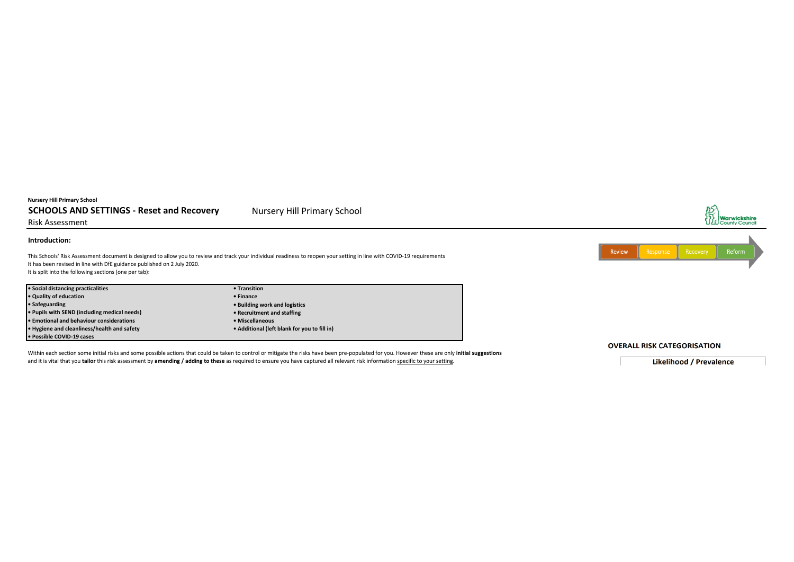## **Nursery Hill Primary School**

# **SCHOOLS AND SETTINGS - Reset and Recovery Mursery Hill Primary School**

Risk Assessment

## **Introduction:**

This Schools' Risk Assessment document is designed to allow you to review and track your individual readiness to reopen your setting in line with COVID-19 requirements It has been revised in line with DfE guidance published on 2 July 2020. It is split into the following sections (one per tab):

**• Social distancing practicalities • Transition • Quality of education**<br>• Safeguarding

**• Pupils with SEND (including medical needs) • Recruitment and staffing • Emotional and behaviour considerations • Hygiene and cleanliness/health and safety • Additional (left blank for you to fill in) • Possible COVID-19 cases**

**• Safeguarding • Building work and logistics**

Within each section some initial risks and some possible actions that could be taken to control or mitigate the risks have been pre-populated for you. However these are only **initial suggestions** and it is vital that you **tailor** this risk assessment by **amending / adding to these** as required to ensure you have captured all relevant risk information specific to your setting.

## **OVERALL RISK CATEGORISATION**

**Likelihood / Prevalence** 



AS<br>SHY<br>UZL County Council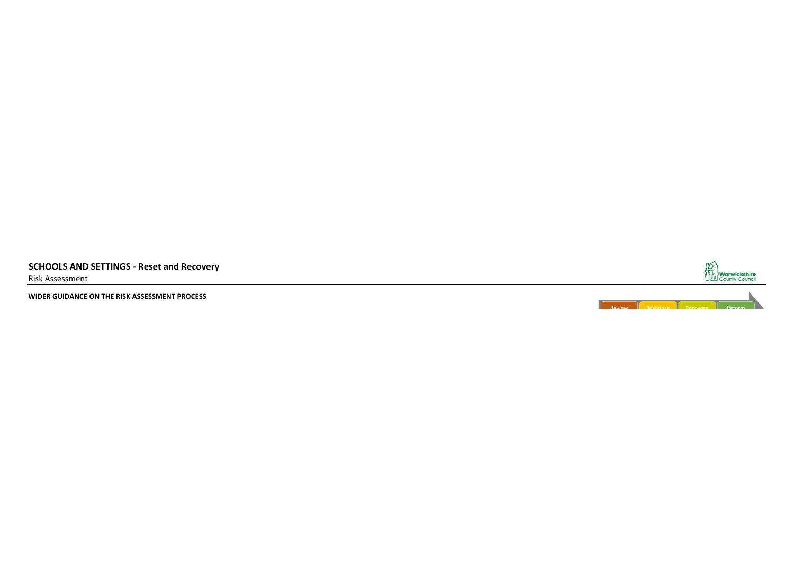**SCHOOLS AND SETTINGS - Reset and Recovery** Risk Assessment

**WIDER GUIDANCE ON THE RISK ASSESSMENT PROCESS**



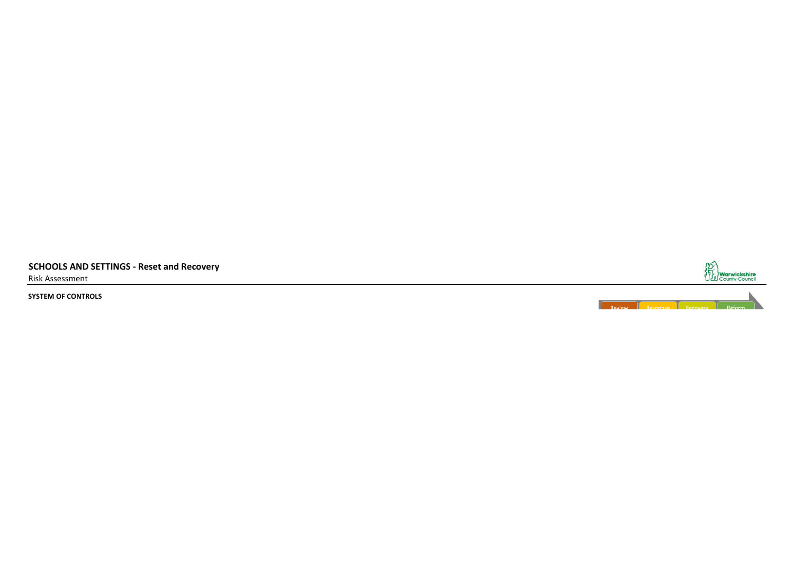**SCHOOLS AND SETTINGS - Reset and Recovery** Risk Assessment

**SYSTEM OF CONTROLS**



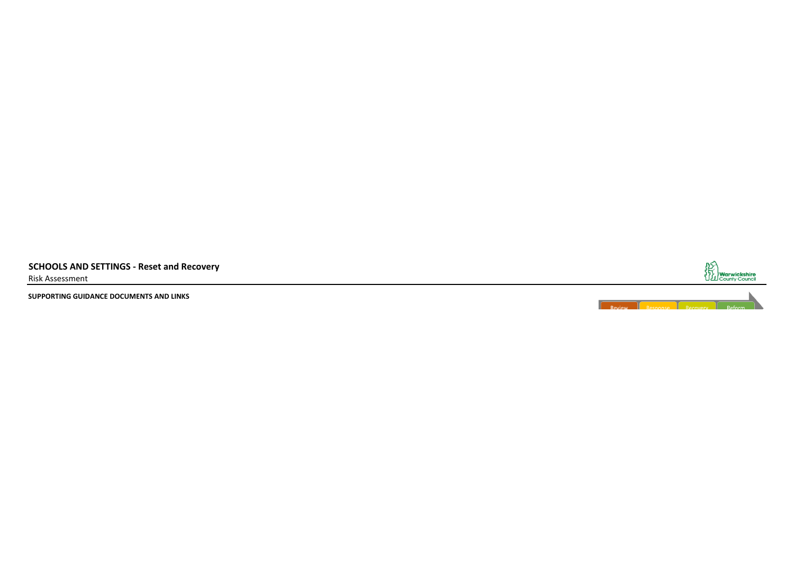**SCHOOLS AND SETTINGS - Reset and Recovery** Risk Assessment

**SUPPORTING GUIDANCE DOCUMENTS AND LINKS**



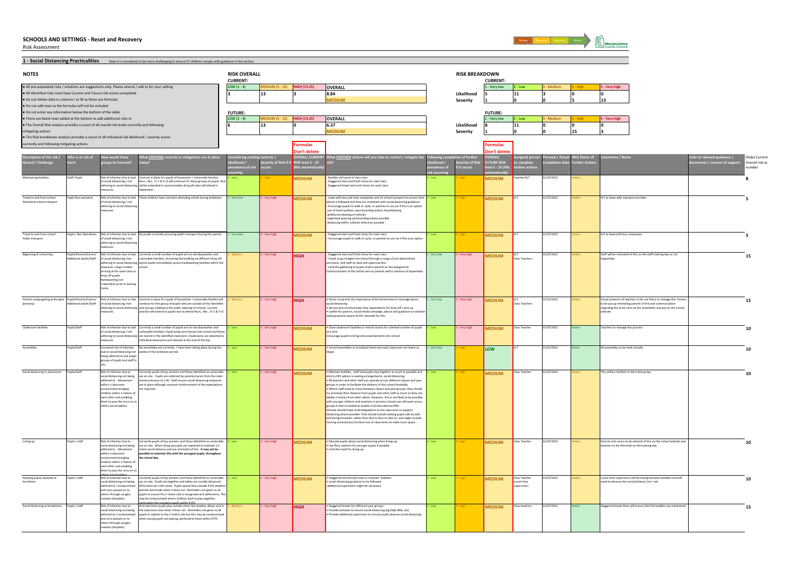Risk Assessment



1 - Social Distancing Practicalities **Note it is considered to be more challenging** to ensure EY children comply with guidance in this section

| <b>NOTES</b>                                                                                                                        |                                             |                                                             |                                                                                                                                                                           | <b>RISK OVERALL</b>              |                       |                                               |                                                                                                                                                               |              | <b>RISK BREAKDOWN</b>                     |                                      |                       |            |                                                                                                                                |                                                   |
|-------------------------------------------------------------------------------------------------------------------------------------|---------------------------------------------|-------------------------------------------------------------|---------------------------------------------------------------------------------------------------------------------------------------------------------------------------|----------------------------------|-----------------------|-----------------------------------------------|---------------------------------------------------------------------------------------------------------------------------------------------------------------|--------------|-------------------------------------------|--------------------------------------|-----------------------|------------|--------------------------------------------------------------------------------------------------------------------------------|---------------------------------------------------|
| · All pre-populated risks / solutions are suggestions only. Please amend / add to for your setting                                  |                                             |                                                             |                                                                                                                                                                           | <b>CURRENT:</b><br>LOW $(1 - 4)$ | EDIUM (5 - 12)        | <b>IIGH (13-25)</b>                           | <b>OVERALL</b>                                                                                                                                                |              |                                           | <b>CURRENT:</b><br>- Very low        | - Low                 |            | 5 - Very high                                                                                                                  |                                                   |
| All identified risks must have Current and Future risk scores completed                                                             |                                             |                                                             |                                                                                                                                                                           |                                  | 13                    |                                               | 8.84                                                                                                                                                          |              | Likelihood                                |                                      | 11                    |            |                                                                                                                                |                                                   |
| Do not delete data in columns I or M as these are formulas                                                                          |                                             |                                                             |                                                                                                                                                                           |                                  |                       |                                               | <b>MEDIUM</b>                                                                                                                                                 |              | Severity                                  |                                      |                       |            |                                                                                                                                |                                                   |
| Do not add rows as the formulas will not be included                                                                                |                                             |                                                             |                                                                                                                                                                           |                                  |                       |                                               |                                                                                                                                                               |              |                                           |                                      |                       |            |                                                                                                                                |                                                   |
| . Do not enter any information below the bottom of the table<br>There are blank rows added at the bottom to add additional risks in |                                             |                                                             |                                                                                                                                                                           | <b>FUTURE:</b>                   |                       |                                               |                                                                                                                                                               |              |                                           | <b>FUTURE:</b>                       |                       |            |                                                                                                                                |                                                   |
| The Overall Risk analysis provides a count of all overall risk levels currently and following                                       |                                             |                                                             |                                                                                                                                                                           | $LOW(1-4)$                       | <b>EDIUM (5 - 12)</b> | <b>HIGH (13-25)</b>                           | OVERALL                                                                                                                                                       |              |                                           | L - Very low                         | - Low                 |            | 5 - Very high                                                                                                                  |                                                   |
| mitigating actions                                                                                                                  |                                             |                                                             |                                                                                                                                                                           |                                  | 13                    |                                               | 6.37<br><b>MEDIUM</b>                                                                                                                                         |              | Likelihood                                |                                      |                       |            |                                                                                                                                |                                                   |
| . The Risk breakdown analysis provides a count of all individual risk likelihood / severity scores                                  |                                             |                                                             |                                                                                                                                                                           |                                  |                       |                                               |                                                                                                                                                               |              | <b>Severity</b>                           |                                      |                       |            |                                                                                                                                |                                                   |
| currently and following mitigating actions                                                                                          |                                             |                                                             |                                                                                                                                                                           |                                  |                       | ormulas                                       |                                                                                                                                                               |              |                                           | <b>Formulas</b>                      |                       |            |                                                                                                                                |                                                   |
|                                                                                                                                     |                                             |                                                             |                                                                                                                                                                           |                                  |                       | Don't delete                                  |                                                                                                                                                               |              |                                           | Don't delete                         |                       |            |                                                                                                                                |                                                   |
| ption of the risk /                                                                                                                 | ho is at risk of                            |                                                             | at EXISTING controls or mitigations are in place                                                                                                                          |                                  |                       | VERALL CURRE                                  | hat <b>FURTHER</b> actions will you take to control / mitigate the                                                                                            |              |                                           | <b>FRAIL</b>                         |                       |            | ks to relevant guidance /                                                                                                      | (hide) Current                                    |
| ard / Challenge                                                                                                                     |                                             | oups be harmed                                              |                                                                                                                                                                           | e of risk                        | erity of Risk if it   | <b>RISK level 1 - 25</b><br>(fills automatica |                                                                                                                                                               |              | erity of Ri <mark>:</mark><br>f it occurs | <b>UTURE RISK</b><br>$rel 1 - 25$ (f |                       |            |                                                                                                                                | Overall risk as<br>ts / sources of suppo<br>umber |
|                                                                                                                                     |                                             |                                                             |                                                                                                                                                                           |                                  |                       |                                               |                                                                                                                                                               |              |                                           |                                      |                       |            |                                                                                                                                |                                                   |
| taining bubbl                                                                                                                       | aff/Pupil                                   | of social distancing / not                                  | Risk of infection due to lack Controls in place for pupils of keyworker / vulnerable families<br>Nurs., Rec., Yr.1 & Yr.6 will continue for these groups of pupils. And   |                                  |                       | <b>MEDIUM</b>                                 | Bubbles will assist of class sizes<br>Staggered start and finish times for each class                                                                         |              |                                           | <b>MEDIUM</b>                        | acher/SL1             | /07/2021   |                                                                                                                                |                                                   |
|                                                                                                                                     |                                             |                                                             | adhering to social distancing will be extended to accommodate all pupils who will attend in<br>eptembe                                                                    |                                  |                       |                                               | Staggered break and lunch times for each class                                                                                                                |              |                                           |                                      |                       |            |                                                                                                                                |                                                   |
|                                                                                                                                     |                                             |                                                             |                                                                                                                                                                           |                                  |                       |                                               |                                                                                                                                                               |              |                                           |                                      |                       |            |                                                                                                                                |                                                   |
| Travel to and from school<br>Dedicated school transport                                                                             | upil/ Bus operative                         | of social distancing / not                                  | Risk of infection due to lack These children have not been attending school during lockdown.                                                                              | 1 - Very low                     | Very high             | <b>MEDIUM</b>                                 | Liaise with bus and train companies and LA school transport to ensure their<br>advice is followed and they are compliant with social distancing guidance      |              |                                           | <b>MEDIUM</b>                        |                       | 31/07/2021 | SLT to lease with transport provide                                                                                            |                                                   |
|                                                                                                                                     |                                             | adhering to social distanci<br>easures.                     |                                                                                                                                                                           |                                  |                       |                                               | - Encourage pupils to walk or cycle, or parents to use car if this is an option<br>-use of hand sanitiser upon boarding and/or disembarking                   |              |                                           |                                      |                       |            |                                                                                                                                |                                                   |
|                                                                                                                                     |                                             |                                                             |                                                                                                                                                                           |                                  |                       |                                               | -additional cleaning of vehicles<br>-organised queuing and boarding where possible                                                                            |              |                                           |                                      |                       |            |                                                                                                                                |                                                   |
|                                                                                                                                     |                                             |                                                             |                                                                                                                                                                           |                                  |                       |                                               | distancing within vehicles wherever possible                                                                                                                  |              |                                           |                                      |                       |            |                                                                                                                                |                                                   |
|                                                                                                                                     |                                             |                                                             |                                                                                                                                                                           |                                  |                       |                                               |                                                                                                                                                               |              |                                           |                                      |                       |            |                                                                                                                                |                                                   |
| Travel to and from school<br>Public transport                                                                                       |                                             | of social distancing / not                                  | upils / Bus Operatives Risk of infection due to lack No pupils currently accessing public transport during this period.                                                   | - Very low                       | Very high             | <b>MEDIUM</b>                                 | Staggered start and finish times for each class<br>Encourage pupils to walk or cycle, or parents to use car if this is an option                              | - Low        |                                           | <b>MEDIUM</b>                        |                       | 31/07/2021 | SLT to liaise with bus companies                                                                                               |                                                   |
|                                                                                                                                     |                                             | adhering to social distanci<br>neasures.                    |                                                                                                                                                                           |                                  |                       |                                               |                                                                                                                                                               |              |                                           |                                      |                       |            |                                                                                                                                |                                                   |
|                                                                                                                                     |                                             |                                                             | Risk of infection due to lack Currently a small number of pupils are on site (keyworker and                                                                               |                                  |                       |                                               | Staggered start and finish times for each class                                                                                                               |              |                                           |                                      |                       | 1/07/2021  |                                                                                                                                |                                                   |
| Beginning of school day                                                                                                             | upils/Parents/Carers/<br>ional adults/Staff | of social distancing /not                                   | vulnerable families). Accessing the building via different drop off                                                                                                       |                                  | Very high             | <b>HIGH</b>                                   | Pupils to go straight into school through a range of pre-determined                                                                                           | - Very low   | Very high                                 | <b>MEDIUM</b>                        | ss Teacher:           |            | Staff will be reminded of this on the staff training day on 1st                                                                | 15                                                |
|                                                                                                                                     |                                             | measures. Large number                                      | adhering to social distancing points pupils immediately access handwashing facilities within the<br>school.                                                               |                                  |                       |                                               | entrances and staff on duty will supervise this.<br>- Limit the gathering of pupils and/or parents on the playground.                                         |              |                                           |                                      |                       |            |                                                                                                                                |                                                   |
|                                                                                                                                     |                                             | arriving at the same time to                                |                                                                                                                                                                           |                                  |                       |                                               | unication of this will be sent to parents well in advance of Septe                                                                                            |              |                                           |                                      |                       |            |                                                                                                                                |                                                   |
|                                                                                                                                     |                                             | drop off pupils.<br>landwashing not                         |                                                                                                                                                                           |                                  |                       |                                               |                                                                                                                                                               |              |                                           |                                      |                       |            |                                                                                                                                |                                                   |
|                                                                                                                                     |                                             | dertaken prior to leaving                                   |                                                                                                                                                                           |                                  |                       |                                               |                                                                                                                                                               |              |                                           |                                      |                       |            |                                                                                                                                |                                                   |
|                                                                                                                                     |                                             |                                                             |                                                                                                                                                                           |                                  |                       |                                               |                                                                                                                                                               |              |                                           |                                      |                       |            |                                                                                                                                |                                                   |
| Parents congregating at the gate Pupils/Parents/Carers/<br>(primary)                                                                | dditional adults/Staff                      | of social distancing /not                                   | Risk of infection due to lack Controls in place for pupils of keyworker / vulnerable families will<br>continue for this group of pupils who are outside of the identified |                                  | Very high             | HIGH                                          | · Stress to parents the importance of the Government's message about<br>social distancing                                                                     | - Very low   | Very high                                 | <b>MEDIUM</b>                        | ass Teachers          | 31/07/2021 | isual presence of teachers to be out there to manage this. Posters<br>to be put up reminding parents of this and communication | 15                                                |
|                                                                                                                                     |                                             |                                                             | adhering to social distancing year groups relating to the wider opening of schools. Current                                                                               |                                  |                       |                                               | . Set out and communicate clear expectations for drop off / pick up                                                                                           |              |                                           |                                      |                       |            | regarding this to be sent via the newsletter and put on the school                                                             |                                                   |
|                                                                                                                                     |                                             |                                                             | practice will extend to pupils due to attend Nurs., Rec., Yr.1 & Yr.6                                                                                                     |                                  |                       |                                               | Leaflet for parents, social media campaign, advice and guidance on websit<br>making parents aware of the rationale for this.                                  |              |                                           |                                      |                       |            |                                                                                                                                |                                                   |
|                                                                                                                                     |                                             |                                                             |                                                                                                                                                                           |                                  |                       |                                               |                                                                                                                                                               |              |                                           |                                      |                       |            |                                                                                                                                |                                                   |
| Cloakroom facilitie                                                                                                                 | pils/Staf                                   | of social distancing / not                                  | Risk of infection due to lack Currently a small number of pupils are on site (keyworker and<br>vulnerable families). Pupils bring lunch boxes into school and these       |                                  | Very high             | <b>AEDIUM</b>                                 | · Close cloakroom facilities or restrict access for a limited number of pupils<br>at a time                                                                   |              | /ery high                                 | <b>MEDIUM</b>                        | ass Teach             | 1/07/2021  | achers to manage this process                                                                                                  | 10                                                |
|                                                                                                                                     |                                             |                                                             | adhering to social distancing are stored in the identified classroom. Cloakrooms are attached to                                                                          |                                  |                       |                                               | Encourage pupils to bring only essential items into school                                                                                                    |              |                                           |                                      |                       |            |                                                                                                                                |                                                   |
|                                                                                                                                     |                                             | easures.                                                    | ndividual classrooms and cleaned at the end of the day.                                                                                                                   |                                  |                       |                                               |                                                                                                                                                               |              |                                           |                                      |                       |            |                                                                                                                                |                                                   |
|                                                                                                                                     | pils/Staff                                  | Increased risk of infection<br>due to social distancing not | No assemblies are currently / have been taking place during the<br>weeks of the lockdown period.                                                                          | Low                              | Very high             | <b>MEDIUM</b>                                 | · Cancel assemblies or broadcast them into each classroom via Teams or                                                                                        | 1 - Very low |                                           | LOW                                  |                       | 31/07/2021 | All assemblies to be held virtually                                                                                            | 10                                                |
|                                                                                                                                     |                                             | being adhered to and large<br>groups of pupils and staff i  |                                                                                                                                                                           |                                  |                       |                                               |                                                                                                                                                               |              |                                           |                                      |                       |            |                                                                                                                                |                                                   |
|                                                                                                                                     |                                             |                                                             |                                                                                                                                                                           |                                  |                       |                                               |                                                                                                                                                               |              |                                           |                                      |                       |            |                                                                                                                                |                                                   |
| Social distancing in classrooms                                                                                                     | Pupils/Staff                                | Risk of infection due to                                    | Currently pupils of key workers and those identified as vulnerable                                                                                                        |                                  | Very high             | <b>MEDIUM</b>                                 | . Maintain bubbles - staff and pupils stay together as much as possible and                                                                                   | ! - Low      |                                           | <b>MEDIUM</b>                        | ass Teacher           | 31/07/2021 | his will be clarified on the training day                                                                                      | 10                                                |
|                                                                                                                                     |                                             | social distancing not being<br>adhered to. Movement         | are on site. Pupils are collected by parents/carers from the main<br>chool entrance at 3.30. Staff ensure social distancing measures                                      |                                  |                       |                                               | stick to DFE advice re seating arrangements, social distancing.<br>. All teachers and other staff can operate across different classes and year               |              |                                           |                                      |                       |            |                                                                                                                                |                                                   |
|                                                                                                                                     |                                             | within a classroom<br>vironment bringing                    | are in place although constant reinforcement of the expectations<br>e required.                                                                                           |                                  |                       |                                               | groups in order to facilitate the delivery of the school timetable.<br>. Where staff need to move between classes and year groups, they should                |              |                                           |                                      |                       |            |                                                                                                                                |                                                   |
|                                                                                                                                     |                                             | children within 2 metres of                                 |                                                                                                                                                                           |                                  |                       |                                               | try and keep their distance from pupils and other staff as much as they can,                                                                                  |              |                                           |                                      |                       |            |                                                                                                                                |                                                   |
|                                                                                                                                     |                                             | each other and enabling<br>them to pass the virus on t      |                                                                                                                                                                           |                                  |                       |                                               | ideally 2 metres from other adults. However, this is not likely to be possible<br>with younger children and teachers in primary schools can still work across |              |                                           |                                      |                       |            |                                                                                                                                |                                                   |
|                                                                                                                                     |                                             | ers (via droplets).                                         |                                                                                                                                                                           |                                  |                       |                                               | groups if that is needed to enable a full educational offer.<br>Schools should make small adaptations to the classroom to support                             |              |                                           |                                      |                       |            |                                                                                                                                |                                                   |
|                                                                                                                                     |                                             |                                                             |                                                                                                                                                                           |                                  |                       |                                               | distancing where possible. That should include seating pupils side by side                                                                                    |              |                                           |                                      |                       |            |                                                                                                                                |                                                   |
|                                                                                                                                     |                                             |                                                             |                                                                                                                                                                           |                                  |                       |                                               | and facing forwards, rather than face to face or side on, and might include<br>moving unnecessary furniture out of classrooms to make more space              |              |                                           |                                      |                       |            |                                                                                                                                |                                                   |
|                                                                                                                                     |                                             |                                                             |                                                                                                                                                                           |                                  |                       |                                               |                                                                                                                                                               |              |                                           |                                      |                       |            |                                                                                                                                |                                                   |
|                                                                                                                                     |                                             |                                                             |                                                                                                                                                                           |                                  |                       |                                               |                                                                                                                                                               |              |                                           |                                      |                       |            |                                                                                                                                |                                                   |
| Lining-up                                                                                                                           | upils / staff                               | Risk of infection due to<br>social distancing not being     | Currently pupils of key workers and those identified as vulnerable<br>are on site. When lining up pupils are expected to maintain a 2                                     |                                  | Very high             | <b>MEDIUM</b>                                 | . Educate pupils about social distancing when lining-up<br>. Use floor markers for younger pupils if possible                                                 | - Low        |                                           | <b>MEDIUM</b>                        | lass Teacher          | 31/07/2021 | Parents and carers to be advised of this via the school website and<br>achers to be informed on the training day.              | 10                                                |
|                                                                                                                                     |                                             | adhered to. Movement                                        | netre social distance and are reminded of this. It may not be                                                                                                             |                                  |                       |                                               | · Limit the need for lining-up                                                                                                                                |              |                                           |                                      |                       |            |                                                                                                                                |                                                   |
|                                                                                                                                     |                                             | within a classroom<br>vironment bringing                    | cossible to maintain this with the youngest pupils, throughout<br>the school day.                                                                                         |                                  |                       |                                               |                                                                                                                                                               |              |                                           |                                      |                       |            |                                                                                                                                |                                                   |
|                                                                                                                                     |                                             | children within 2 metres of                                 |                                                                                                                                                                           |                                  |                       |                                               |                                                                                                                                                               |              |                                           |                                      |                       |            |                                                                                                                                |                                                   |
|                                                                                                                                     |                                             | each other and enabling<br>them to pass the virus on t      |                                                                                                                                                                           |                                  |                       |                                               |                                                                                                                                                               |              |                                           |                                      |                       |            |                                                                                                                                |                                                   |
| Keeping pupils separate at                                                                                                          | upils / staf                                | Risk of infection due to                                    | Currently pupils of key workers and those identified as vulnerable                                                                                                        |                                  | Very high             | <b>MEDIUM</b>                                 | Staggered lunchtimes/rotas to maintain 'bubbles'                                                                                                              |              |                                           | <b>MEDIUM</b>                        | lass Teache           | 1/07/2021  | unch time supervisors will be mixing between bubbles and will                                                                  | 10                                                |
|                                                                                                                                     |                                             | social distancing not being<br>adhered to / compromised     | are on site. Pupils eat together and tables are socially distanced.<br>Il lunches are cold meals. Pupils spend time outside if the weather                                |                                  |                       |                                               | · social distancing guidance to be followed<br>additional supervision might be necessary                                                                      |              |                                           |                                      | unch time<br>ervisors |            | need to observe the social distance 1m+ rule                                                                                   |                                                   |
|                                                                                                                                     |                                             | and virus passed on to                                      | mits and inside when it does not. Reminders are given to all                                                                                                              |                                  |                       |                                               |                                                                                                                                                               |              |                                           |                                      |                       |            |                                                                                                                                |                                                   |
|                                                                                                                                     |                                             | others through coughs,<br>eezes (droplets).                 | oupils to ensure the 2 metre rule is recognised and adhered to. This<br>av be compromised where children wish to play together.                                           |                                  |                       |                                               |                                                                                                                                                               |              |                                           |                                      |                       |            |                                                                                                                                |                                                   |
| Social distancing at breaktimes                                                                                                     | Pupils / staff                              | Risk of infection due to                                    | It break times pupils play outside when the weather allows and in                                                                                                         |                                  | Very high             | <b>HIGH</b>                                   | Staggered breaks for different year groups                                                                                                                    | Low          |                                           | <b>MEDIUM</b>                        | lass teachers         | 31/07/2021 | taggered break times will ensure that the bubbles are maintained                                                               | 15                                                |
|                                                                                                                                     |                                             | social distancing not being<br>adhered to / compromised     | the classroom area when it does not. Reminders are given to all<br>upils in relation to the 2 metre rule but this may be compromi                                         |                                  |                       |                                               | · Provide activities to ensure social distancing (eg Daily Mile, etc)<br>Provide additional supervision to ensure pupils observe social distancing            |              |                                           |                                      |                       |            |                                                                                                                                |                                                   |
|                                                                                                                                     |                                             | and virus passed on to                                      | then young pupils are playing, particularly those within EYFS.                                                                                                            |                                  |                       |                                               |                                                                                                                                                               |              |                                           |                                      |                       |            |                                                                                                                                |                                                   |
|                                                                                                                                     |                                             | others through coughs,<br>eezes (droplets).                 |                                                                                                                                                                           |                                  |                       |                                               |                                                                                                                                                               |              |                                           |                                      |                       |            |                                                                                                                                |                                                   |
|                                                                                                                                     |                                             |                                                             |                                                                                                                                                                           |                                  |                       |                                               |                                                                                                                                                               |              |                                           |                                      |                       |            |                                                                                                                                |                                                   |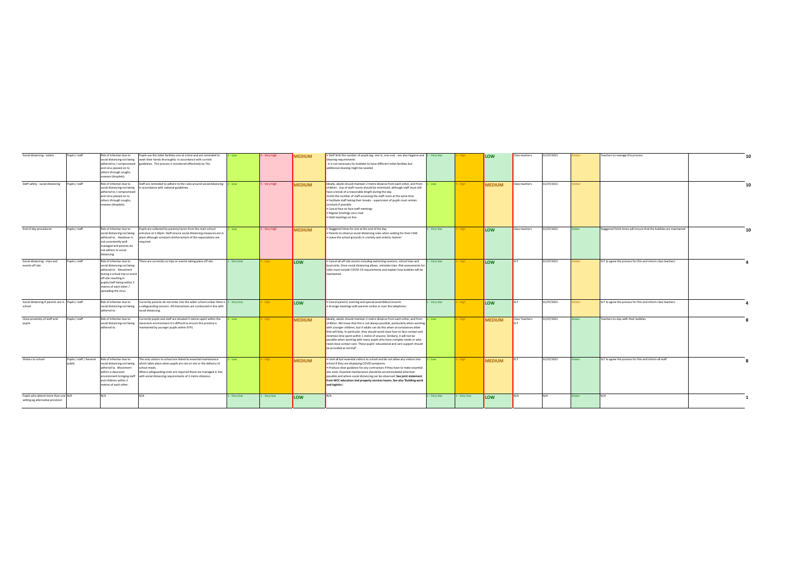| Social distancing - toilets                                             | Pupils / staff           | Risk of infection due to<br>and virus passed on to<br>others through coughs,<br>sneezes (droplets).                                                                                                                        | Pupils use the toilet facilities one at a time and are reminded to<br>social distancing not being wash their hands thoroughly in accordance with current<br>adhered to / compromised guidelines. The process is monitored effectively by TAs.                                        | - Low      | - Very high | MEDIUM        | • Staff limit the number of pupils (eg one in, one out) - see also Hygiene and 1 - Very low<br>cleaning requirements<br>- it is not necessary for bubbles to have different toilet facilities but<br>additional cleaning might be needed                                                                                                                                                                                                                                                                                                                                                        |              |              | LOW           | Class teachers | 31/07/2021 |        | Teachers to manage this process                                    |  |
|-------------------------------------------------------------------------|--------------------------|----------------------------------------------------------------------------------------------------------------------------------------------------------------------------------------------------------------------------|--------------------------------------------------------------------------------------------------------------------------------------------------------------------------------------------------------------------------------------------------------------------------------------|------------|-------------|---------------|-------------------------------------------------------------------------------------------------------------------------------------------------------------------------------------------------------------------------------------------------------------------------------------------------------------------------------------------------------------------------------------------------------------------------------------------------------------------------------------------------------------------------------------------------------------------------------------------------|--------------|--------------|---------------|----------------|------------|--------|--------------------------------------------------------------------|--|
| Staff safety - social distancing                                        | Pupils / staff           | Risk of infection due to<br>social distancing not being<br>adhered to / compromised<br>and virus passed on to<br>others through coughs,<br>sneezes (droplets).                                                             | Staff are reminded to adhere to the rules around social distancing 2 - Low<br>n accordance with national guidelines.                                                                                                                                                                 |            | - Very high | <b>MEDIUM</b> | Ideally, adults should maintain 2 metre distance from each other, and from 2 - Low<br>children. Use of staff rooms should be minimised, although staff must still<br>have a break of a reasonable length during the day.<br>. Limit the number of staff accessing the staff room at the same time<br>. Facilitate staff taking their breaks - supervision of pupils must remain<br>constant if possible<br>· Cancel face-to-face staff meetings<br>· Regular briefings via e-mail<br>· Hold meetings on line                                                                                    |              |              | <b>MEDIUM</b> | Class teachers | 31/07/2021 | mber   |                                                                    |  |
| End of day procedures                                                   | Pupils / staff           | Risk of infection due to<br>social distancing not being<br>adhered to. Handover is<br>not consistently well<br>managed and parents do<br>not adhere to social<br>distancing.                                               | Pupils are collected by parents/carers from the main school<br>entrance at 3.30pm. Staff ensure social distancing measures are in<br>place although constant reinforcement of the expectations are<br>required.                                                                      | - Low      | - Very high | <b>MEDIUM</b> | . Staggered times for exit at the end of the day<br>. Parents to observe social distancing rules when waiting for their child<br>. Leave the school grounds in a timely and orderly manner                                                                                                                                                                                                                                                                                                                                                                                                      | - Very low   |              | LOW           | Class teachers | 31/07/2021 |        | Staggered finish times will ensure that the bubbles are maintained |  |
| Social distancing - trips and<br>events off site                        | Pupils / staff           | Risk of infection due to<br>social distancing not being<br>adhered to. Movement<br>during a school trip or event<br>off site resulting in<br>pupils/staff being within 2<br>metres of each other /<br>spreading the virus. | here are currently no trips or events taking place off site.                                                                                                                                                                                                                         | - Very low |             | LOW           | . Cancel all off-site events including swimming sessions, school trips and<br>local visits. Once social distancing allows, reinstate trips. Risk assessments for<br>visits must include COVID-19 requirements and explain how bubbles will be<br>maintained.                                                                                                                                                                                                                                                                                                                                    | 1 - Very low |              | LOW           |                | 31/07/2021 | mber   | SLT to agree the process for this and inform class teachers        |  |
| Social distancing if parents are in Pupils / staff<br>school            |                          | Risk of infection due to<br>adhered to.                                                                                                                                                                                    | Currently parents do not enter into the wider school unless there is  1 - Very low<br>social distancing not being a safeguarding concern. All interactions are conducted in line with<br>social distancing.                                                                          |            |             | LOW           | · Cancel parents' evening and special assemblies/concerts<br>Arrange meetings with parents online or over the telephone.                                                                                                                                                                                                                                                                                                                                                                                                                                                                        | - Very low   |              | LOW           |                | 31/07/2021 | mber   | SLT to agree the process for this and inform class teachers        |  |
| Close proximity of staff and<br>pupils                                  | Pupils / staff           | Risk of infection due to<br>social distancing not being<br>adhered to.                                                                                                                                                     | urrently pupils and staff are situated 2 metres apart within the<br>classroom environment it is difficult to ensure this practice is<br>maintained by younger pupils within EYFS.                                                                                                    | Low.       | <b>High</b> | <b>MEDIUM</b> | Ideally, adults should maintain 2 metre distance from each other, and from 2 - Low<br>children. We know that this is not always possible, particularly when working<br>with younger children, but if adults can do this when circumstances allow<br>that will help. In particular, they should avoid close face to face contact and<br>minimise time spent within 1 metre of anyone. Similarly, it will not be<br>possible when working with many pupils who have complex needs or who<br>need close contact care. These pupils' educational and care support should<br>be provided as normal". |              | <b>High</b>  | <b>MEDIUM</b> | Class Teachers | 31/07/2021 | Green  | Teachers to stay with their bubbles                                |  |
| Visitors to school                                                      | Pupils / staff / General | Risk of infection due to<br>social distancing not being<br>adhered to. Movement<br>within a classroom<br>environment bringing staff<br>and children within 2<br>metres of each other.                                      | The only visitors to school are linked to essential maintenance<br>which takes place when pupils are not on site or the delivery of<br>school meals.<br>Where safeguarding visits are required these are managed in line<br>with social distancing requirements of 2 metre distance. | Low        |             | <b>MEDIUM</b> | . Limit all but essential visitors to school and do not allow any visitors into 2 - Low<br>school if they are displaying COVID symptoms<br>. Produce clear guidance for any contractors if they have to make essential<br>site visits. Essential maintenance should be accommodated wherever<br>possible and where social distancing can be observed. See joint statement<br>from WCC education and property services teams. See also 'Building work<br>and logistics'.                                                                                                                         |              | <b>High</b>  | <b>MEDIUM</b> |                | 31/07/2021 | Green  | SLT to agree the process for this and inform all staff             |  |
| Pupils who attend more than one N/A<br>setting eg alternative provision |                          | N/A                                                                                                                                                                                                                        | $N/\Delta$                                                                                                                                                                                                                                                                           | - Very low | - Very low  | <b>ILOW</b>   | N/A                                                                                                                                                                                                                                                                                                                                                                                                                                                                                                                                                                                             | - Very low   | 1 - Very low | <b>ILOW</b>   | N/A            | N/A        | ireen. | IN/A                                                               |  |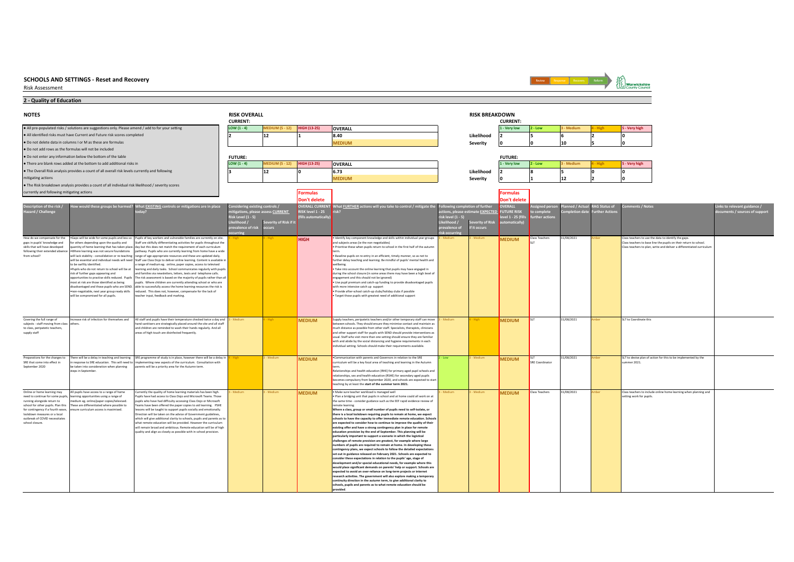Risk Assessment



## **2 - Quality of Education**

| <b>NOTES</b>                                                            |                                                                                                                      |                                                                                                                                                                                                                                                 | <b>RISK OVERALL</b>        |                                        |                     |                                                                                                                                                              |                              | <b>RISK BREAKDOWN</b>                                              |                                      |                               |                          |                                       |                                                                                                                                            |                                                            |
|-------------------------------------------------------------------------|----------------------------------------------------------------------------------------------------------------------|-------------------------------------------------------------------------------------------------------------------------------------------------------------------------------------------------------------------------------------------------|----------------------------|----------------------------------------|---------------------|--------------------------------------------------------------------------------------------------------------------------------------------------------------|------------------------------|--------------------------------------------------------------------|--------------------------------------|-------------------------------|--------------------------|---------------------------------------|--------------------------------------------------------------------------------------------------------------------------------------------|------------------------------------------------------------|
|                                                                         |                                                                                                                      |                                                                                                                                                                                                                                                 | <b>CURRENT:</b>            |                                        |                     |                                                                                                                                                              |                              |                                                                    | <b>CURRENT:</b>                      |                               |                          |                                       |                                                                                                                                            |                                                            |
|                                                                         | . All pre-populated risks / solutions are suggestions only. Please amend / add to for your setting                   |                                                                                                                                                                                                                                                 | LOW $(1 - 4)$              | <b>MEDIUM (5 - 12)</b>                 | <b>HIGH (13-25)</b> | <b>OVERALL</b>                                                                                                                                               |                              |                                                                    | 1 - Very low                         | $2 - Low$                     | - Medium                 | - High                                | 5 - Very high                                                                                                                              |                                                            |
|                                                                         | . All identified risks must have Current and Future risk scores completed                                            |                                                                                                                                                                                                                                                 | ١z                         | 12                                     |                     | 8.40                                                                                                                                                         |                              | Likelihood                                                         |                                      |                               |                          |                                       | U                                                                                                                                          |                                                            |
|                                                                         | . Do not delete data in columns I or M as these are formulas                                                         |                                                                                                                                                                                                                                                 |                            |                                        |                     | <b>MEDIUM</b>                                                                                                                                                |                              | Severity                                                           |                                      |                               | 10                       |                                       |                                                                                                                                            |                                                            |
|                                                                         | . Do not add rows as the formulas will not be included                                                               |                                                                                                                                                                                                                                                 |                            |                                        |                     |                                                                                                                                                              |                              |                                                                    |                                      |                               |                          |                                       |                                                                                                                                            |                                                            |
|                                                                         | . Do not enter any information below the bottom of the table                                                         |                                                                                                                                                                                                                                                 | <b>FUTURE:</b>             |                                        |                     |                                                                                                                                                              |                              |                                                                    | <b>FUTURE:</b>                       |                               |                          |                                       |                                                                                                                                            |                                                            |
|                                                                         | . There are blank rows added at the bottom to add additional risks in                                                |                                                                                                                                                                                                                                                 | LOW $(1 - 4)$              | <b>MEDIUM (5 - 12)</b>                 | HIGH (13-25)        | <b>OVERALL</b>                                                                                                                                               |                              |                                                                    | 1 - Very low                         | 2 - Low                       | - Medium                 | - High                                | 5 - Very high                                                                                                                              |                                                            |
|                                                                         | . The Overall Risk analysis provides a count of all overall risk levels currently and following                      |                                                                                                                                                                                                                                                 | l a                        | 12                                     |                     | 6.73                                                                                                                                                         |                              | Likelihood                                                         |                                      |                               |                          |                                       | U                                                                                                                                          |                                                            |
| mitigating actions                                                      |                                                                                                                      |                                                                                                                                                                                                                                                 |                            |                                        |                     | <b>MEDIUM</b>                                                                                                                                                |                              | Severity                                                           |                                      |                               | 12                       |                                       |                                                                                                                                            |                                                            |
|                                                                         | . The Risk breakdown analysis provides a count of all individual risk likelihood / severity scores                   |                                                                                                                                                                                                                                                 |                            |                                        |                     |                                                                                                                                                              |                              |                                                                    |                                      |                               |                          |                                       |                                                                                                                                            |                                                            |
| currently and following mitigating actions                              |                                                                                                                      |                                                                                                                                                                                                                                                 |                            |                                        | ormulas             |                                                                                                                                                              |                              |                                                                    | <b>Formulas</b>                      |                               |                          |                                       |                                                                                                                                            |                                                            |
|                                                                         |                                                                                                                      |                                                                                                                                                                                                                                                 |                            |                                        | Don't delete        |                                                                                                                                                              |                              |                                                                    | <b>Don't delete</b>                  |                               |                          |                                       |                                                                                                                                            |                                                            |
| scription of the risk /<br>Hazard / Challenge                           |                                                                                                                      | ow would these groups be harmed? What <b>EXISTING</b> controls or mitigations are in place                                                                                                                                                      | dering existing controls / | <b>igations, please assess CURRENT</b> | RISK level 1 - 25   | OVERALL CURRENT What <b>FURTHER</b> actions will you take to control / mitigate the                                                                          |                              | ollowing completion of further<br>ctions, please estimate EXPECTED | <b>OVERALL</b><br><b>FUTURE RISK</b> | igned pers                    | ned / Actua<br>tion date | <b>RAG Status of</b><br>urther Action | ents / Notes                                                                                                                               | inks to relevant guidance /<br>uments / sources of support |
|                                                                         |                                                                                                                      |                                                                                                                                                                                                                                                 | <b>Risk Level (1 - 5)</b>  |                                        | ills automatically  |                                                                                                                                                              | isk level (1 - 5)            |                                                                    | evel 1 - 25 (fill:                   | mplet<br><b>irther</b> action |                          |                                       |                                                                                                                                            |                                                            |
|                                                                         |                                                                                                                      |                                                                                                                                                                                                                                                 | kelihood                   | Severity of Risk if it                 |                     |                                                                                                                                                              |                              | everity of Risk                                                    | omatically                           |                               |                          |                                       |                                                                                                                                            |                                                            |
|                                                                         |                                                                                                                      |                                                                                                                                                                                                                                                 | revalence of risk occurs   |                                        |                     |                                                                                                                                                              | revalence of<br>isk occurrir | f it occurs                                                        |                                      |                               |                          |                                       |                                                                                                                                            |                                                            |
| How do we compensate for the                                            |                                                                                                                      | . Gaps will be wide for some pupils and less so Pupils of key workers and vulnerable families are currently on site.                                                                                                                            |                            |                                        | <b>HIGH</b>         | Identify key component knowledge and skills within individual year groups                                                                                    | Medium                       | Medium                                                             | <b>MEDIUM</b>                        | <b>Class Teachers</b>         | 31/08/2021               |                                       | Class teachers to use the data to identify the gaps.                                                                                       |                                                            |
| gaps in pupils' knowledge and<br>skills that will have developed        | for others depending upon the quality and                                                                            | Staff are skilfully differentiating activities for pupils throughout the<br>antity of home learning that has taken place. day but this does not match the requirement of each curriculum                                                        |                            |                                        |                     | and subjects areas (ie the non-negotiables)<br>Prioritise these when pupils return to school in the first half of the autumn                                 |                              |                                                                    |                                      |                               |                          |                                       | Class teachers to base line the pupils on their return to school.<br>Class teachers to plan, write and deliver a differentiated curriculum |                                                            |
|                                                                         |                                                                                                                      | following their extended absence . Where learning was not secure foundations pathway. Pupils who are currently learning from home have a wide                                                                                                   |                            |                                        |                     |                                                                                                                                                              |                              |                                                                    |                                      |                               |                          |                                       |                                                                                                                                            |                                                            |
| from school?                                                            |                                                                                                                      | will lack stability - consolidation or re-teaching range of age appropriate resources and these are updated daily.<br>will be essential and individual needs will need Staff use Class Dojo to deliver online learning. Content is available in |                            |                                        |                     | . Baseline pupils on re-entry in an efficient, timely manner, so as not to<br>further delay teaching and learning. Be mindful of pupils' mental health and   |                              |                                                                    |                                      |                               |                          |                                       |                                                                                                                                            |                                                            |
|                                                                         | to be swiftly identified.                                                                                            | a range of medium eg. online, paper copies, access to televised                                                                                                                                                                                 |                            |                                        |                     | wellbeing.                                                                                                                                                   |                              |                                                                    |                                      |                               |                          |                                       |                                                                                                                                            |                                                            |
|                                                                         | risk of further gaps appearing and                                                                                   | . Pupils who do not return to school will be at learning and daily tasks. School communicates regularly with pupils<br>and families via newsletters, letters, texts and telephone calls.                                                        |                            |                                        |                     | . Take into account the online learning that pupils may have engaged in<br>during the school closure (in some areas there may have been a high level of      |                              |                                                                    |                                      |                               |                          |                                       |                                                                                                                                            |                                                            |
|                                                                         | most at risk are those identified as being                                                                           | opportunities to practise skills reduced. Pupils The risk assessment is based on the majority of pupils rather than all<br>pupils. Where children are currently attending school or who are                                                     |                            |                                        |                     | engagement and this should not be ignored)<br>. Use pupil premium and catch-up funding to provide disadvantaged pupils                                       |                              |                                                                    |                                      |                               |                          |                                       |                                                                                                                                            |                                                            |
|                                                                         |                                                                                                                      | disadvantaged and those pupils who are SEND. able to successfully access the home learning resources the risk is                                                                                                                                |                            |                                        |                     | with more intensive catch up support                                                                                                                         |                              |                                                                    |                                      |                               |                          |                                       |                                                                                                                                            |                                                            |
|                                                                         | will be compromised for all pupils.                                                                                  | .non-negotiable, next year group ready skills reduced. This does not, however, compensate for the lack of<br>teacher input, feedback and marking.                                                                                               |                            |                                        |                     | · Provide after-school catch-up clubs/holiday clubs if possible<br>· Target those pupils with greatest need of additional support                            |                              |                                                                    |                                      |                               |                          |                                       |                                                                                                                                            |                                                            |
|                                                                         |                                                                                                                      |                                                                                                                                                                                                                                                 |                            |                                        |                     |                                                                                                                                                              |                              |                                                                    |                                      |                               |                          |                                       |                                                                                                                                            |                                                            |
|                                                                         |                                                                                                                      |                                                                                                                                                                                                                                                 |                            |                                        |                     |                                                                                                                                                              |                              |                                                                    |                                      |                               |                          |                                       |                                                                                                                                            |                                                            |
|                                                                         |                                                                                                                      |                                                                                                                                                                                                                                                 |                            |                                        |                     |                                                                                                                                                              |                              |                                                                    |                                      |                               |                          |                                       |                                                                                                                                            |                                                            |
| Covering the full range of<br>subjects - staff moving from class        | Increase risk of infection for themselves and<br>others.                                                             | All staff and pupils have their temperature checked twice a day and<br>hand sanitisers are strategically placed around the site and all staff                                                                                                   |                            |                                        | <b>MEDIUM</b>       | upply teachers, peripatetic teachers and/or other temporary staff can move<br>tween schools. They should ensure they minimise contact and maintain as        |                              |                                                                    | <b>MEDIUM</b>                        |                               | 31/08/2021               |                                       | SLT to Coordinate this                                                                                                                     |                                                            |
| to class, peripatetic teachers,                                         |                                                                                                                      | and children are reminded to wash their hands regularly. And all                                                                                                                                                                                |                            |                                        |                     | much distance as possible from other staff. Specialists, therapists, clinicians                                                                              |                              |                                                                    |                                      |                               |                          |                                       |                                                                                                                                            |                                                            |
| supply staff                                                            |                                                                                                                      | areas of high touch are disinfected frequently.                                                                                                                                                                                                 |                            |                                        |                     | and other support staff for pupils with SEND should provide interventions as<br>usual. Staff who visit more than one setting should ensure they are familiar |                              |                                                                    |                                      |                               |                          |                                       |                                                                                                                                            |                                                            |
|                                                                         |                                                                                                                      |                                                                                                                                                                                                                                                 |                            |                                        |                     | with and abide by the social distancing and hygiene requirements in each                                                                                     |                              |                                                                    |                                      |                               |                          |                                       |                                                                                                                                            |                                                            |
|                                                                         |                                                                                                                      |                                                                                                                                                                                                                                                 |                            |                                        |                     | individual setting. Schools should make their requirements available.                                                                                        |                              |                                                                    |                                      |                               |                          |                                       |                                                                                                                                            |                                                            |
| Preparations for the changes to                                         |                                                                                                                      | There will be a delay in teaching and learning SRE programme of study is in place, however there will be a delay in                                                                                                                             |                            | - Medium                               | <b>MEDIUM</b>       | Communication with parents and Governors in relation to the SRE                                                                                              | - Low                        | Medium                                                             | <b>MEDIUM</b>                        |                               | 31/08/2021               |                                       | SLT to devise plan of action for this to be implemented by the                                                                             |                                                            |
| SRE that come into effect in<br>September 2020                          | be taken into consideration when planning                                                                            | response to SRE education. This will need to implementing new aspects of the curriculum. Consultation with<br>parents will be a priority area for the Autumn term.                                                                              |                            |                                        |                     | urriculum will be a key focal area of teaching and learning in the Autumn                                                                                    |                              |                                                                    |                                      | SRE Coordinator               |                          |                                       | ummer 2021.                                                                                                                                |                                                            |
|                                                                         | steps in September.                                                                                                  |                                                                                                                                                                                                                                                 |                            |                                        |                     | Relationships and health education (RHE) for primary aged pupil schools and                                                                                  |                              |                                                                    |                                      |                               |                          |                                       |                                                                                                                                            |                                                            |
|                                                                         |                                                                                                                      |                                                                                                                                                                                                                                                 |                            |                                        |                     | elationships, sex and health education (RSHE) for secondary aged pupils<br>ecomes compulsory from September 2020, and schools are expected to start          |                              |                                                                    |                                      |                               |                          |                                       |                                                                                                                                            |                                                            |
|                                                                         |                                                                                                                      |                                                                                                                                                                                                                                                 |                            |                                        |                     | eaching by at least the start of the summer term 2021.                                                                                                       |                              |                                                                    |                                      |                               |                          |                                       |                                                                                                                                            |                                                            |
| Online or home learning may                                             | All pupils have access to a range of home                                                                            | Currently the quality of home learning materials has been high.                                                                                                                                                                                 | Medium                     | - Medium                               | <b>MEDIUM</b>       | · Make sure teacher workload is managed well<br>. Plan a bridging unit that pupils in school and at home could all work on at                                | Medium                       | - Medium                                                           | <b>MEDIUM</b>                        | <b>Class Teachers</b>         | 31/08/2021               |                                       | Class teachers to include online home learning when planning and                                                                           |                                                            |
| running alongside return to                                             | need to continue for some pupils, learning opportunities using a range of<br>dium eg. online/paper copies/televised. | Pupils have had access to Class Doio and Microsoft Teams. Those<br>pupils who have had difficulty accessing Class Dojo or Microsoft                                                                                                             |                            |                                        |                     | the same time - consider guidance such as the EEF rapid evidence review of                                                                                   |                              |                                                                    |                                      |                               |                          |                                       | setting work for pupils.                                                                                                                   |                                                            |
| school for other pupils. Plan this<br>for contingency if a fourth wave, | These are differentiated where possible to<br>ensure curriculum access is maximised.                                 | Teams have been offered the naner conjes to aid learning PSHE<br>lessons will be taught to support pupils socially and emotionally.                                                                                                             |                            |                                        |                     | remote learning<br>Where a class, group or small number of pupils need to self-isolate, or                                                                   |                              |                                                                    |                                      |                               |                          |                                       |                                                                                                                                            |                                                            |
| lockdown measures or a local                                            |                                                                                                                      | Direction will be taken on the advice of Government guidelines.                                                                                                                                                                                 |                            |                                        |                     | there is a local lockdown requiring pupils to remain at home, we expect                                                                                      |                              |                                                                    |                                      |                               |                          |                                       |                                                                                                                                            |                                                            |
| outbreak of COVID necessitates<br>school closure.                       |                                                                                                                      | which will give additional clarity to schools, pupils and parents as to<br>what remote education will be provided. However the curriculum                                                                                                       |                            |                                        |                     | schools to have the capacity to offer immediate remote education. Schools<br>are expected to consider how to continue to improve the quality of their        |                              |                                                                    |                                      |                               |                          |                                       |                                                                                                                                            |                                                            |
|                                                                         |                                                                                                                      | will remain broad and ambitious. Remote education will be of high                                                                                                                                                                               |                            |                                        |                     | existing offer and have a strong contingency plan in place for remote                                                                                        |                              |                                                                    |                                      |                               |                          |                                       |                                                                                                                                            |                                                            |
|                                                                         |                                                                                                                      | quality and align as closely as possible with in school provision                                                                                                                                                                               |                            |                                        |                     | education provision by the end of September. This planning will be<br>particularly important to support a scenario in which the logistical                   |                              |                                                                    |                                      |                               |                          |                                       |                                                                                                                                            |                                                            |
|                                                                         |                                                                                                                      |                                                                                                                                                                                                                                                 |                            |                                        |                     | challenges of remote provision are greatest, for example where large                                                                                         |                              |                                                                    |                                      |                               |                          |                                       |                                                                                                                                            |                                                            |
|                                                                         |                                                                                                                      |                                                                                                                                                                                                                                                 |                            |                                        |                     | numbers of pupils are required to remain at home. In developing these<br>contingency plans, we expect schools to follow the detailed expectations            |                              |                                                                    |                                      |                               |                          |                                       |                                                                                                                                            |                                                            |
|                                                                         |                                                                                                                      |                                                                                                                                                                                                                                                 |                            |                                        |                     | set out in guidance released on February 2021. Schools are expected to                                                                                       |                              |                                                                    |                                      |                               |                          |                                       |                                                                                                                                            |                                                            |
|                                                                         |                                                                                                                      |                                                                                                                                                                                                                                                 |                            |                                        |                     | consider these expectations in relation to the pupils' age, stage of<br>development and/or special educational needs, for example where this                 |                              |                                                                    |                                      |                               |                          |                                       |                                                                                                                                            |                                                            |
|                                                                         |                                                                                                                      |                                                                                                                                                                                                                                                 |                            |                                        |                     | would place significant demands on parents' help or support. Schools are                                                                                     |                              |                                                                    |                                      |                               |                          |                                       |                                                                                                                                            |                                                            |
|                                                                         |                                                                                                                      |                                                                                                                                                                                                                                                 |                            |                                        |                     | expected to avoid an over-reliance on long-term projects or internet<br>research activities. The government will also explore making a temporary             |                              |                                                                    |                                      |                               |                          |                                       |                                                                                                                                            |                                                            |
|                                                                         |                                                                                                                      |                                                                                                                                                                                                                                                 |                            |                                        |                     | continuity direction in the autumn term, to give additional clarity to<br>schools, pupils and parents as to what remote education should be                  |                              |                                                                    |                                      |                               |                          |                                       |                                                                                                                                            |                                                            |
|                                                                         |                                                                                                                      |                                                                                                                                                                                                                                                 |                            |                                        |                     | pebivone                                                                                                                                                     |                              |                                                                    |                                      |                               |                          |                                       |                                                                                                                                            |                                                            |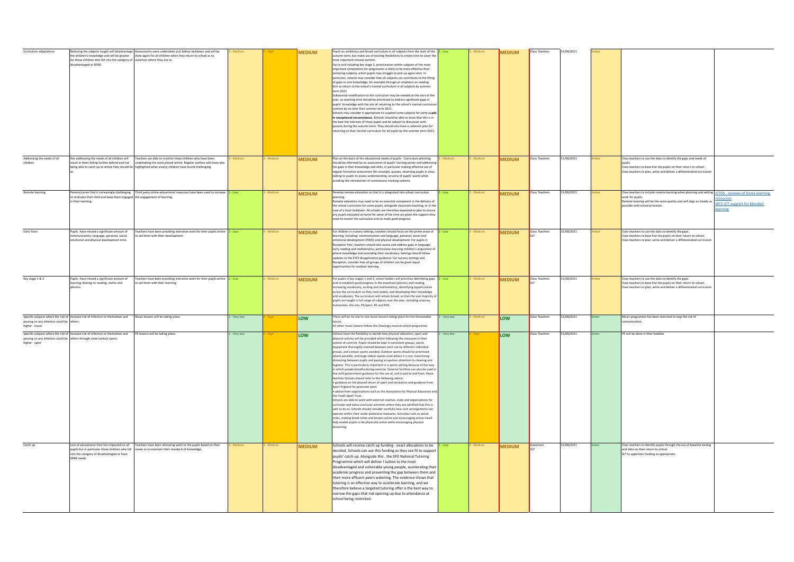| Curriculum adaptations                                     | for those children who fall into the category of ascertain where they are at.<br>disadvantaged or SEND.                                                                                    | educing the subjects taught will disadvantage Assessments were undertaken just before lockdown and will be<br>the children's knowledge and will be greater done again for all children when they return to school as to                      |            |          | <b>MEDIUM</b> | Teach an ambitious and broad curriculum in all subjects from the start of the<br>autumn term, but make use of existing flexibilities to create time to cover the<br>nost important missed content.<br>Up to and including key stage 3, prioritisation within subjects of the most<br>important components for progression is likely to be more effective than<br>removing subjects, which pupils may struggle to pick up again later. In<br>particular, schools may consider how all subjects can contribute to the filling<br>of gaps in core knowledge, for example through an emphasis on reading<br>Aim to return to the school's normal curriculum in all subjects by summer<br>term 2021.<br>Substantial modification to the curriculum may be needed at the start of the<br>year, so teaching time should be prioritised to address significant gaps in<br>pupils' knowledge with the aim of returning to the school's normal curriculur<br>content by no later than summer term 2021.<br>Schools may consider it appropriate to suspend some subjects for some pupils<br>in exceptional circumstances. Schools should be able to show that this is in<br>the best the interests of these pupils and be subject to discussion with<br>parents during the autumn term. They should also have a coherent plan for<br>eturning to their normal curriculum for all pupils by the summer term 2021.                                                                                                                                                                                           | Low        |          | <b>MEDIUM</b> | Class Teachers        | 31/08/2021 |                                                                                                                                                                                                                |                                                                                                     |
|------------------------------------------------------------|--------------------------------------------------------------------------------------------------------------------------------------------------------------------------------------------|----------------------------------------------------------------------------------------------------------------------------------------------------------------------------------------------------------------------------------------------|------------|----------|---------------|-------------------------------------------------------------------------------------------------------------------------------------------------------------------------------------------------------------------------------------------------------------------------------------------------------------------------------------------------------------------------------------------------------------------------------------------------------------------------------------------------------------------------------------------------------------------------------------------------------------------------------------------------------------------------------------------------------------------------------------------------------------------------------------------------------------------------------------------------------------------------------------------------------------------------------------------------------------------------------------------------------------------------------------------------------------------------------------------------------------------------------------------------------------------------------------------------------------------------------------------------------------------------------------------------------------------------------------------------------------------------------------------------------------------------------------------------------------------------------------------------------------------------------------------------------------------------------------------------|------------|----------|---------------|-----------------------|------------|----------------------------------------------------------------------------------------------------------------------------------------------------------------------------------------------------------------|-----------------------------------------------------------------------------------------------------|
| Addressing the needs of all<br>children                    | Not addressing the needs of all children will<br>result in them falling further behind and not                                                                                             | Teachers are able to monitor those children who have been<br>undertaking the work placed online. Regular welfare calls have also<br>being able to catch up to where they should be highlighted what area(s) children have found challenging. |            |          | <b>MEDIUM</b> | Plan on the basis of the educational needs of pupils - Curriculum planning<br>should be informed by an assessment of pupils' starting points and addressir<br>the gaps in their knowledge and skills, in particular making effective use of<br>regular formative assessment (for example, quizzes, observing pupils in class,<br>talking to pupils to assess understanding, scrutiny of pupils' work) while<br>voiding the introduction of unnecessary tracking systems.                                                                                                                                                                                                                                                                                                                                                                                                                                                                                                                                                                                                                                                                                                                                                                                                                                                                                                                                                                                                                                                                                                                        |            |          | <b>MEDIUM</b> | Class Teachers        | 31/08/2021 | Class teachers to use the data to identify the gaps and needs of<br>Class teachers to base line the pupils on their return to school.<br>Class teachers to plan, write and deliver a differentiated curriculur |                                                                                                     |
| Remote learning                                            | o motivate their child and keep them engaged the engagement of learning.<br>in their learning.                                                                                             | arents/carers find it increasingly challenging Third party online educational resources have been used to increase                                                                                                                           | - Low      | Medium   | <b>MEDIUM</b> | Develop remote education so that it is integrated into school curriculum<br>Remote education may need to be an essential component in the delivery of<br>the school curriculum for some pupils, alongside classroom teaching, or in the<br>case of a local lockdown. All schools are therefore expected to plan to ensure<br>any pupils educated at home for some of the time are given the support they<br>need to master the curriculum and so make good progress.                                                                                                                                                                                                                                                                                                                                                                                                                                                                                                                                                                                                                                                                                                                                                                                                                                                                                                                                                                                                                                                                                                                            | - Low      |          | <b>MEDIUM</b> | Class Teachers        | 31/08/2021 | Class teachers to include remote learning when planning and setting<br>work for pupils.<br>Remote learning will be the same quality and will align as closely as<br>ossible with school provision.             | <b>ICTDS</b> - reviews of home learning<br>sources<br><b>WCC ICT support for blended</b><br>earning |
| Early Years                                                | Pupils have missed a significant amount of<br>nmunication, language, personal, social,<br>notional and physical development time.                                                          | Teachers have been providing interative work for their pupils online $2 - Low$<br>aid them with their development.                                                                                                                           |            | - Medium | <b>MEDIUM</b> | For children in nursery settings, teachers should focus on the prime areas of $2 - Low$<br>learning, including: communication and language, personal, social and<br>emotional development (PSED) and physical development. For pupils in<br>Reception Year, teachers should also assess and address gaps in language.<br>early reading and mathematics, particularly ensuring children's acquisition of<br>phonic knowledge and extending their vocabulary. Settings should follow<br>updates to the EYFS disapplication guidance. For nursery settings and<br>Reception, consider how all groups of children can be given equal<br>opportunities for outdoor learning.                                                                                                                                                                                                                                                                                                                                                                                                                                                                                                                                                                                                                                                                                                                                                                                                                                                                                                                         |            | - Medium | <b>MEDIUM</b> | <b>Class Teachers</b> | 31/08/2021 | Class teachers to use the data to identify the gaps.<br>Class teachers to base line the pupils on their return to school.<br>Class teachers to plan, write and deliver a differentiated curriculur             |                                                                                                     |
| Key stage 1 & 2                                            | Pupils have missed a significant amount of<br>earning relating to reading, maths and                                                                                                       | Teachers have been providing interative work for their pupils online 2 - Low<br>to aid them with their learning.                                                                                                                             |            | - Medium | <b>MEDIUM</b> | For pupils in key stages 1 and 2, school leaders will prioritise identifying gaps $2 - \text{Low}$<br>and re-establish good progress in the essentials (phonics and reading,<br>ncreasing vocabulary, writing and mathematics), identifying opportunities<br>across the curriculum so they read widely, and developing their knowledge<br>and vocabulary. The curriculum will remain broad, so that the vast majority of<br>pupils are taught a full range of subjects over the year, including sciences,<br>humanities, the arts, PE/sport, RE and RHE.                                                                                                                                                                                                                                                                                                                                                                                                                                                                                                                                                                                                                                                                                                                                                                                                                                                                                                                                                                                                                                        |            | - Medium | <b>MEDIUM</b> | <b>Class Teachers</b> | 31/08/2021 | Class teachers to use the data to identify the gaps.<br>Class teachers to base line the pupils on their return to school.<br>Class teachers to plan, write and deliver a differentiated curriculun             |                                                                                                     |
| passing on any infection could be others<br>higher - music | Specific subjects where the risk of Increase risk of infection to themselves and Music lessons will be taking place.                                                                       |                                                                                                                                                                                                                                              | - Very low |          | LOW           | There will be no one to one music lessons taking place for the foreseeable<br>All other music lessons follow the Charanga musical school programme                                                                                                                                                                                                                                                                                                                                                                                                                                                                                                                                                                                                                                                                                                                                                                                                                                                                                                                                                                                                                                                                                                                                                                                                                                                                                                                                                                                                                                              | - Very low | Medium   | LOW           | Class Teachers        | 31/08/2021 | Music programme has been restrcted to stop the risk of                                                                                                                                                         |                                                                                                     |
| higher - sport                                             | Specific subjects where the risk of Increase risk of infection to themselves and PE lessons will be taking place.<br>passing on any infection could be others through close contact sports |                                                                                                                                                                                                                                              | - Very low |          | LOW           | Schools have the flexibility to decide how physical education, sport and<br>physical activity will be provided whilst following the measures in their<br>system of controls. Pupils should be kept in consistent groups, sports<br>equipment thoroughly cleaned between each use by different individual<br>groups, and contact sports avoided. Outdoor sports should be prioritised<br>where possible, and large indoor spaces used where it is not, maximising<br>distancing between pupils and paying scrupulous attention to cleaning and<br>hygiene. This is particularly important in a sports setting because of the way<br>in which people breathe during exercise. External facilities can also be used in<br>line with government guidance for the use of, and travel to and from, those<br>facilities Schools should refer to the following advice:<br>· guidance on the phased return of sport and recreation and guidance from<br>Sport England for grassroot sport<br>· advice from organisations such as the Association for Physical Education and<br>the Youth Sport Trust<br>Schools are able to work with external coaches, clubs and organisations for<br>curricular and extra-curricular activities where they are satisfied that this is<br>safe to do so. Schools should consider carefully how such arrangements can<br>operate within their wider protective measures. Activities such as active<br>miles, making break times and lessons active and encouraging active travel<br>help enable pupils to be physically active while encouraging physical<br>distancing. | - Very low |          | LOW           | <b>Class Teachers</b> | 31/08/2021 | PE will be done in their bubbles                                                                                                                                                                               |                                                                                                     |
| Catch up                                                   | upils but in particular those children who fall<br>into the category of disadvantaged or have<br>SEND needs                                                                                | Loss of educational time has impacted on all Teachers have been allocating work to the pupils based on their<br>needs as to maintain their standard of knowledge                                                                             | - Medium   | - Medium | <b>MEDIUM</b> | Schools will receive catch up funding - exact allocations to be $2 - \text{Low}$<br>decided. Schools can use this funding as they see fit to support<br>pupils' catch up. Alongside this, the DFE National Tutoring<br>Programme which will deliver I tuition to the most<br>disadvantaged and vulnerable young people, accelerating their<br>academic progress and preventing the gap between them and<br>their more affluent peers widening. The evidence shows that<br>tutoring is an effective way to accelerate learning, and we<br>therefore believe a targeted tutoring offer is the best way to<br>narrow the gaps that risk opening up due to attendance at<br>school being restricted.                                                                                                                                                                                                                                                                                                                                                                                                                                                                                                                                                                                                                                                                                                                                                                                                                                                                                                |            | Medium   | <b>MEDIUM</b> | Governors             | 31/08/2021 | Class teachers to identify pupils through the use of baseline testing<br>and data on their return to school<br>SLT to apportion funding as appropriate.                                                        |                                                                                                     |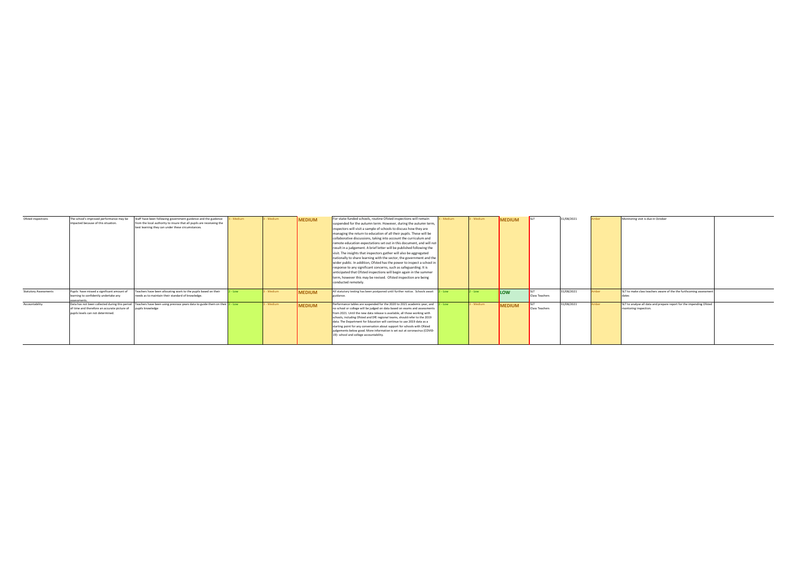| Ofsted inspections           | The school's improved performance may be     | Staff have been following government guidence and the guidence                                                             | Medium | 3 - Medium | <b>MEDIUM</b> | For state-funded schools, routine Ofsted inspections will remain                 | - Medium | 3 - Medium | <b>MEDIUM</b> | <b>ISIT</b>           | 31/08/2021 | mher | Monitoring visit is due in October                                  |  |
|------------------------------|----------------------------------------------|----------------------------------------------------------------------------------------------------------------------------|--------|------------|---------------|----------------------------------------------------------------------------------|----------|------------|---------------|-----------------------|------------|------|---------------------------------------------------------------------|--|
|                              | impacted because of this situation.          | from the local authority to insure that all pupils are receiveing the                                                      |        |            |               | suspended for the autumn term. However, during the autumn term,                  |          |            |               |                       |            |      |                                                                     |  |
|                              |                                              | best learning they can under these circumstances.                                                                          |        |            |               | inspectors will visit a sample of schools to discuss how they are                |          |            |               |                       |            |      |                                                                     |  |
|                              |                                              |                                                                                                                            |        |            |               | managing the return to education of all their pupils. These will be              |          |            |               |                       |            |      |                                                                     |  |
|                              |                                              |                                                                                                                            |        |            |               | collaborative discussions, taking into account the curriculum and                |          |            |               |                       |            |      |                                                                     |  |
|                              |                                              |                                                                                                                            |        |            |               | remote education expectations set out in this document, and will not             |          |            |               |                       |            |      |                                                                     |  |
|                              |                                              |                                                                                                                            |        |            |               | result in a judgement. A brief letter will be published following the            |          |            |               |                       |            |      |                                                                     |  |
|                              |                                              |                                                                                                                            |        |            |               | visit. The insights that inspectors gather will also be aggregated               |          |            |               |                       |            |      |                                                                     |  |
|                              |                                              |                                                                                                                            |        |            |               | nationally to share learning with the sector, the government and the             |          |            |               |                       |            |      |                                                                     |  |
|                              |                                              |                                                                                                                            |        |            |               | wider public. In addition, Ofsted has the power to inspect a school in           |          |            |               |                       |            |      |                                                                     |  |
|                              |                                              |                                                                                                                            |        |            |               | response to any significant concerns, such as safeguarding. It is                |          |            |               |                       |            |      |                                                                     |  |
|                              |                                              |                                                                                                                            |        |            |               | anticipated that Ofsted inspections will begin again in the summer               |          |            |               |                       |            |      |                                                                     |  |
|                              |                                              |                                                                                                                            |        |            |               | term, however this may be revised. Ofsted inspection are being                   |          |            |               |                       |            |      |                                                                     |  |
|                              |                                              |                                                                                                                            |        |            |               | conducted remotely.                                                              |          |            |               |                       |            |      |                                                                     |  |
|                              |                                              |                                                                                                                            |        |            |               |                                                                                  |          |            |               |                       |            |      |                                                                     |  |
| <b>Statutory Assessments</b> | Pupils have missed a significant amount of   | Teachers have been allocating work to the pupils based on their                                                            | Low -  | 3 - Medium | <b>MEDIUM</b> | All statutory testing has been postponed until further notice. Schools await     | - Low    | $-$ Low    | <b>ILOW</b>   |                       | 31/08/2021 | nber | SLT to make class teachers aware of the the furthcoming assessment  |  |
|                              | learning to confidently undertake any        | needs as to maintain their standard of knowledge.                                                                          |        |            |               |                                                                                  |          |            |               | <b>Class Teachers</b> |            |      |                                                                     |  |
|                              | coeconent                                    |                                                                                                                            |        |            |               |                                                                                  |          |            |               |                       |            |      |                                                                     |  |
| Accountability               |                                              | Data has not been collected during this period Teachers have been using previous years data to guide them on their 2 - Low |        | 3 - Medium | <b>MEDIUM</b> | Performance tables are suspended for the 2020 to 2021 academic year, and 2 - Low |          | - Medium   | <b>MEDIUM</b> | <b>SIT</b>            | 31/08/2021 | nber | SLT to analyse all data and prepare report for the impending Ofsted |  |
|                              | of time and therefore an accurate picture of | pupils knowledge                                                                                                           |        |            |               | no school or college will be judged on data based on exams and assessments       |          |            |               | <b>Class Teachers</b> |            |      | montoring inspection.                                               |  |
|                              | pupils levels can not determined.            |                                                                                                                            |        |            |               | from 2021. Until the new data release is available, all those working with       |          |            |               |                       |            |      |                                                                     |  |
|                              |                                              |                                                                                                                            |        |            |               | schools, including Ofsted and DfE regional teams, should refer to the 2019       |          |            |               |                       |            |      |                                                                     |  |
|                              |                                              |                                                                                                                            |        |            |               | data. The Department for Education will continue to use 2019 data as a           |          |            |               |                       |            |      |                                                                     |  |
|                              |                                              |                                                                                                                            |        |            |               | starting point for any conversation about support for schools with Ofsted        |          |            |               |                       |            |      |                                                                     |  |
|                              |                                              |                                                                                                                            |        |            |               | judgements below good. More information is set out at coronavirus (COVID-        |          |            |               |                       |            |      |                                                                     |  |
|                              |                                              |                                                                                                                            |        |            |               | 19): school and college accountability.                                          |          |            |               |                       |            |      |                                                                     |  |
|                              |                                              |                                                                                                                            |        |            |               |                                                                                  |          |            |               |                       |            |      |                                                                     |  |
|                              |                                              |                                                                                                                            |        |            |               |                                                                                  |          |            |               |                       |            |      |                                                                     |  |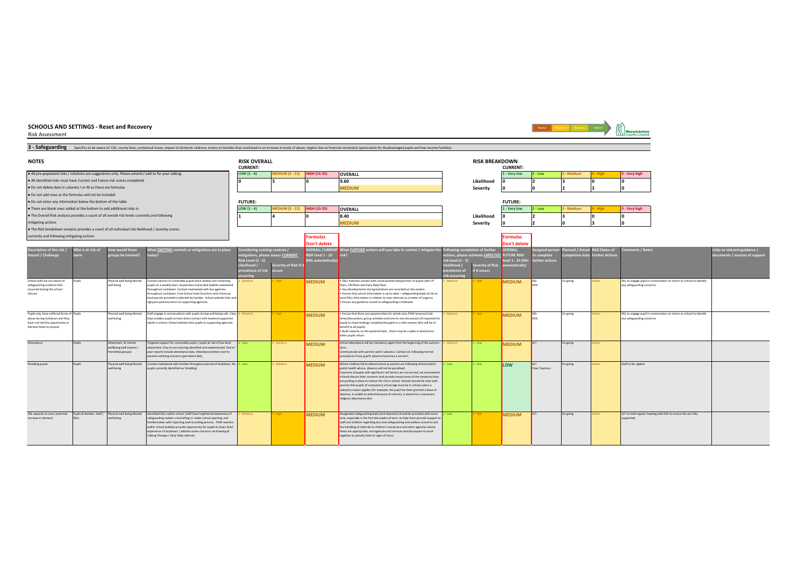Risk Assessment



Review Response Recovery Reform

Warwicksh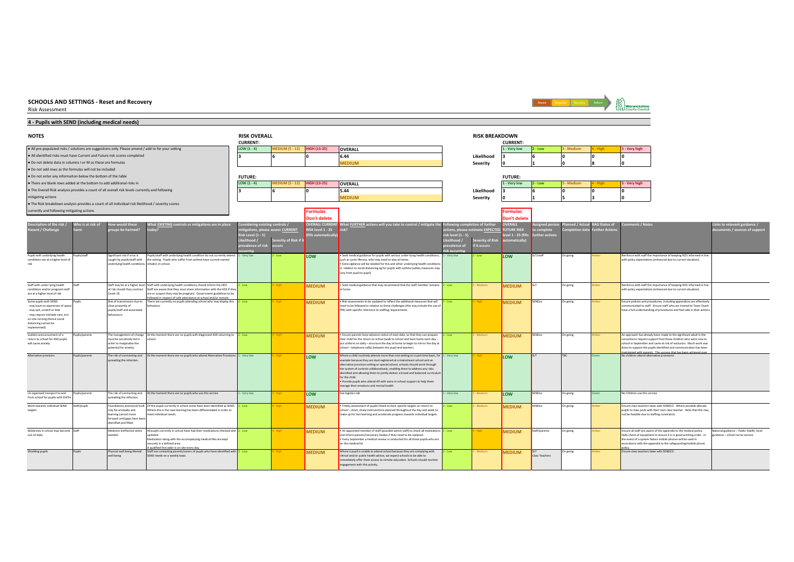Risk Assessment

#### **4 - Pupils with SEND (including medical needs)**



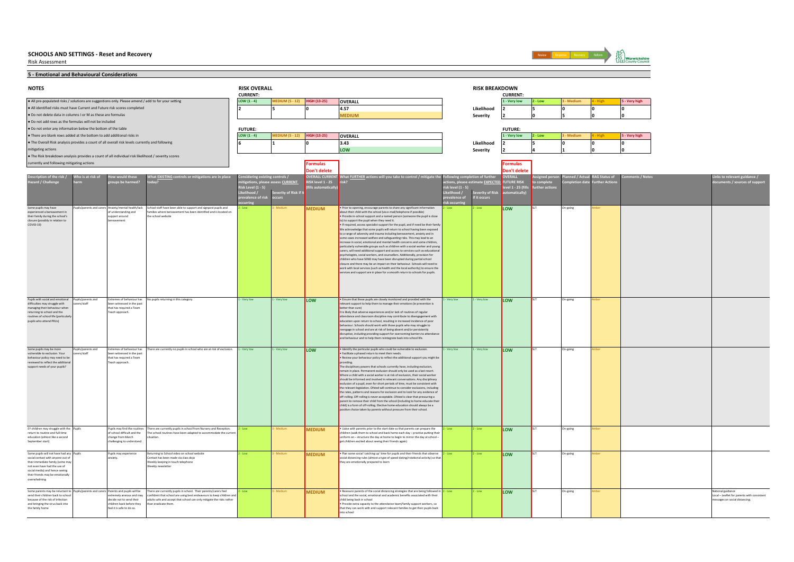Risk Assessment



**5 - Emotional and Behavioural Considerations** ● All pre-populated risks / solutions are suggestions only. Please amend / add to for your setting the state of the state of the state of the state of the state of the state of the state of the state of the state of the s ● All identified risks must have Current and Future risk scores completed **4.57 Likelihood 2 5 0 0 0** ● Do not delete data in columns I or M as these are formulas **MEDIUM Severity 2 0 5 0 0** ● Do not add rows as the formulas will not be included ● Do not enter any information below the bottom of the table ●There are blank rows added at the bottom to add additional risks in the state of the state of the state of the state of the state of the state of the state of the state of the state of the state of the state of the state ● The Overall Risk analysis provides a count of all overall risk levels currently and following **3.43 Likelihood 2 5 0 0 0** mitigating actions **LOW Severity 2 4 1 0 0** ● The Risk breakdown analysis provides a count of all individual risk likelihood / severity scores currently and following mitigating actions **Formulas Formulas Don't delete Don't delete Likelihood / prevalence of risk occurring Severity of Risk if it occurs Likelihood / risk level (1 - 5) prevalence of risk occurring Severity of Risk if it occurs** Some pupils may have<br>experienced a bereave experienced a bereavement in their family during the school's sure (possibly in relation to COVID-19) Pupils/parents and carers Anxiety/mental health/lack ...<br>derstanding and support around bereavement 2 - Low 3 - Medium **MEDIUM** • Prior to opening, encourage parents to share any significant information about their child with the school (via e-mail/telephone if possible) • Provide in-school support and a named person (someone the pupil is close to support the pupil when they need it. • If required, access specialist support for the pupil, and if need be their family We acknowledge that some pupils will return to school having been exposed to a range of adversity and trauma including bereavement, anxiety and in some cases increased welfare and safeguarding risks. This may lead to an increase in social, emotional and mental health concerns and some children, particularly vulnerable groups such as children with a social worker and young<br>carers, will need additional support and access to services such as educational<br>psychologists, social workers, and counsellors. Additionally, p ildren who have SEND may have been disrupted during partial school closure and there may be an impact on their behaviour. Schools will need to work with local services (such as health and the local authority) to ensure the services and support are in place for a smooth return to schools for pupils. 2 - Low **LOW** SLT On-going Amber Pupils with social and emotional difficulties may struggle with managing their behaviour when returning to school and the routines of school life (particularly pupils who attend PRUs) pils/parents and ers/staf emes of behaviour has been witnessed in the past that has required a Team Teach approach. 1 - Very low 1 - Very low **LOW** • Ensure that these pupils are closely monitored and provided with the evant support to help them to manage their emotions (ie pre etter than cure) It is likely that adverse experiences and/or lack of routines of regular attendance and classroom discipline may contribute to disengagement with education upon return to school, resulting in increased incidence of poor behaviour. Schools should work with those pupils who may struggle to reengage in school and are at risk of being absent and/or persistently disruptive, including providing support for overcoming barriers to attendance and behaviour and to help them reintegrate back into school life. 1 - Very low 1 - Very low **LOW** SLT On-going Amber Some pupils may be more vulnerable to exclusion. Your behaviour policy may need to be reviewed to reflect the additional support needs of your pupils? Pupils/parents and pang pana Extremes of behaviour has been witnessed in the past that has required a Team each approach. 1 - Very low 1 - Very low **LOW** • Identify the particular pupils who could be vulnerable to exclusion. • Facilitate a phased return to meet their needs. Review your behaviour policy to reflect the additional support you might b providing. The disciplinary powers that schools currently have, including exclusion, remain in place. Permanent exclusion should only be used as a last resort. Where a child with a social worker is at risk of exclusion, their social worker should be informed and involved in relevant conversations. Any disciplinary exclusion of a pupil, even for short periods of time, must be consistent with the relevant legislation. Ofsted will continue to consider exclusions, including the rates, patterns and reasons for exclusion and to look for any evidence of the rates, patterns and reasons for exclusion and to look for any evidence of frequiling. Off-rolling is never acceptable. Ofsted is clear that off-rolling. Off-rolling is never acceptable. Ofsted is clear that pressuring a parent to remove their child from the school (including to home educate their child) is a form of off-rolling. Elective home education should always be a positive choice taken by parents without pressure from their school. 1 - Very low 1 - Very low **LOW** SLT On-going Amber EY children may struggle with the return to routine and full-time education (almost like a second September start) Pupils Pupils may find the routines of school difficult and the change from March lenging to understand 2 - Low 3 - Medium **MEDIUM** • Liaise with parents prior to the start date so that parents can prepare the<br>
children (walk them to school and back home each day – practise putting their uniform on – structure the day at home to begin to mirror the day at school – annom on Taracture the day at none to degin to n<br>get children excited about seeing their friends again) 2 - Low 2 - Low **LOW** SLT On-going Amber Some pupils will not have had an social contact with anyone out of their immediate family (some may not even have had the use of social media) and hence seeing their friends may be emotional overwhelming Pupils Pupils may experience deb 2 - Low 3 - Medium **MEDIUM** • Plan some social 'catching up' time for pupils and their friends that observe social is that observe social distancing rules (almost a type of speed dating/rotational activity) so that the distancing rates (almost a type of 2 - Low 2 - Low **LOW** SLT On-going Amber Some parents may be reluctant send their children back to scho because of the risk of infection and bringing the virus back into the family home Pupils/parents and carers Parents and pupils will be tremely anxious and may decide not to send their children back before they feel it is safe to do so. **MEDIUM** • Reassure parents of the social distancing strategies that are being followed in school and the social, emotional and academic benefits associated with their child being back in school • Provide extra capacity to the attendance team/family support workers, so that they can work with and support relevant families to get their pupils back<br>that they can work with and support relevant families to get their pupils back into school 2 - Low **LOW S**LT On-going Amber 2 - Low National guidance Local – Leaflet for parents with consistent ssages on social distancing. ere are currently no pupils in school who are at risk of exclusion. **RAG Status of Further Actions Comments / Notes** There are currently pupils in school. Their parents/carers feel<br>confident that school are using best endeavours to keep children a confident that school are using best endeavours to keep children and adults safe and accept that school can only mitigate the risks rather n eradicate them There are currently pupils in school from Nursery and Reception. The school routines have been adapted to accommodate the current situation. eturning to School video on school website tact has been made via class dojo Weekly keeping in touch telephone Weekly newsletter ool staff have been able to support and signpost pupils and<br>nilies where bereavement has been identified and is located ent has been identified and is located on the school website **VERALL CURR RISK level 1 - 25 (fills automatically) EURTHER actions will you take to control / mitigate risk? Following completion of further actions, please estimate EXPECTED OVERALL FUTURE RISK level 1 - 25 (fills automatically) Assigned person to complete further actions Planned / Actual Completion date Links to relevant guidance / documents / sources of support FUTURE: FUTURE: 6 1 0 NOTES RISK OVERALL RISK BREAKDOWN CURRENT: CURRENT: Description of the risk / Hazard / Challenge Who is at risk of harm How would these groups be harmed? What EXISTING controls or mitigations are in place today? Considering existing controls / mitigations, please assess CURRENT Risk Level (1 - 5) 2 5 0** oupils returning in this category.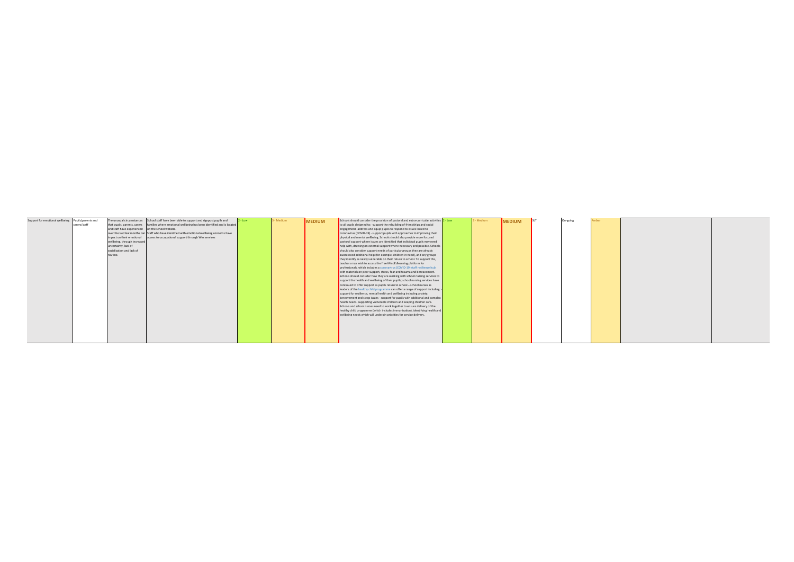| Support for emotional wellbeing Pupils/parents and |              |                                                   | The unusual circumstances School staff have been able to support and signpost pupils and           | - Low | - Medium | <b>MEDIUM</b> | Schools should consider the provision of pastoral and extra-curricular activities $2 - Low$ | 3 - Medium | <b>MEDIUM</b> | <b>ISIT</b> | On-going | mher |  |
|----------------------------------------------------|--------------|---------------------------------------------------|----------------------------------------------------------------------------------------------------|-------|----------|---------------|---------------------------------------------------------------------------------------------|------------|---------------|-------------|----------|------|--|
|                                                    | carers/staff |                                                   | that pupils, parents, carers families where emotional wellbeing has been identified and is located |       |          |               | to all pupils designed to: - support the rebuilding of friendships and social               |            |               |             |          |      |  |
|                                                    |              | and staff have experienced on the school website. |                                                                                                    |       |          |               | engagement -address and equip pupils to respond to issues linked to                         |            |               |             |          |      |  |
|                                                    |              |                                                   | over the last few months can Staff who have identified with emotional wellbeing concerns have      |       |          |               | coronavirus (COVID-19) - support pupils with approaches to improving their                  |            |               |             |          |      |  |
|                                                    |              | impact on their emotional                         | access to occupational support through Wes services                                                |       |          |               | physical and mental wellbeing. Schools should also provide more focused                     |            |               |             |          |      |  |
|                                                    |              | wellbeing, through increased                      |                                                                                                    |       |          |               | pastoral support where issues are identified that individual pupils may need                |            |               |             |          |      |  |
|                                                    |              | uncertainty, lack of                              |                                                                                                    |       |          |               | help with, drawing on external support where necessary and possible. Schools                |            |               |             |          |      |  |
|                                                    |              | socialisation and lack of                         |                                                                                                    |       |          |               | should also consider support needs of particular groups they are already                    |            |               |             |          |      |  |
|                                                    |              | routine.                                          |                                                                                                    |       |          |               | aware need additional help (for example, children in need), and any groups                  |            |               |             |          |      |  |
|                                                    |              |                                                   |                                                                                                    |       |          |               | they identify as newly vulnerable on their return to school. To support this.               |            |               |             |          |      |  |
|                                                    |              |                                                   |                                                                                                    |       |          |               | teachers may wish to access the free MindEdlearning platform for                            |            |               |             |          |      |  |
|                                                    |              |                                                   |                                                                                                    |       |          |               | professionals, which includes a coronavirus (COVID-19) staff resilience hub                 |            |               |             |          |      |  |
|                                                    |              |                                                   |                                                                                                    |       |          |               | with materials on peer support, stress, fear and trauma and bereavement.                    |            |               |             |          |      |  |
|                                                    |              |                                                   |                                                                                                    |       |          |               | Schools should consider how they are working with school nursing services to                |            |               |             |          |      |  |
|                                                    |              |                                                   |                                                                                                    |       |          |               | support the health and wellbeing of their pupils; school nursing services have              |            |               |             |          |      |  |
|                                                    |              |                                                   |                                                                                                    |       |          |               | continued to offer support as pupils return to school - school nurses as                    |            |               |             |          |      |  |
|                                                    |              |                                                   |                                                                                                    |       |          |               | leaders of the healthy child programme can offer a range of support including: -            |            |               |             |          |      |  |
|                                                    |              |                                                   |                                                                                                    |       |          |               | support for resilience, mental health and wellbeing including anxiety,                      |            |               |             |          |      |  |
|                                                    |              |                                                   |                                                                                                    |       |          |               | bereavement and sleep issues - support for pupils with additional and complex               |            |               |             |          |      |  |
|                                                    |              |                                                   |                                                                                                    |       |          |               | health needs- supporting vulnerable children and keeping children safe.                     |            |               |             |          |      |  |
|                                                    |              |                                                   |                                                                                                    |       |          |               | Schools and school nurses need to work together to ensure delivery of the                   |            |               |             |          |      |  |
|                                                    |              |                                                   |                                                                                                    |       |          |               | healthy child programme (which includes immunisation), identifying health and               |            |               |             |          |      |  |
|                                                    |              |                                                   |                                                                                                    |       |          |               | wellbeing needs which will underpin priorities for service delivery.                        |            |               |             |          |      |  |
|                                                    |              |                                                   |                                                                                                    |       |          |               |                                                                                             |            |               |             |          |      |  |
|                                                    |              |                                                   |                                                                                                    |       |          |               |                                                                                             |            |               |             |          |      |  |
|                                                    |              |                                                   |                                                                                                    |       |          |               |                                                                                             |            |               |             |          |      |  |
|                                                    |              |                                                   |                                                                                                    |       |          |               |                                                                                             |            |               |             |          |      |  |
|                                                    |              |                                                   |                                                                                                    |       |          |               |                                                                                             |            |               |             |          |      |  |
|                                                    |              |                                                   |                                                                                                    |       |          |               |                                                                                             |            |               |             |          |      |  |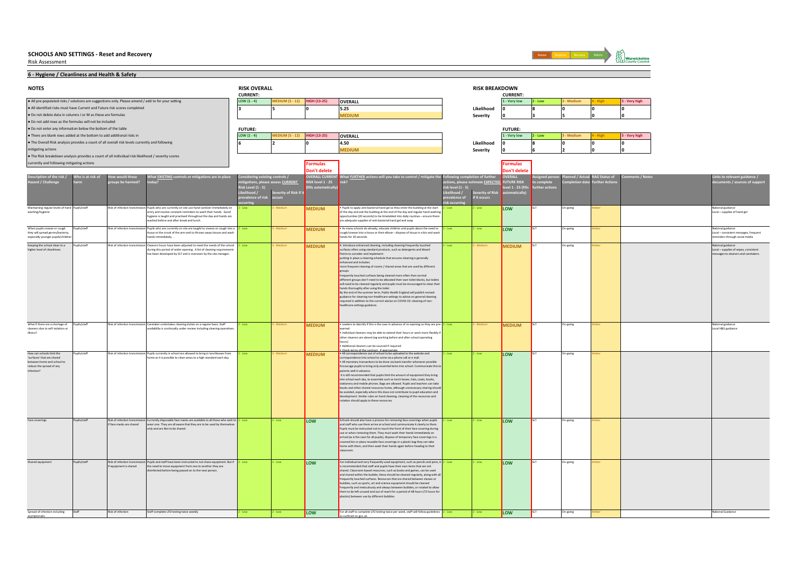Risk Assessment

Spread of infection including asymptonatic



2 - Low **LOW S**LT On-going Amber 2 - Low National Guidance

**6 - Hygiene / Cleanliness and Health & Safety** ● All pre-populated risks / solutions are suggestions only. Please amend / add to for your setting the state of the state of the state of the state of the state of the state of the state of the state of the state of the s ● All identified risks must have Current and Future risk scores completed **5.25 Likelihood 0 8 0 0 0** ● Do not delete data in columns I or M as these are formulas **MEDIUM Severity 0 3 5 0 0** ● Do not add rows as the formulas will not be included ● Do not enter any information below the bottom of the table ●There are blank rows added at the bottom to add additional risks in the state of the state of the state of the state of the state of the state of the state of the state of the state of the state of the state of the state ● The Overall Risk analysis provides a count of all overall risk levels currently and following **4.50 Likelihood 0 8 0 0 0** mitigating actions **MEDIUM Severity 0 6 2 0 0** ● The Risk breakdown analysis provides a count of all individual risk likelihood / severity scores currently and following mitigating actions **Formulas Formulas Don't delete Don't delete Likelihood / prevalence of risk occurring Severity of Risk if it occurs Likelihood / risk level (1 - 5) prevalence of risk occurring Severity of Risk if it occurs** aining regular levels of h washing/hygiene Publishabitable and the controller and sun the current of the state of the state of the state of the state of the state of the state of the state of the state of the state of the state of the day and because of the day and opportunities (20 seconds) to be timetabled into daily routines – ensure there are adequate supplies of anti-bacterial hand gel and soap 2-Low <mark>LOW S</mark>LT On-going Amber National guidance National guidance National guidance ional guidance<br>al – supplies of hand gel When pupils sneeze or cough they will spread germs/bacteria especially younger pupils/child Pupils/staff Risk of Infection transmission Pupils about the need to up the set of the set of the coupler of the set of the set of the set of the set of the set of the set of the set of the set of the set of the set of the ands for 20 seconds 2 - Low **LOW S**LT On-going Amber 1999 and the experimental guidance of the Mational guidance Local – consistent messages, frequent inders through social media Keeping the school clean to higher level of cleanliness Pupils/staff Risk of infection transmission Cleaning transmission Cleaning transmission 2 - Low 3 - Medium **MEDIUM** 4. Introduce enhanced cleaning including tensoring and a subscribed by the such as detergents and bleach<br>A Points to consider and implement: putting in place a cleaning schedule that ensures cleaning is generally enhanced and includes: more frequent cleaning of rooms / shared areas that are used by different .<br>roups<br>requently to: المحامد<br>requently touched surfaces being cleaned more often than normal<br>ifferent groups don't need to be allocated their own toilet blocks. but toilet different groups don't need to be allocated their own tollet blocks, but to<br>lies will need to be cleaned regularly and puplis must be encouraged to clean their<br>hands thoroughly affer using the toilet<br>by the end of the summ 2 - Low 3 - Medium **MEDIUM <sup>SLT</sup> <sup>On-going Amber National guidance and annual guidance and annual guidance** and the</sup> Local – supplies of wipes, consistent messages to cleaners and caretakers. What if there are a shortage of cleaners due to self-isolation or illness? Pupils/staff | Risk of infection transmission Careback and the continually under the search of the case in advance of the case in advance of the case in advance of the case in advance of the case in advance of the same in arned warned and the contract of the company of the contract of the contract of the contract of the contract of • Individual cleaners may be able to extend their hours or work more flexibly if other cleaners are absent (eg working before and after school operating hours) • Additional cleaners can be sourced if required • Check terms of the contract , if appropriate 2 - Low 3 - Medium **MEDIUM <sup>SLT</sup> O**n-going Amber National guidance of National guidance National guidance of National guidance tional guidance<br>cal H&S guidance How can schools limit the 'surfaces' that are shared tween home and school t reduce the spread of any infection? Pupils/staff Risk of infection transmission Pupils unrestyling that the website and the website and the website and the set of the set of the set of the set of the set of the set of the set of the set of the set of the set correspondence into school to come via a phone call or e mail • All monetary transactions to be done via bank transfer whenever possible Encourage pupils to bring only essential items into school. Communicate this to ents well in advance. It is still recommended that pupils limit the amount of equipment they bring into school each day, to essentials such as lunch boxes, hats, coats, books, stationery and mobile phones. Bags are allowed. Pupils and teachers can take books and other shared resources home, although unnecessary sharing should be avoided, especially where this does not contribute to pupil education and development. Similar rules on hand cleaning, cleaning of the resources and and the summarized on numerical 2 - Low 2 - Low **LOW** SLT On-going Amber Face coverings Pupils/staff Risk of infection trans face masks are shared 2 - Low 2 - Low **LOW**<br>**EXECUTE:** Schools should also have a process for removing face coverings when pupils<br>Pupils must be instructed not to touch the front of their face covering submanicate it clearly to them. se or when removing them. They must wash their hands immediately on arrival (as is the case for all pupils), dispose of temporary face coverings in a<br>covered bin or place reusable face coverings in a plastic bag they can take<br>home with them, and then wash their hands again before heading t classroom. 2 - Low 2 - Low **LOW** SLT On-going Amber Shared equipment Pupils/staff Risk of infection transmis if the the shared is the shared of the theorem is a shared of the shared of the shared of the shared of the sh<br>In the shared of the shared of the shared of the shared of the shared of the shared of the shared of the shared 2 - Low 2 - Low **LOW** For individual and very frequently used equipment, such as pencils and pens, it and pens, it is recommended that staff and pupils have their own items that are not shared. Classroom based resources, such as books and games, can be used and shared within the bubble; these should be cleaned regularly, along with all frequently touched surfaces. Resources that are shared between classes or bubbles, such as sports, art and science equipment should be cleaned<br>frequently and meticulously and always between bubbles, or rotated to allow<br>them to be left unused and out of reach for a period of 48 hours (72 hours fo 2 - Low 2 - Low **LOW** SLT On-going Amber rently disposable face masks are available to all those who wish to we are one. They are all aware that they are to be used by themselves  $\gamma$  and are Not to be shared. Pupils and staff have been instructed to not share equipment. But if<br>he need to move equipment from one to another they are the need to move equipment from one to another they are nfected before being passed on to the next person. Pupils who are currently on site are taught to sneeze or cough into a tie or the crook of the arm and to thrown away tissues and wash ds immediately. been adjusted to meet the needs of the sch tring this period of wider opening. A list of cleaning require has been developed by SLT and is overseen by the site manager. Caretaker undertakes cleaning duties on a regular basis. Staff Pupils who are currently on site use hand sanitizer immediately on entry and receive constant reminders to wash their hands. Good hygiene is taught and practised throughout the day and hands are washed before and after break and lunch. **VERALL CURR RISK level 1 - 25 (fills automatically) What FURTHER actions will you take to control / mitigate the risk? Following completion of further actions, please estimate EXPECTED OVERALL FUTURE RISK level 1 - 25 (fills automatically) Assigned person to complete further actions Planned / Actual Completion date RAG Status of Further Actions Comments / Notes Links to relevant guidance / documents / sources of support FUTURE: FUTURE: 6 2 0 NOTES RISK OVERALL RISK BREAKDOWN CURRENT: CURRENT: Description of the risk / Hazard / Challenge Who is at risk of harm How would these groups be harmed? What EXISTING controls or mitigations are in place today? Considering existing controls / mitigations, please assess CURRENT Risk Level (1 - 5) 3 5 0**

as outlined on gov.uk

Risk of infection Staff complete LFD testing twice weekly **2** - Low **2** - Low **LOW** For all staff to complete LFD testing twice per week, staff will follow guidelines

Staff complete LFD testing twice weekly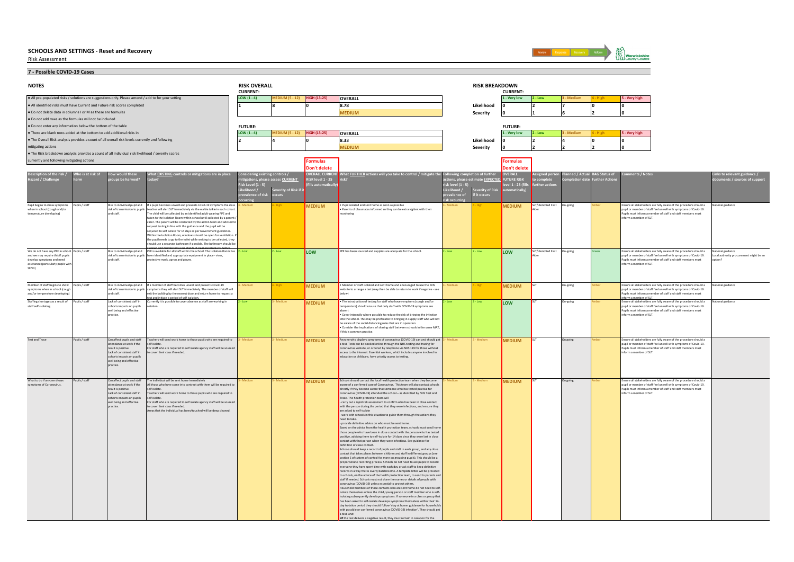Risk Assessment



**7 - Possible COVID-19 Cases**

| <b>NOTES</b>                                                                                       |                   |                                                          |                                                                                                                                                                              | <b>RISK OVERALL</b><br><b>CURRENT:</b> |                                   |                     |                                                                                                                                                                |                                    | <b>RISK BREAKDOWN</b>       | <b>CURRENT</b>                        |                      |            |              |                                                                                                                                      |                                         |
|----------------------------------------------------------------------------------------------------|-------------------|----------------------------------------------------------|------------------------------------------------------------------------------------------------------------------------------------------------------------------------------|----------------------------------------|-----------------------------------|---------------------|----------------------------------------------------------------------------------------------------------------------------------------------------------------|------------------------------------|-----------------------------|---------------------------------------|----------------------|------------|--------------|--------------------------------------------------------------------------------------------------------------------------------------|-----------------------------------------|
| . All pre-populated risks / solutions are suggestions only. Please amend / add to for your setting |                   |                                                          |                                                                                                                                                                              | LOW $(1 - 4)$                          | <b>IEDIUM (5 - 12)</b>            | <b>HIGH (13-25)</b> | OVERALL                                                                                                                                                        |                                    |                             | 1 - Very low                          | $2 - Low$            | - Mediun   |              | 5 - Very high                                                                                                                        |                                         |
| . All identified risks must have Current and Future risk scores completed                          |                   |                                                          |                                                                                                                                                                              |                                        |                                   |                     | 8.78                                                                                                                                                           |                                    | Likelihood                  |                                       | l2                   |            |              | ١o                                                                                                                                   |                                         |
| . Do not delete data in columns I or M as these are formulas                                       |                   |                                                          |                                                                                                                                                                              |                                        |                                   |                     | <b>MEDIUM</b>                                                                                                                                                  |                                    | <b>Severity</b>             |                                       |                      |            |              |                                                                                                                                      |                                         |
| . Do not add rows as the formulas will not be included                                             |                   |                                                          |                                                                                                                                                                              |                                        |                                   |                     |                                                                                                                                                                |                                    |                             |                                       |                      |            |              |                                                                                                                                      |                                         |
| . Do not enter any information below the bottom of the table                                       |                   |                                                          |                                                                                                                                                                              | <b>FUTURE:</b>                         |                                   |                     |                                                                                                                                                                |                                    |                             | <b>FUTURE:</b>                        |                      |            |              |                                                                                                                                      |                                         |
| . There are blank rows added at the bottom to add additional risks in                              |                   |                                                          |                                                                                                                                                                              | LOW $(1 - 4)$                          | <b>MEDIUM (5 - 12)</b>            | <b>HIGH (13-25)</b> | OVERALL                                                                                                                                                        |                                    |                             | 1 - Very low                          | $2 - Low$            | 3 - Medium | - High       | 5 - Very high                                                                                                                        |                                         |
| . The Overall Risk analysis provides a count of all overall risk levels currently and following    |                   |                                                          |                                                                                                                                                                              |                                        |                                   |                     | 8.33                                                                                                                                                           |                                    | Likelihood                  |                                       | 2                    |            |              | n                                                                                                                                    |                                         |
| mitigating actions                                                                                 |                   |                                                          |                                                                                                                                                                              |                                        |                                   |                     | <b>MEDIUM</b>                                                                                                                                                  |                                    | <b>Severity</b>             |                                       |                      |            |              |                                                                                                                                      |                                         |
| . The Risk breakdown analysis provides a count of all individual risk likelihood / severity scores |                   |                                                          |                                                                                                                                                                              |                                        |                                   |                     |                                                                                                                                                                |                                    |                             |                                       |                      |            |              |                                                                                                                                      |                                         |
| currently and following mitigating actions                                                         |                   |                                                          |                                                                                                                                                                              |                                        |                                   | <b>Formulas</b>     |                                                                                                                                                                |                                    |                             | <b>Formulas</b>                       |                      |            |              |                                                                                                                                      |                                         |
| scription of the risk /                                                                            | Who is at risk of | w would these                                            | Vhat EXISTING controls or mitigations are in place                                                                                                                           | onsidering existing controls /         |                                   | <b>Don't delete</b> | <b>DVERALL CURRENT What EURTHER actions will you take to control / mitigate the Following completion of further</b>                                            |                                    |                             | <b>Don't delete</b><br><b>OVERALL</b> | gned pers            | ed / Acti  | AG Status of | nments / Notes                                                                                                                       | nks to relevant guidance /              |
| Description of the rise<br>Hazard / Challenge                                                      |                   | ups be harmed?                                           | odav?                                                                                                                                                                        |                                        | itigations, please assess CURRENT | RISK level 1 - 25   | ick?                                                                                                                                                           |                                    |                             |                                       |                      | tion dat   | urther Actio |                                                                                                                                      | ents / sources of suppor                |
|                                                                                                    |                   |                                                          |                                                                                                                                                                              |                                        |                                   | ills automatica     |                                                                                                                                                                | risk level (1 - 5)<br>Likelihood / |                             | evel 1 - 25 (fi                       | ther actio           |            |              |                                                                                                                                      |                                         |
|                                                                                                    |                   |                                                          |                                                                                                                                                                              | kisk Level (1 - 5)<br>Likelihood /     | rerity of Risk if it              |                     |                                                                                                                                                                | revalence of                       | erity of Ris <mark>l</mark> |                                       |                      |            |              |                                                                                                                                      |                                         |
|                                                                                                    |                   |                                                          |                                                                                                                                                                              | valence of risk                        |                                   |                     |                                                                                                                                                                |                                    | if it occurs                |                                       |                      |            |              |                                                                                                                                      |                                         |
| Pupil begins to show sympto                                                                        | ipils / staf      | isk to individual pupil and                              | If a pupil becomes unwell and presents Covid-19 symptoms the class                                                                                                           |                                        |                                   | <b>MEDIUM</b>       | Pupil isolated and sent home as soon as possibl                                                                                                                |                                    |                             | <b>MEDIUM</b>                         | tified First         | Dn-going   |              | ure all stakeholders are fully aware of the procedure should a                                                                       | onal guidanc                            |
| when in school (cough and/or<br>temperature developing)                                            |                   | and staff.                                               | risk of transmission to pupils teacher will alert SLT immediately via the walkie talkie in each cohort<br>The child will be collected by an identified adult wearing PPE and |                                        |                                   |                     | Parents of classmates informed so they can be extra vigilant with their<br>itoring                                                                             |                                    |                             |                                       |                      |            |              | bupil or member of staff feel unwell with symptoms of Covid-19.<br>Pupils must inform a member of staff and staff members must       |                                         |
|                                                                                                    |                   |                                                          | taken to the Isolation Room within school until collected by a parent                                                                                                        |                                        |                                   |                     |                                                                                                                                                                |                                    |                             |                                       |                      |            |              | inform a member of SLT.                                                                                                              |                                         |
|                                                                                                    |                   |                                                          | carer. The parent will be contacted by the admin team and advised t<br>request testing in line with the guidance and the pupil will be                                       |                                        |                                   |                     |                                                                                                                                                                |                                    |                             |                                       |                      |            |              |                                                                                                                                      |                                         |
|                                                                                                    |                   |                                                          | required to self isolate for 14 days as per Government guidelines                                                                                                            |                                        |                                   |                     |                                                                                                                                                                |                                    |                             |                                       |                      |            |              |                                                                                                                                      |                                         |
|                                                                                                    |                   |                                                          | Within the Isolation Room, windows should be open for ventilation.<br>the pupil needs to go to the toilet while waiting to be collected, they                                |                                        |                                   |                     |                                                                                                                                                                |                                    |                             |                                       |                      |            |              |                                                                                                                                      |                                         |
|                                                                                                    |                   |                                                          | hould use a separate bathroom if possible. The bathroom should be                                                                                                            |                                        |                                   |                     |                                                                                                                                                                |                                    |                             |                                       |                      |            |              |                                                                                                                                      |                                         |
| We do not have any PPE in school                                                                   | Pupils / staff    | Risk to individual pupil and                             | PPE is available for all staff within the school. The Isolation Room ha                                                                                                      |                                        |                                   | LOW                 | PPE has been sourced and supplies are adequate for the school.                                                                                                 | - Low                              | $-Low$                      | LOW                                   | SLT/Identified First | On-going   |              | nsure all stakeholders are fully aware of the procedure should a                                                                     | National guidance                       |
| and we may require this if pupils                                                                  |                   |                                                          | risk of transmission to pupils been identified and appropriate equipment in place - visor,                                                                                   |                                        |                                   |                     |                                                                                                                                                                |                                    |                             |                                       |                      |            |              | oupil or member of staff feel unwell with symptoms of Covid-19.                                                                      | Local authority procurement might be an |
| develop symptoms and need<br>assistance (particularly pupils w                                     |                   | and staff.                                               | protective mask, apron and gloves.                                                                                                                                           |                                        |                                   |                     |                                                                                                                                                                |                                    |                             |                                       |                      |            |              | upils must inform a member of staff and staff members must<br>inform a member of SLT                                                 | tion?                                   |
| SEND)                                                                                              |                   |                                                          |                                                                                                                                                                              |                                        |                                   |                     |                                                                                                                                                                |                                    |                             |                                       |                      |            |              |                                                                                                                                      |                                         |
|                                                                                                    |                   |                                                          |                                                                                                                                                                              |                                        |                                   |                     |                                                                                                                                                                |                                    |                             |                                       |                      |            |              |                                                                                                                                      |                                         |
| Member of staff begins to show                                                                     | Pupils / staff    |                                                          | Risk to individual pupil and If a member of staff becomes unwell and presents Covid-19                                                                                       | Medium                                 |                                   |                     | . Member of staff isolated and sent home and encouraged to use the NHS                                                                                         | Medium                             |                             |                                       |                      |            |              |                                                                                                                                      |                                         |
| symptoms when in school (cougl                                                                     |                   |                                                          | risk of transmission to pupils symptoms they will alert SLT immediately. The member of staff will                                                                            |                                        |                                   | <b>MEDIUM</b>       | vebsite to arrange a test (may then be able to return to work if negative - ser                                                                                |                                    |                             | <b>MEDIUM</b>                         |                      | On-going   |              | Ensure all stakeholders are fully aware of the procedure should a<br>pupil or member of staff feel unwell with symptoms of Covid-19. | National guidance                       |
| and/or temperature developing                                                                      |                   | and staff.                                               | exit the building by the nearest door and return home to request a<br>test and initiate a period of self isolation.                                                          |                                        |                                   |                     | funi-                                                                                                                                                          |                                    |                             |                                       |                      |            |              | Pupils must inform a member of staff and staff members must<br>nform a member of SLT.                                                |                                         |
| Staffing shortages as a result of                                                                  | Pupils / staff    | Lack of consistent staff in                              | Currently it is possible to cover absence as staff are working in                                                                                                            | Low                                    | Medium                            | <b>MEDIUM</b>       | . The introduction of testing for staff who have symptoms (cough and/or                                                                                        |                                    | Low                         | LOW                                   |                      | On-going   |              | Ensure all stakeholders are fully aware of the procedure should a                                                                    | tional guidance                         |
| staff self-isolating                                                                               |                   | chorts impacts on pupils<br>well being and effective     |                                                                                                                                                                              |                                        |                                   |                     | mperature) should ensure that only staff with COVID-19 symptoms are                                                                                            |                                    |                             |                                       |                      |            |              | bupil or member of staff feel unwell with symptoms of Covid-19.<br>Pupils must inform a member of staff and staff members must       |                                         |
|                                                                                                    |                   | practice.                                                |                                                                                                                                                                              |                                        |                                   |                     | . Cover internally where possible to reduce the risk of bringing the infection                                                                                 |                                    |                             |                                       |                      |            |              | inform a member of SLT.                                                                                                              |                                         |
|                                                                                                    |                   |                                                          |                                                                                                                                                                              |                                        |                                   |                     | into the school. This may be preferable to bringing in supply staff who will not<br>be aware of the social distancing rules that are in operation              |                                    |                             |                                       |                      |            |              |                                                                                                                                      |                                         |
|                                                                                                    |                   |                                                          |                                                                                                                                                                              |                                        |                                   |                     | . Consider the implications of sharing staff between schools in the same MAT                                                                                   |                                    |                             |                                       |                      |            |              |                                                                                                                                      |                                         |
|                                                                                                    |                   |                                                          |                                                                                                                                                                              |                                        |                                   |                     | this is common practice.                                                                                                                                       |                                    |                             |                                       |                      |            |              |                                                                                                                                      |                                         |
| <b>Test and Trace</b>                                                                              | Pupils / staff    | Can affect pupils and staff<br>attendance at work if the | Teachers will send work home to those pupils who are required to<br>self isolate.                                                                                            | Medium                                 | Medium                            | <b>MEDIUM</b>       | Anyone who displays symptoms of coronavirus (COVID-19) can and should get<br>test. Tests can be booked online through the NHS testing and tracing for          | Medium                             | Medium                      | <b>MEDIUM</b>                         |                      | On going   |              | nsure all stakeholders are fully aware of the procedure should a<br>pupil or member of staff feel unwell with symptoms of Covid-19.  |                                         |
|                                                                                                    |                   | result is positive.                                      | or staff who are required to self isolate agency staff will be sourced                                                                                                       |                                        |                                   |                     | onavirus website, or ordered by telephone via NHS 119 for those without                                                                                        |                                    |                             |                                       |                      |            |              | Pupils must inform a member of staff and staff members must                                                                          |                                         |
|                                                                                                    |                   | Lack of consistent staff in<br>cohorts impacts on pupils | cover their class if needed.                                                                                                                                                 |                                        |                                   |                     | ccess to the internet. Essential workers, which includes anyone involved in<br>ucation or childcare, have priority access to testing                           |                                    |                             |                                       |                      |            |              | inform a member of SLT.                                                                                                              |                                         |
|                                                                                                    |                   | well being and effective                                 |                                                                                                                                                                              |                                        |                                   |                     |                                                                                                                                                                |                                    |                             |                                       |                      |            |              |                                                                                                                                      |                                         |
|                                                                                                    |                   | practice.                                                |                                                                                                                                                                              |                                        |                                   |                     |                                                                                                                                                                |                                    |                             |                                       |                      |            |              |                                                                                                                                      |                                         |
|                                                                                                    |                   |                                                          |                                                                                                                                                                              |                                        |                                   |                     |                                                                                                                                                                |                                    |                             |                                       |                      |            |              |                                                                                                                                      |                                         |
| What to do if anyone shows                                                                         | upils / staff     | Can affect pupils and staff                              | The individual will be sent home immediately                                                                                                                                 |                                        |                                   | <b>MEDIUM</b>       | chools should contact the local health protection team when they become                                                                                        |                                    |                             | <b>MEDIUM</b>                         |                      | On going   |              | Ensure all stakeholders are fully aware of the procedure should a                                                                    |                                         |
| symptoms of Coronavirus                                                                            |                   | attendance at work if the<br>result is positive.         | All those who have come into contract with them will be required to<br>self isolate.                                                                                         |                                        |                                   |                     | ware of a confirmed case of Coronavirus. This team will also contact school<br>lirectly if they become aware that someone who has tested positive for          |                                    |                             |                                       |                      |            |              | pupil or member of staff feel unwell with symptoms of Covid-19.<br>Pupils must inform a member of staff and staff members must       |                                         |
|                                                                                                    |                   | Lack of consistent staff in                              | Teachers will send work home to those pupils who are required to                                                                                                             |                                        |                                   |                     | oronavirus (COVID-19) attended the school - as identified by NHS Test and                                                                                      |                                    |                             |                                       |                      |            |              | inform a member of SLT.                                                                                                              |                                         |
|                                                                                                    |                   | cohorts impacts on pupils<br>well being and effective    | self isolate.<br>For staff who are required to self isolate agency staff will be sourced                                                                                     |                                        |                                   |                     | Trace. The health protection team will<br>carry out a rapid risk assessment to confirm who has been in close contact                                           |                                    |                             |                                       |                      |            |              |                                                                                                                                      |                                         |
|                                                                                                    |                   | practice.                                                | to cover their class if needed.                                                                                                                                              |                                        |                                   |                     | with the person during the period that they were infectious, and ensure they                                                                                   |                                    |                             |                                       |                      |            |              |                                                                                                                                      |                                         |
|                                                                                                    |                   |                                                          | Areas that the individual has been/touched will be deep cleaned.                                                                                                             |                                        |                                   |                     | re asked to self-isolate                                                                                                                                       |                                    |                             |                                       |                      |            |              |                                                                                                                                      |                                         |
|                                                                                                    |                   |                                                          |                                                                                                                                                                              |                                        |                                   |                     | work with schools in this situation to guide them through the actions they<br>eed to take.                                                                     |                                    |                             |                                       |                      |            |              |                                                                                                                                      |                                         |
|                                                                                                    |                   |                                                          |                                                                                                                                                                              |                                        |                                   |                     | provide definitive advice on who must be sent home.                                                                                                            |                                    |                             |                                       |                      |            |              |                                                                                                                                      |                                         |
|                                                                                                    |                   |                                                          |                                                                                                                                                                              |                                        |                                   |                     | sed on the advice from the health protection team, schools must send hon<br>those people who have been in close contact with the person who has tested         |                                    |                             |                                       |                      |            |              |                                                                                                                                      |                                         |
|                                                                                                    |                   |                                                          |                                                                                                                                                                              |                                        |                                   |                     | ositive, advising them to self-isolate for 14 days since they were last in close                                                                               |                                    |                             |                                       |                      |            |              |                                                                                                                                      |                                         |
|                                                                                                    |                   |                                                          |                                                                                                                                                                              |                                        |                                   |                     | contact with that person when they were infectious. See guidance for<br>definition of close contact.                                                           |                                    |                             |                                       |                      |            |              |                                                                                                                                      |                                         |
|                                                                                                    |                   |                                                          |                                                                                                                                                                              |                                        |                                   |                     | ichools should keep a record of pupils and staff in each group, and any close                                                                                  |                                    |                             |                                       |                      |            |              |                                                                                                                                      |                                         |
|                                                                                                    |                   |                                                          |                                                                                                                                                                              |                                        |                                   |                     | ontact that takes places between children and staff in different groups (see<br>ection 5 of system of control for more on grouping pupils). This should be a   |                                    |                             |                                       |                      |            |              |                                                                                                                                      |                                         |
|                                                                                                    |                   |                                                          |                                                                                                                                                                              |                                        |                                   |                     | roportionate recording process. Schools do not need to ask pupils to record                                                                                    |                                    |                             |                                       |                      |            |              |                                                                                                                                      |                                         |
|                                                                                                    |                   |                                                          |                                                                                                                                                                              |                                        |                                   |                     | veryone they have spent time with each day or ask staff to keep definitive<br>ecords in a way that is overly burdensome. A template letter will be provided    |                                    |                             |                                       |                      |            |              |                                                                                                                                      |                                         |
|                                                                                                    |                   |                                                          |                                                                                                                                                                              |                                        |                                   |                     | schools, on the advice of the health protection team, to send to parents an                                                                                    |                                    |                             |                                       |                      |            |              |                                                                                                                                      |                                         |
|                                                                                                    |                   |                                                          |                                                                                                                                                                              |                                        |                                   |                     | staff if needed. Schools must not share the names or details of people with<br>oronavirus (COVID-19) unless essential to protect others.                       |                                    |                             |                                       |                      |            |              |                                                                                                                                      |                                         |
|                                                                                                    |                   |                                                          |                                                                                                                                                                              |                                        |                                   |                     | busehold members of those contacts who are sent home do not need to self                                                                                       |                                    |                             |                                       |                      |            |              |                                                                                                                                      |                                         |
|                                                                                                    |                   |                                                          |                                                                                                                                                                              |                                        |                                   |                     | solate themselves unless the child, young person or staff member who is self-<br>blating subsequently develops symptoms. If someone in a class or group that   |                                    |                             |                                       |                      |            |              |                                                                                                                                      |                                         |
|                                                                                                    |                   |                                                          |                                                                                                                                                                              |                                        |                                   |                     | as been asked to self-isolate develops symptoms themselves within their 14                                                                                     |                                    |                             |                                       |                      |            |              |                                                                                                                                      |                                         |
|                                                                                                    |                   |                                                          |                                                                                                                                                                              |                                        |                                   |                     | day isolation period they should follow 'stay at home: guidance for household<br>with possible or confirmed coronavirus (COVID-19) infection'. They should get |                                    |                             |                                       |                      |            |              |                                                                                                                                      |                                         |
|                                                                                                    |                   |                                                          |                                                                                                                                                                              |                                        |                                   |                     | a test, and:                                                                                                                                                   |                                    |                             |                                       |                      |            |              |                                                                                                                                      |                                         |
|                                                                                                    |                   |                                                          |                                                                                                                                                                              |                                        |                                   |                     | . If the test delivers a negative result, they must remain in isolation for the                                                                                |                                    |                             |                                       |                      |            |              |                                                                                                                                      |                                         |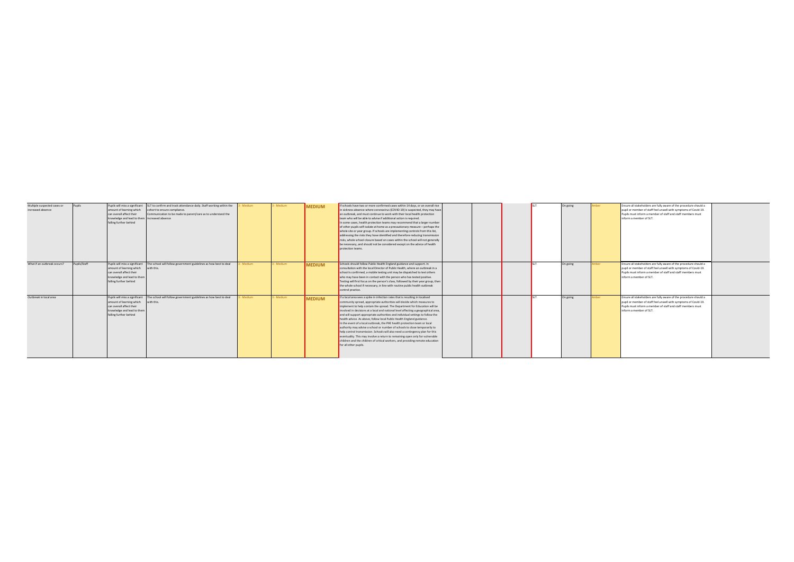| Multiple suspected cases or<br>increased absence | Pupils       | amount of learning which<br>can overall affect their<br>knowledge and lead to them increased absence<br>falling further behind                 | Pupils will miss a significant SLT to confirm and track attendance daily. Staff working within the<br>cohort to ensure compliance.<br>Communication to be made to parent/care as to understand the | - Medium | 3 - Medium | <b>MEDIUM</b> | lif schools have two or more confirmed cases within 14 days, or an overall rise<br>in sickness absence where coronavirus (COVID-19) is suspected, they may have<br>an outbreak, and must continue to work with their local health protection<br>team who will be able to advise if additional action is required.<br>In some cases, health protection teams may recommend that a larger number<br>of other pupils self-isolate at home as a precautionary measure - perhaps the<br>whole site or year group. If schools are implementing controls from this list,<br>addressing the risks they have identified and therefore reducing transmission<br>risks, whole school closure based on cases within the school will not generally<br>be necessary, and should not be considered except on the advice of health<br>protection teams.                                                                                        |  | On going | nber | Ensure all stakeholders are fully aware of the procedure should a<br>pupil or member of staff feel unwell with symptoms of Covid-19.<br>Pupils must inform a member of staff and staff members must<br>inform a member of SLT. |  |
|--------------------------------------------------|--------------|------------------------------------------------------------------------------------------------------------------------------------------------|----------------------------------------------------------------------------------------------------------------------------------------------------------------------------------------------------|----------|------------|---------------|--------------------------------------------------------------------------------------------------------------------------------------------------------------------------------------------------------------------------------------------------------------------------------------------------------------------------------------------------------------------------------------------------------------------------------------------------------------------------------------------------------------------------------------------------------------------------------------------------------------------------------------------------------------------------------------------------------------------------------------------------------------------------------------------------------------------------------------------------------------------------------------------------------------------------------|--|----------|------|--------------------------------------------------------------------------------------------------------------------------------------------------------------------------------------------------------------------------------|--|
| What if an outbreak occurs?                      | Pupils/Staff | Pupils will miss a significant<br>amount of learning which<br>can overall affect their<br>knowledge and lead to them<br>falling further behind | The school will follow government guidelines as how best to deal<br>with this.                                                                                                                     | Medium   | 3 - Medium | <b>MEDIUM</b> | Schools should follow Public Health England guidance and support. In<br>consultation with the local Director of Public Health, where an outbreak in a<br>school is confirmed, a mobile testing unit may be dispatched to test others<br>who may have been in contact with the person who has tested positive.<br>Testing will first focus on the person's class, followed by their year group, then<br>the whole school if necessary, in line with routine public health outbreak<br>control practice.                                                                                                                                                                                                                                                                                                                                                                                                                         |  | On going | nher | Ensure all stakeholders are fully aware of the procedure should a<br>pupil or member of staff feel unwell with symptoms of Covid-19.<br>Pupils must inform a member of staff and staff members must<br>inform a member of SLT. |  |
| Outbreak in local area                           |              | amount of learning which with this.<br>can overall affect their<br>knowledge and lead to them<br>falling further behind                        | Pupils will miss a significant The school will follow government guidelines as how best to deal                                                                                                    | Medium   | 3 - Medium | <b>MEDIUM</b> | If a local area sees a spike in infection rates that is resulting in localised<br>community spread, appropriate authorities will decide which measures to<br>implement to help contain the spread. The Department for Education will be<br>involved in decisions at a local and national level affecting a geographical area,<br>and will support appropriate authorities and individual settings to follow the<br>health advice. As above, follow local Public Health England guidance.<br>In the event of a local outbreak, the PHE health protection team or local<br>authority may advise a school or number of schools to close temporarily to<br>help control transmission. Schools will also need a contingency plan for this<br>eventuality. This may involve a return to remaining open only for vulnerable<br>children and the children of critical workers, and providing remote education<br>for all other pupils. |  | On going | mher | Ensure all stakeholders are fully aware of the procedure should a<br>pupil or member of staff feel unwell with symptoms of Covid-19.<br>Pupils must inform a member of staff and staff members must<br>inform a member of SLT. |  |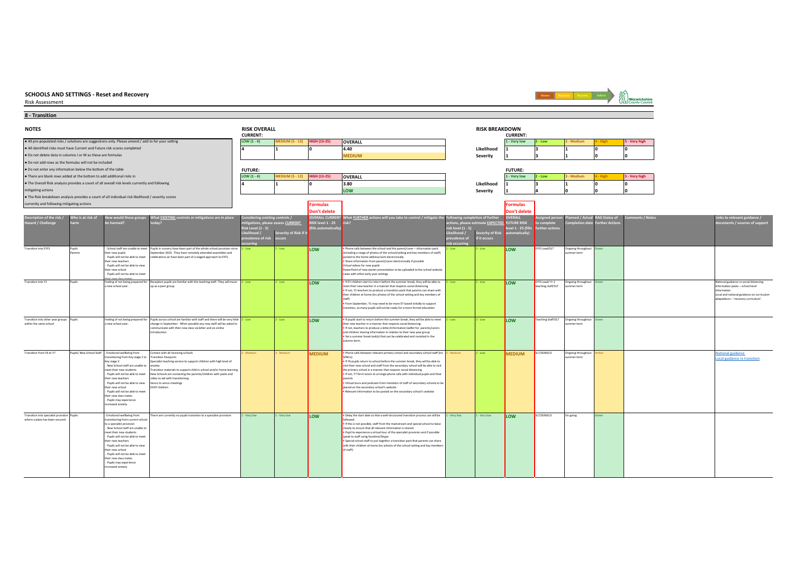## Risk Assessment





#### ● All pre-populated risks / solutions are suggestions only. Please amend / add to for your setting the butter history our setting the state of the state of the state of the state of the state of the state of the state of ● All identified risks must have Current and Future risk scores completed **4.40 Likelihood 1 3 1 0 0** ● Do not delete data in columns I or M as these are formulas **MEDIUM Severity 1 3 1 0 0** ● Do not add rows as the formulas will not be included ● Do not enter any information below the bottom of the table ●There are blank rows added at the bottom to add additional risks in the stery high stery high stery high stery high stery high stery high stery high stery high stery high stery high stery high stery high stery high stery ● The Overall Risk analysis provides a count of all overall risk levels currently and following **3.80 Likelihood 1 3 1 0 0** mitigating actions **LOW Severity 1 4 0 0 0** ● The Risk breakdown analysis provides a count of all individual risk likelihood / severity scores currently and following mitigating actions **Formulas Formulas Don't delete Don't delete Likelihood / prevalence of risk occurring Severity of Risk if it occurs Likelihood / risk level (1 - 5) prevalence of risk occurring Severity of Risk if it occurs Transition into EYFS** upils<br>arents School staff are unable to meet their new pupils - Pupils will not be able to meet eir new teachers - Pupils will not be able to view eir new school - Pupils will not be able to mee their new class mates Transition into Y1 Pupils Feeling of not being prepared for 2 - Low 2 - Low **2 - Low LOW** • Phone calls between the school and the parent/carer – information pack 2 - Low **COW** posted to the home address/sent electronically • Share information from parent/carer electronically if possible Virtual videos for new pupils PowerPoint of new starter presentation to be uploaded to the school website Liaise with other early year settings 2 - Low **LOW** EYFS Lead/SLT Ongoing throughout and the summer term Green ang or not see.<br>ew school year 2 - Low 2 - Low **LOW FIEY** children start to return before the summer break, they will be able to a between the summer break, they will be able to a set the meet that the interior periodic transfersional consideration part their children at home (inc photos of the school setting and key members of staff) • From September, Y1 may need to be more EY based initially to support nsition, as many pupils will not be ready for a more formal education 2 - Low **2** - Low **LOW** EYFS Lead/ Yr.1 Ongoing throughout summer term Green National guidance re social distancing Information packs – school level ination<br>rmation Local and national guidance on curriculum adaptations – 'recovery curriculum'. Transition into other year groups within the same school Pupils Feeling of not being prepared for a new school year. 2 - Low 2 - Low **LOW F** If pupils start to return before the summer break, they will be able to meet<br>their new teacher in a manner that respects social distancing.<br>Fif not, teachers to produce a letter/information leaflet **a** if not, teachers to produce a letter/information resource or puremay. **• Set a summer break task(s) that can be celebrated and revisited in the** tumn term. 2 - Low **LOW** Teaching Staff/SLT Ongoing throughout **2** - Low **LOW** Teaching Staff/SLT Ongoing throughout Green Transition from Y6 to Y7 Pupils/ New School Staff - Emotional wellbeing from terransitioning from<br>stitioning from Key stage 2 to Key stage 3 - New School staff are unable to meet their new students - Pupils will not be able to meet teir new teachers - Pupils will not be able to view their new school - Pupils will not be able to meet their new class mates - Pupils may experience ipiis inay exper<br>eased anxiety **3 - MEDIUM** • Phone calls between relevant primary school and secondary school staff (inc. SERIC) SENCo) • If Y6 pupils return to school before the summer break, they will be able to visit their new school and staff from the secondary school will be able to visit the primary school in a manner that respects social distancing • If not, Y7 form tutors to arrange phone calls with individual pupils and their parents • Virtual tours and podcasts from members of staff of secondary schools to be placed on the secondary school's website • Relevant information to be posted on the secondary school's website Low **MEDIUM** SLT/SENDCO Ongoing through sung<br>mer term tional guidance al guidance re tra Transition into specialist provision where a place has been secure motional wellbeing from sitioning from current sch o a specialist provision<br>- New School staff are unable - New School staff are unable to meet their new students - Pupils will not be able to meet their new teachers en new teacners<br>Pupils will not be able to view .<br>ir new school - Pupils will not be able to meet the plus will have been ap-Pupils may experience .<br>reased anxiety There are currently no pupils transition to a specialist provision 1-Very low 1-Very low 1-Very low 100 1-Very low 100 1-Very low 1-Very low 1-Very low 1-Very low 1-Very 100 1-Very 100 1-Very 100 1-Very 100 1-Very 100 1-Ve wed. • If this is not possible, staff from the mainstream and special school to liaise closely to ensure that all relevant information is shared. • Pupil to experience a virtual tour of the specialist provision and if possible speak to staff using facetime/Skype • Special school staff to put together a transition pack that parents can share special school start to put together a transition pack that parents can share<br>ith their children at home (inc photos of the school setting and key memb of staff) Contact with all receiving schools Transition Passports insition Passports<br>ecialist teaching service to support children with high level of dety Insition materials to support child in school and/or home learning. New Schools are contacting the parents/children with packs and video to aid with transitioning Senco to senco meetings EHCP children Reception pupils are familiar with the teaching staff. They will move up as a peer group. Pupils across school are familiar with staff and there will be very little change in September. When possible any new staff will be asked to communicate with their new class via letter and an online introduction. **RAG Status of Further Actions Comments / Notes** Pupils in nursery have been part of the whole school provision since September 2019. They have remotely attended assemblies and celebrations an have been part of a staged approach to EYFS. **ERALL CURRE RISK level 1 - 25 (fills automatically) What FURTHER actions will you take to control / mitigate the risk? Following completion of further actions, please estimate EXPECTED OVERALL FUTURE RISK level 1 - 25 (fills automatically) Assigned person to complete further actions Planned / Actual Completion date 4 1 0 Links to relevant guidance / documents / sources of support FUTURE: FUTURE: 4 1 0 Description of the risk / Hazard / Challenge Who is at risk of harm How would these groups be harmed? What EXISTING controls or mitigations are in place today? Considering existing controls / mitigations, please assess CURRENT Risk Level (1 - 5) NOTES RISK OVERALL RISK BREAKDOWN CURRENT: CURRENT:**

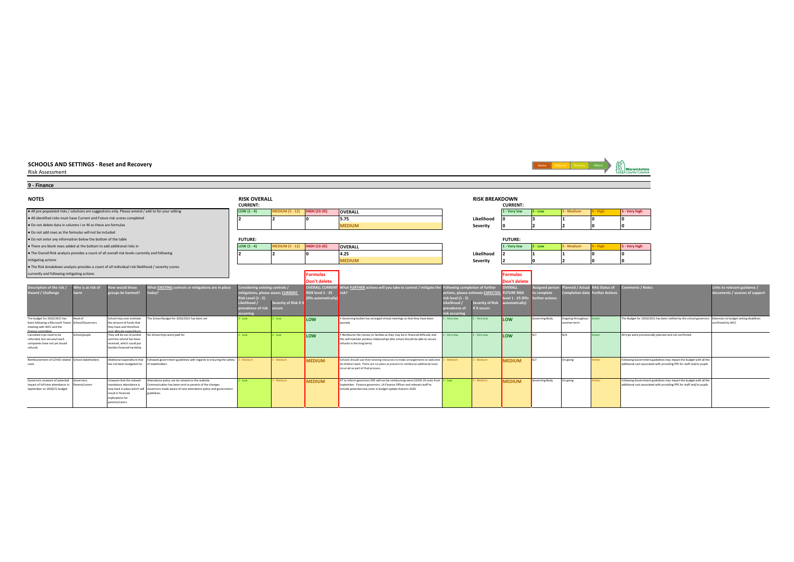| SCHOOLS AND SETTINGS - Reset and Recovery<br><b>Risk Assessment</b>                                |                   |                                                         |                                                                                                           |                                        |                        |                     |                                                                                                                                                                |                                 |                                   |                    |                       | Review Response Recovery Reform |                       | Warwickshire                                                                                             |                              |
|----------------------------------------------------------------------------------------------------|-------------------|---------------------------------------------------------|-----------------------------------------------------------------------------------------------------------|----------------------------------------|------------------------|---------------------|----------------------------------------------------------------------------------------------------------------------------------------------------------------|---------------------------------|-----------------------------------|--------------------|-----------------------|---------------------------------|-----------------------|----------------------------------------------------------------------------------------------------------|------------------------------|
| 9 - Finance                                                                                        |                   |                                                         |                                                                                                           |                                        |                        |                     |                                                                                                                                                                |                                 |                                   |                    |                       |                                 |                       |                                                                                                          |                              |
| <b>NOTES</b>                                                                                       |                   |                                                         |                                                                                                           | <b>RISK OVERALL</b><br><b>CURRENT:</b> |                        |                     |                                                                                                                                                                |                                 | <b>RISK BREAKDOWN</b>             | <b>CURRENT:</b>    |                       |                                 |                       |                                                                                                          |                              |
| . All pre-populated risks / solutions are suggestions only. Please amend / add to for your setting |                   |                                                         |                                                                                                           | LOW $(1 - 4)$                          | <b>IEDIUM (5 - 12)</b> | <b>HIGH (13-25)</b> | <b>OVERALL</b>                                                                                                                                                 |                                 |                                   | 1 - Very low       | $2 - Low$             | 3 - Medium                      | - High                | 5 - Very high                                                                                            |                              |
| . All identified risks must have Current and Future risk scores completed                          |                   |                                                         |                                                                                                           |                                        |                        |                     | 5.75                                                                                                                                                           |                                 | Likelihood                        |                    |                       |                                 |                       |                                                                                                          |                              |
| . Do not delete data in columns I or M as these are formulas                                       |                   |                                                         |                                                                                                           |                                        |                        |                     | <b>MEDIUM</b>                                                                                                                                                  |                                 | Severity                          |                    |                       |                                 |                       |                                                                                                          |                              |
| . Do not add rows as the formulas will not be included                                             |                   |                                                         |                                                                                                           |                                        |                        |                     |                                                                                                                                                                |                                 |                                   |                    |                       |                                 |                       |                                                                                                          |                              |
| . Do not enter any information below the bottom of the table                                       |                   |                                                         |                                                                                                           | <b>FUTURE:</b>                         |                        |                     |                                                                                                                                                                |                                 |                                   | <b>FUTURE:</b>     |                       |                                 |                       |                                                                                                          |                              |
| . There are blank rows added at the bottom to add additional risks in                              |                   |                                                         |                                                                                                           | LOW $(1 - 4)$                          | <b>IEDIUM (5 - 12)</b> | <b>HIGH (13-25)</b> | <b>OVERALL</b>                                                                                                                                                 |                                 |                                   | 1 - Very low       | $2 - Low$             | 3 - Medium                      | - High                | 5 - Very high                                                                                            |                              |
| . The Overall Risk analysis provides a count of all overall risk levels currently and following    |                   |                                                         |                                                                                                           |                                        |                        |                     | 4.25                                                                                                                                                           |                                 | Likelihood                        |                    |                       |                                 |                       |                                                                                                          |                              |
| mitigating actions                                                                                 |                   |                                                         |                                                                                                           |                                        |                        |                     | <b>MEDIUM</b>                                                                                                                                                  |                                 | Severity                          |                    |                       |                                 |                       |                                                                                                          |                              |
| . The Risk breakdown analysis provides a count of all individual risk likelihood / severity scores |                   |                                                         |                                                                                                           |                                        |                        |                     |                                                                                                                                                                |                                 |                                   |                    |                       |                                 |                       |                                                                                                          |                              |
| currently and following mitigating actions                                                         |                   |                                                         |                                                                                                           |                                        |                        | <b>Formulas</b>     |                                                                                                                                                                |                                 |                                   | <b>Formulas</b>    |                       |                                 |                       |                                                                                                          |                              |
|                                                                                                    |                   |                                                         |                                                                                                           |                                        |                        | Don't delete        |                                                                                                                                                                |                                 |                                   | Don't delete       |                       |                                 |                       |                                                                                                          |                              |
| escription of the risk /                                                                           | Vho is at risk of | low would these                                         | What <b>EXISTING</b> controls or mitigations are in place                                                 | Considering existing controls /        |                        |                     | OVERALL CURRENT What FURTHER actions will you take to control / mitigate the                                                                                   | Following completion of further |                                   | OVERALL            | ssigned perse         | lanned / Actu                   | <b>RAG Status of</b>  | omments / Notes                                                                                          | inks to relevant guidance /  |
| lazard / Challenge                                                                                 | arm               | roups be harmed?                                        |                                                                                                           | nitigations, please assess CURRENT     |                        | RISK level 1 - 25   |                                                                                                                                                                |                                 | actions, please estimate EXPECTED | <b>FUTURE RISK</b> | o complete            | Completion date                 | <b>Further Action</b> |                                                                                                          | ocuments / sources of suppor |
|                                                                                                    |                   |                                                         |                                                                                                           | isk Level (1 - 5)                      |                        | fills automatically |                                                                                                                                                                | isk level (1 - 5)               |                                   | evel 1 - 25 (fill  | <b>Irther</b> actions |                                 |                       |                                                                                                          |                              |
|                                                                                                    |                   |                                                         |                                                                                                           | kelihood /                             | Severity of Risk if it |                     |                                                                                                                                                                | kelihood                        | everity of Risk                   | utomatically)      |                       |                                 |                       |                                                                                                          |                              |
|                                                                                                    |                   |                                                         |                                                                                                           | revalence of risk occurs<br>centrit    |                        |                     |                                                                                                                                                                | revalence of<br>sk occurri      | it occurs                         |                    |                       |                                 |                       |                                                                                                          |                              |
| The budget for 2020/2021 has                                                                       | Head of           | School may over estimate                                | The School Budget for 2020/2021 has been set                                                              | - Low                                  | - Low                  | <b>ILOW</b>         | . Governing bodies has arranged virtual meetings so that they have been                                                                                        | - Very low                      | - Very low                        | LOW                | Governing Body        | Ongoing throughout Green        |                       | The Budget for 2020/2021 has been ratified by the school governors Extension to budget setting deadlines |                              |
| been following a Microsoft Teams School/Governors<br>meeting with WCC and the                      |                   | the amount of funds that<br>they have and therefore     |                                                                                                           |                                        |                        |                     | quorate                                                                                                                                                        |                                 |                                   |                    |                       | summer term                     |                       |                                                                                                          | onfirmed by WCC              |
| finance committe                                                                                   |                   | ver allocate expenditure                                |                                                                                                           |                                        |                        |                     |                                                                                                                                                                |                                 |                                   |                    |                       |                                 |                       |                                                                                                          |                              |
| Cancelled trips need to be<br>refunded, but venues/coach                                           | School/pupils     | They will be out of pocket<br>until the refund has been | No School trips were paid for                                                                             | $2 - Low$                              | $2 - Low$              | LOW                 | . Reimburse the money to families as they may be in financial difficulty and<br>this will maintain positive relationships (the school should be able to secure | Very low                        | - Very low                        | LOW                | <b>SIT</b>            | N/A                             | Green                 | All trips were provisionally planned and not confirmed.                                                  |                              |
| companies have not yet issued                                                                      |                   | received, which could put                               |                                                                                                           |                                        |                        |                     | refunds in the long term)                                                                                                                                      |                                 |                                   |                    |                       |                                 |                       |                                                                                                          |                              |
| refunds                                                                                            |                   | families financial hardship                             |                                                                                                           |                                        |                        |                     |                                                                                                                                                                |                                 |                                   |                    |                       |                                 |                       |                                                                                                          |                              |
| Reimbursement of COVID-related School stakeholders                                                 |                   |                                                         | Additional expenditure that Followed government guidelines with regards to ensuring the safety 3 - Medium |                                        | - Medium               | <b>MEDIUM</b>       | Schools should use their existing resources to make arrangements to welcome $3 -$ Medium                                                                       |                                 | - Medium                          | <b>MEDIUM</b>      |                       | On going                        | mher.                 | Following Government guidelines may impact the budget with all the                                       |                              |
|                                                                                                    |                   | has not been budgeted for of stakeholders               |                                                                                                           |                                        |                        |                     | all children back. There are no plans at present to reimburse additional costs                                                                                 |                                 |                                   |                    |                       |                                 |                       | additional cost associated with providing PPE for staff and/or pupils                                    |                              |
|                                                                                                    |                   |                                                         |                                                                                                           |                                        |                        |                     | incurred as part of that process.                                                                                                                              |                                 |                                   |                    |                       |                                 |                       |                                                                                                          |                              |
| Governors unaware of potential                                                                     | Governors.        | Unaware that the relaxed                                | Attendance policy can be viewed on the website.                                                           | $2 - Low$                              | - Medium               |                     | HT to inform governors DFE will not be reimbursing extra COVID 19 costs from 2 - Low                                                                           |                                 | - Medium                          |                    |                       | On going                        | mber                  | Following Government guidelines may impact the budget with all the                                       |                              |
| impact of full time attendance in                                                                  | Parents/carers    | mandatory attendance is                                 | Communication has been sent to parents of the changes                                                     |                                        |                        | <b>MEDIUM</b>       | September. Finance governors, LA Finance Officer and relevant staff to                                                                                         |                                 |                                   | <b>MEDIUM</b>      | overning Body         |                                 |                       | additional cost associated with providing PPE for staff and/or pupils                                    |                              |
| September on 2020/21 budget                                                                        |                   | result in financial                                     | now back in place which will Governors made aware of new attendance policy and government<br>guidelines.  |                                        |                        |                     | include potential new costs in budget update Autumn 2020.                                                                                                      |                                 |                                   |                    |                       |                                 |                       |                                                                                                          |                              |
|                                                                                                    |                   | implications for                                        |                                                                                                           |                                        |                        |                     |                                                                                                                                                                |                                 |                                   |                    |                       |                                 |                       |                                                                                                          |                              |
|                                                                                                    |                   | parents/carers                                          |                                                                                                           |                                        |                        |                     |                                                                                                                                                                |                                 |                                   |                    |                       |                                 |                       |                                                                                                          |                              |

 $\overline{\phantom{0}}$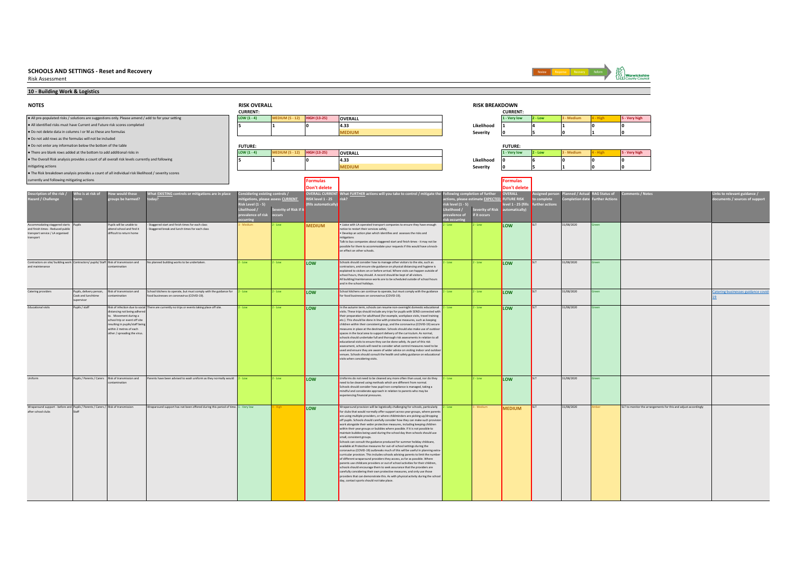

Review Response Recovery Reform **ASS**<br>STY Warwickshire

**10 - Building Work & Logistics**

| <b>NOTES</b>                                                                                              |                                 |                                                         |                                                                                               | <b>RISK OVERALL</b><br><b>CURRENT:</b> |                                   |                     |                                                                                                                                                                 |                  | <b>RISK BREAKDOWN</b>                 | <b>CURRENT:</b>    |                |               |               |                                                                 |                                     |
|-----------------------------------------------------------------------------------------------------------|---------------------------------|---------------------------------------------------------|-----------------------------------------------------------------------------------------------|----------------------------------------|-----------------------------------|---------------------|-----------------------------------------------------------------------------------------------------------------------------------------------------------------|------------------|---------------------------------------|--------------------|----------------|---------------|---------------|-----------------------------------------------------------------|-------------------------------------|
| . All pre-populated risks / solutions are suggestions only. Please amend / add to for your setting        |                                 |                                                         |                                                                                               | LOW $(1 - 4)$                          | <b>MEDIUM (5 - 12)</b>            | <b>HIGH (13-25)</b> | OVERALL                                                                                                                                                         |                  |                                       | 1 - Very low       | $2 - Low$      | 3 - Medium    | - High        | 5 - Very high                                                   |                                     |
| . All identified risks must have Current and Future risk scores completed                                 |                                 |                                                         |                                                                                               |                                        |                                   |                     | 4.33                                                                                                                                                            |                  | Likelihood                            |                    |                |               |               |                                                                 |                                     |
| . Do not delete data in columns I or M as these are formulas                                              |                                 |                                                         |                                                                                               |                                        |                                   |                     | <b>MEDIUM</b>                                                                                                                                                   |                  | Severity                              |                    |                |               |               |                                                                 |                                     |
| . Do not add rows as the formulas will not be included                                                    |                                 |                                                         |                                                                                               |                                        |                                   |                     |                                                                                                                                                                 |                  |                                       |                    |                |               |               |                                                                 |                                     |
| . Do not enter any information below the bottom of the table                                              |                                 |                                                         |                                                                                               | <b>FUTURE:</b>                         |                                   |                     |                                                                                                                                                                 |                  |                                       | <b>FUTURE:</b>     |                |               |               |                                                                 |                                     |
| . There are blank rows added at the bottom to add additional risks in                                     |                                 |                                                         |                                                                                               | LOW $(1 - 4)$                          | <b>EDIUM (5 - 12)</b>             | <b>HIGH (13-25)</b> | <b>OVERALL</b>                                                                                                                                                  |                  |                                       | 1 - Very low       | $2 - Low$      | - Medium      |               | - Very high                                                     |                                     |
| . The Overall Risk analysis provides a count of all overall risk levels currently and following           |                                 |                                                         |                                                                                               |                                        |                                   |                     | 4.33                                                                                                                                                            |                  | Likelihood                            |                    |                |               |               |                                                                 |                                     |
| mitigating actions                                                                                        |                                 |                                                         |                                                                                               |                                        |                                   |                     | <b>MEDIUM</b>                                                                                                                                                   |                  | Severity                              |                    |                |               |               |                                                                 |                                     |
| . The Risk breakdown analysis provides a count of all individual risk likelihood / severity scores        |                                 |                                                         |                                                                                               |                                        |                                   |                     |                                                                                                                                                                 |                  |                                       |                    |                |               |               |                                                                 |                                     |
| currently and following mitigating actions                                                                |                                 |                                                         |                                                                                               |                                        |                                   | <b>Formulas</b>     |                                                                                                                                                                 |                  |                                       | Formulas           |                |               |               |                                                                 |                                     |
|                                                                                                           |                                 |                                                         |                                                                                               |                                        |                                   | <b>Don't delete</b> |                                                                                                                                                                 |                  |                                       | Don't delet        |                |               |               |                                                                 |                                     |
| Description of the risk /                                                                                 | Who is at risk of               | w would these                                           | That EXISTING controls or mitigations are in place                                            | sidering existing controls /           |                                   |                     | VERALL CURRENT What FURTHER actions will you take to control / mitigate the                                                                                     | wing com         | letion of further                     | VERALL             | signed per     | ned / Acti    | AG Status of  | ments / Notes                                                   | nks to relevant guidance /          |
| Hazard / Challenge                                                                                        |                                 | roups be harmed?                                        | odav?                                                                                         |                                        | itigations, please assess CURRENT | RISK level 1 - 25   | risk?                                                                                                                                                           |                  | ions, please estimate <u>EXPECTED</u> | <b>FUTURE RISK</b> | o complete     | mpletion date | urther Action |                                                                 | ments / sources of support          |
|                                                                                                           |                                 |                                                         |                                                                                               | Risk Level (1 - 5)                     |                                   | fills automaticall  |                                                                                                                                                                 | isk level (1 - 5 |                                       | evel 1 - 25 (fil   | urther action: |               |               |                                                                 |                                     |
|                                                                                                           |                                 |                                                         |                                                                                               | Likelihood /                           | Severity of Risk if it            |                     |                                                                                                                                                                 |                  | everity of Risk                       | matically          |                |               |               |                                                                 |                                     |
|                                                                                                           |                                 |                                                         |                                                                                               | revalence of risk                      | occurs                            |                     |                                                                                                                                                                 | evalence of      | it occurs                             |                    |                |               |               |                                                                 |                                     |
| Accommodating staggered starts Pupils                                                                     |                                 | Pupils will be unable to                                | Staggered start and finish times for each class                                               |                                        |                                   | <b>MEDIUM</b>       | . Liaise with LA-operated transport companies to ensure they have enough                                                                                        | Low              | - Low                                 | LOW                |                | 31/08/2020    |               |                                                                 |                                     |
| and finish times - Reduced public<br>transport service / LA organised                                     |                                 | attend school and find it<br>difficult to return home   | Staggered break and lunch times for each class                                                |                                        |                                   |                     | notice to restart their services safely.<br>. Develop an action plan which identifies and assesses the risks and                                                |                  |                                       |                    |                |               |               |                                                                 |                                     |
| transport                                                                                                 |                                 |                                                         |                                                                                               |                                        |                                   |                     | mitigations                                                                                                                                                     |                  |                                       |                    |                |               |               |                                                                 |                                     |
|                                                                                                           |                                 |                                                         |                                                                                               |                                        |                                   |                     | Talk to bus companies about staggered start and finish times - it may not be<br>possible for them to accommodate your requests if this would have a knock-      |                  |                                       |                    |                |               |               |                                                                 |                                     |
|                                                                                                           |                                 |                                                         |                                                                                               |                                        |                                   |                     | on effect on other schools.                                                                                                                                     |                  |                                       |                    |                |               |               |                                                                 |                                     |
|                                                                                                           |                                 |                                                         |                                                                                               |                                        |                                   |                     |                                                                                                                                                                 |                  |                                       |                    |                |               |               |                                                                 |                                     |
| Contractors on site/ building work Contractors/ pupils/ Staff Risk of transmission and<br>and maintenance |                                 | ntamination                                             | No planned building works to be undertaken.                                                   | - Low                                  | - Low                             | LOW                 | Schools should consider how to manage other visitors to the site, such as<br>contractors, and ensure site guidance on physical distancing and hygiene is        | Low              | - Low                                 | LOW                |                | 31/08/2020    |               |                                                                 |                                     |
|                                                                                                           |                                 |                                                         |                                                                                               |                                        |                                   |                     | explained to visitors on or before arrival. Where visits can happen outside of                                                                                  |                  |                                       |                    |                |               |               |                                                                 |                                     |
|                                                                                                           |                                 |                                                         |                                                                                               |                                        |                                   |                     | school hours, they should. A record should be kept of all visitors.<br>All building/maintenance works are to be scheduled outside of school hours               |                  |                                       |                    |                |               |               |                                                                 |                                     |
|                                                                                                           |                                 |                                                         |                                                                                               |                                        |                                   |                     | and in the school holidays.                                                                                                                                     |                  |                                       |                    |                |               |               |                                                                 |                                     |
| Catering providers                                                                                        | Pupils, delivery person,        | Risk of transmission and                                | School kitchens to operate, but must comply with the guidance for                             | $2 - Low$                              | - Low                             | LOW                 | School kitchens can continue to operate, but must comply with the guidance                                                                                      | - Low            | - Low                                 | LOW                |                | 31/08/2020    |               |                                                                 | Catering businesses guidance covid- |
|                                                                                                           | Cook and lunchtime<br>upervisor | contamination                                           | food businesses on coronavirus (COVID-19).                                                    |                                        |                                   |                     | for food businesses on coronavirus (COVID-19).                                                                                                                  |                  |                                       |                    |                |               |               |                                                                 |                                     |
|                                                                                                           |                                 |                                                         |                                                                                               |                                        |                                   |                     |                                                                                                                                                                 |                  |                                       |                    |                |               |               |                                                                 |                                     |
| <b>Educational visits</b>                                                                                 | Pupils / staff                  | distancing not being adhere                             | Risk of infection due to social There are currently no trips or events taking place off site. | Low                                    | $2 - Low$                         | <b>LOW</b>          | In the autumn term, schools can resume non-overnight domestic educational<br>visits. These trips should include any trips for pupils with SEND connected with   | Low.             | - Low                                 | LOW                |                | 31/08/2020    | een.          |                                                                 |                                     |
|                                                                                                           |                                 | to. Movement during a<br>school trip or event off site  |                                                                                               |                                        |                                   |                     | their preparation for adulthood (for example, workplace visits, travel training<br>etc.). This should be done in line with protective measures, such as keeping |                  |                                       |                    |                |               |               |                                                                 |                                     |
|                                                                                                           |                                 | resulting in pupils/staff bein                          |                                                                                               |                                        |                                   |                     | children within their consistent group, and the coronavirus (COVID-19) secure                                                                                   |                  |                                       |                    |                |               |               |                                                                 |                                     |
|                                                                                                           |                                 | within 2 metres of each<br>other / spreading the virus. |                                                                                               |                                        |                                   |                     | measures in place at the destination. Schools should also make use of outdoor<br>spaces in the local area to support delivery of the curriculum. As normal,     |                  |                                       |                    |                |               |               |                                                                 |                                     |
|                                                                                                           |                                 |                                                         |                                                                                               |                                        |                                   |                     | schools should undertake full and thorough risk assessments in relation to all                                                                                  |                  |                                       |                    |                |               |               |                                                                 |                                     |
|                                                                                                           |                                 |                                                         |                                                                                               |                                        |                                   |                     | educational visits to ensure they can be done safely. As part of this risk<br>assessment, schools will need to consider what control measures need to be        |                  |                                       |                    |                |               |               |                                                                 |                                     |
|                                                                                                           |                                 |                                                         |                                                                                               |                                        |                                   |                     | used and ensure they are aware of wider advice on visiting indoor and outdoo                                                                                    |                  |                                       |                    |                |               |               |                                                                 |                                     |
|                                                                                                           |                                 |                                                         |                                                                                               |                                        |                                   |                     | venues. Schools should consult the health and safety guidance on educational<br>visits when considering visits.                                                 |                  |                                       |                    |                |               |               |                                                                 |                                     |
|                                                                                                           |                                 |                                                         |                                                                                               |                                        |                                   |                     |                                                                                                                                                                 |                  |                                       |                    |                |               |               |                                                                 |                                     |
|                                                                                                           |                                 |                                                         |                                                                                               |                                        |                                   |                     |                                                                                                                                                                 |                  |                                       |                    |                |               |               |                                                                 |                                     |
| Uniform                                                                                                   |                                 | Pupils / Parents / Carers Risk of transmission and      | Parents have been advised to wash uniform as they normally would                              | $-$ Low                                | - Low                             | LOW                 | Uniforms do not need to be cleaned any more often than usual, nor do they                                                                                       | Low              | - Low                                 | LOW                |                | 31/08/2020    |               |                                                                 |                                     |
|                                                                                                           |                                 | ntamination                                             |                                                                                               |                                        |                                   |                     | need to be cleaned using methods which are different from normal.                                                                                               |                  |                                       |                    |                |               |               |                                                                 |                                     |
|                                                                                                           |                                 |                                                         |                                                                                               |                                        |                                   |                     | Schools should consider how pupil non-compliance is managed, taking a<br>mindful and considerate approach in relation to parents who may be                     |                  |                                       |                    |                |               |               |                                                                 |                                     |
|                                                                                                           |                                 |                                                         |                                                                                               |                                        |                                   |                     | speriencing financial pressures.                                                                                                                                |                  |                                       |                    |                |               |               |                                                                 |                                     |
|                                                                                                           |                                 |                                                         |                                                                                               |                                        |                                   |                     |                                                                                                                                                                 |                  |                                       |                    |                |               |               |                                                                 |                                     |
| Wraparound support - before and Pupils / Parents / Carers / Risk of transmission<br>after school clubs    |                                 |                                                         | Wraparound support has not been offered during this period of time. 1 - Very low              |                                        |                                   | <b>LOW</b>          | Wraparound provision will be logistically challenging for schools, particularly<br>for clubs that would normally offer support across year groups, where parent | - Low            | Medium                                | <b>MEDIUM</b>      |                | 31/08/2020    |               | SLT to monitor the arrangements for this and adjust accordingly |                                     |
|                                                                                                           |                                 |                                                         |                                                                                               |                                        |                                   |                     | are using multiple providers, or where childminders are picking up/dropping                                                                                     |                  |                                       |                    |                |               |               |                                                                 |                                     |
|                                                                                                           |                                 |                                                         |                                                                                               |                                        |                                   |                     | off pupils. Schools should carefully consider how they can make such provisio<br>work alongside their wider protective measures, including keeping children     |                  |                                       |                    |                |               |               |                                                                 |                                     |
|                                                                                                           |                                 |                                                         |                                                                                               |                                        |                                   |                     | within their year groups or bubbles where possible. If it is not possible to                                                                                    |                  |                                       |                    |                |               |               |                                                                 |                                     |
|                                                                                                           |                                 |                                                         |                                                                                               |                                        |                                   |                     | naintain bubbles being used during the school day then schools should use<br>small, consistent groups.                                                          |                  |                                       |                    |                |               |               |                                                                 |                                     |
|                                                                                                           |                                 |                                                         |                                                                                               |                                        |                                   |                     | Schools can consult the guidance produced for summer holiday childcare,                                                                                         |                  |                                       |                    |                |               |               |                                                                 |                                     |
|                                                                                                           |                                 |                                                         |                                                                                               |                                        |                                   |                     | available at Protective measures for out-of-school settings during the<br>coronavirus (COVID-19) outbreaks much of this will be useful in planning extra-       |                  |                                       |                    |                |               |               |                                                                 |                                     |
|                                                                                                           |                                 |                                                         |                                                                                               |                                        |                                   |                     | curricular provision. This includes schools advising parents to limit the number                                                                                |                  |                                       |                    |                |               |               |                                                                 |                                     |
|                                                                                                           |                                 |                                                         |                                                                                               |                                        |                                   |                     | of different wraparound providers they access, as far as possible. Where<br>parents use childcare providers or out of school activities for their children,     |                  |                                       |                    |                |               |               |                                                                 |                                     |
|                                                                                                           |                                 |                                                         |                                                                                               |                                        |                                   |                     | schools should encourage them to seek assurance that the providers are                                                                                          |                  |                                       |                    |                |               |               |                                                                 |                                     |
|                                                                                                           |                                 |                                                         |                                                                                               |                                        |                                   |                     | carefully considering their own protective measures, and only use those<br>providers that can demonstrate this. As with physical activity during the school     |                  |                                       |                    |                |               |               |                                                                 |                                     |
|                                                                                                           |                                 |                                                         |                                                                                               |                                        |                                   |                     | day, contact sports should not take place.                                                                                                                      |                  |                                       |                    |                |               |               |                                                                 |                                     |
|                                                                                                           |                                 |                                                         |                                                                                               |                                        |                                   |                     |                                                                                                                                                                 |                  |                                       |                    |                |               |               |                                                                 |                                     |
|                                                                                                           |                                 |                                                         |                                                                                               |                                        |                                   |                     |                                                                                                                                                                 |                  |                                       |                    |                |               |               |                                                                 |                                     |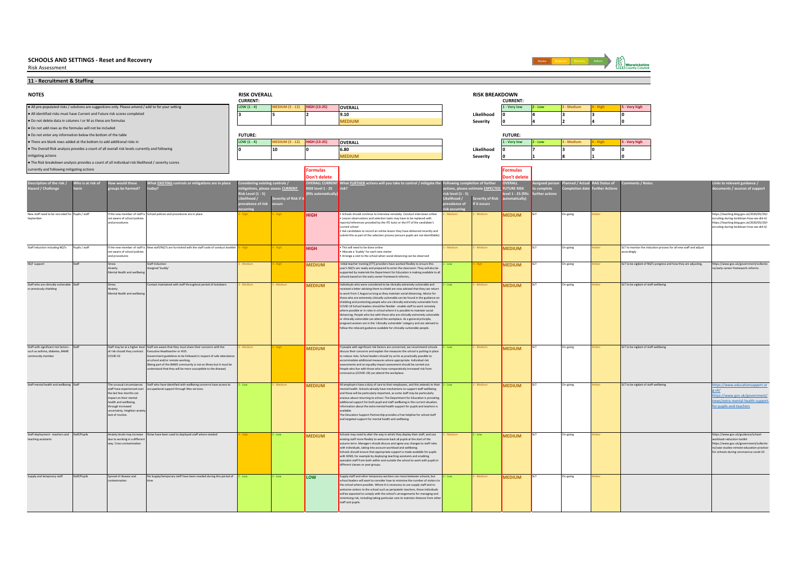Risk Assessment



**11 - Recruitment & Staffing**

| <b>NOTES</b>                                                                                       |                   |                                                    |                                                                                                                                       | <b>RISK OVERALL</b><br><b>CURRENT:</b> |                                   |                                      |                                                                                                                                                                |                  | <b>RISK BREAKDOWN</b>   | <b>CURRENT:</b>                |             |           |                           |                                                                  |                                                                                       |
|----------------------------------------------------------------------------------------------------|-------------------|----------------------------------------------------|---------------------------------------------------------------------------------------------------------------------------------------|----------------------------------------|-----------------------------------|--------------------------------------|----------------------------------------------------------------------------------------------------------------------------------------------------------------|------------------|-------------------------|--------------------------------|-------------|-----------|---------------------------|------------------------------------------------------------------|---------------------------------------------------------------------------------------|
| . All pre-populated risks / solutions are suggestions only. Please amend / add to for your setting |                   |                                                    |                                                                                                                                       | LOW $(1 - 4)$                          | <b>MEDIUM (5 - 12)</b>            | <b>HIGH (13-25)</b>                  | OVERALL                                                                                                                                                        |                  |                         | 1 - Very low                   | - Low       | - Medium  |                           | - Very high                                                      |                                                                                       |
| . All identified risks must have Current and Future risk scores completed                          |                   |                                                    |                                                                                                                                       |                                        |                                   |                                      | 9.10                                                                                                                                                           |                  | Likelihood              |                                |             |           |                           |                                                                  |                                                                                       |
| . Do not delete data in columns I or M as these are formulas                                       |                   |                                                    |                                                                                                                                       |                                        |                                   |                                      | <b>MEDIUM</b>                                                                                                                                                  |                  | Severity                |                                |             |           |                           |                                                                  |                                                                                       |
| . Do not add rows as the formulas will not be included                                             |                   |                                                    |                                                                                                                                       |                                        |                                   |                                      |                                                                                                                                                                |                  |                         |                                |             |           |                           |                                                                  |                                                                                       |
| . Do not enter any information below the bottom of the table                                       |                   |                                                    |                                                                                                                                       | <b>FUTURE:</b>                         |                                   |                                      |                                                                                                                                                                |                  |                         | <b>FUTURE:</b>                 |             |           |                           |                                                                  |                                                                                       |
| . There are blank rows added at the bottom to add additional risks in                              |                   |                                                    |                                                                                                                                       | LOW $(1 - 4)$                          | <b>MEDIUM (5 - 12)</b>            | HIGH (13-25)                         | OVERALL                                                                                                                                                        |                  |                         | 1 - Very low                   | - Low       | - Medium  |                           | - Very high                                                      |                                                                                       |
| . The Overall Risk analysis provides a count of all overall risk levels currently and following    |                   |                                                    |                                                                                                                                       | ۱n                                     | 10                                |                                      | 6.80                                                                                                                                                           |                  | Likelihood              |                                |             |           |                           |                                                                  |                                                                                       |
| mitigating actions                                                                                 |                   |                                                    |                                                                                                                                       |                                        |                                   |                                      | <b>MEDIUM</b>                                                                                                                                                  |                  | Severity                |                                |             |           |                           |                                                                  |                                                                                       |
| . The Risk breakdown analysis provides a count of all individual risk likelihood / severity scores |                   |                                                    |                                                                                                                                       |                                        |                                   |                                      |                                                                                                                                                                |                  |                         |                                |             |           |                           |                                                                  |                                                                                       |
| currently and following mitigating actions                                                         |                   |                                                    |                                                                                                                                       |                                        |                                   | <b>Formulas</b><br>Don't delete      |                                                                                                                                                                |                  |                         | <b>Formulas</b><br>Don't delet |             |           |                           |                                                                  |                                                                                       |
| scription of the risk /                                                                            | Who is at risk of | w would these                                      | What <b>EXISTING</b> controls or mitigations are in place                                                                             | nsidering existing controls /          |                                   |                                      | DVERALL CURRENT What <u>FURTHER</u> actions will you take to control / mitigate the                                                                            | ving con         | <b>Ietion of furthe</b> | <b>VERALL</b>                  | gned per    |           | ed / Actual RAG Status of | nents / Notes                                                    | inks to relevant guidance /                                                           |
| Hazard / Challenge                                                                                 |                   | oups be harmed?                                    | odav?                                                                                                                                 |                                        | itigations, please assess CURRENT | RISK level 1 - 25<br>ills automatica |                                                                                                                                                                | ons, please est  | nate EXPECTED           | UTURE RISK                     | ther action | tion date | <b>urther Action</b>      |                                                                  | nents / sources of suppor                                                             |
|                                                                                                    |                   |                                                    |                                                                                                                                       | Risk Level (1 - 5)<br>Likelihood /     | everity of Risk if it             |                                      |                                                                                                                                                                | isk level (1 - 5 | rity of Risk            | vel 1 - 25 (fi                 |             |           |                           |                                                                  |                                                                                       |
|                                                                                                    |                   |                                                    |                                                                                                                                       | ce of risl                             | UT.                               |                                      |                                                                                                                                                                |                  | it occurs               |                                |             |           |                           |                                                                  |                                                                                       |
| New staff need to be recruited for Pupils / staff                                                  |                   |                                                    | If the new member of staff is School policies and procedures are in place.                                                            |                                        |                                   |                                      | Schools should continue to interview remotely. Conduct interviews online                                                                                       |                  |                         |                                |             | On-going  |                           |                                                                  | https://teaching.blog.gov.uk/2020/05/29/r                                             |
| Septembe                                                                                           |                   | not aware of school policies                       |                                                                                                                                       |                                        |                                   | <b>HIGH</b>                          | Lesson observations and selection tasks may have to be replaced with                                                                                           |                  |                         | <b>MEDIUM</b>                  |             |           |                           |                                                                  | ecruiting-during-lockdown-how-we-did-it/                                              |
|                                                                                                    |                   | and procedures                                     |                                                                                                                                       |                                        |                                   |                                      | reports/references provided by the ITE tutor or the HT of the candidate's<br>rrent school                                                                      |                  |                         |                                |             |           |                           |                                                                  | https://teaching.blog.gov.uk/2020/05/29/r<br>ecruiting-during-lockdown-how-we-did-it/ |
|                                                                                                    |                   |                                                    |                                                                                                                                       |                                        |                                   |                                      | . Ask candidates to record an online lesson they have delivered recently and                                                                                   |                  |                         |                                |             |           |                           |                                                                  |                                                                                       |
|                                                                                                    |                   |                                                    |                                                                                                                                       |                                        |                                   |                                      | ubmit this as part of the selection process (ensure pupils are not identifiable)                                                                               |                  |                         |                                |             |           |                           |                                                                  |                                                                                       |
| Staff induction including NQTs                                                                     | Pupils / staff    | If the new member of staff is                      | New staff/NQTs are furnished with the staff code of conduct booklet                                                                   |                                        |                                   | HIGH                                 | This will need to be done online                                                                                                                               |                  |                         | <b>MEDIUM</b>                  |             | On-going  |                           | LT to monitor the induction process for all new staff and adjust |                                                                                       |
|                                                                                                    |                   | not aware of school policies                       |                                                                                                                                       |                                        |                                   |                                      | Allocate a 'buddy' for each new starter                                                                                                                        |                  |                         |                                |             |           |                           | accordingly                                                      |                                                                                       |
|                                                                                                    |                   | and procedures                                     |                                                                                                                                       |                                        |                                   |                                      | Arrange a visit to the school when social distancing can be observed                                                                                           |                  |                         |                                |             |           |                           |                                                                  |                                                                                       |
| NQT support                                                                                        |                   | Stress<br>Anxiety                                  | <b>Staff Induction</b><br><b>Assigned 'buddy</b>                                                                                      |                                        |                                   | <b>MEDIUM</b>                        | Initial teacher training (ITT) providers have worked flexibly to ensure this<br>rear's NOTs are ready and prepared to enter the classroom. They will also be   |                  |                         | <b>MEDIUM</b>                  |             | Dn-going  |                           | SLT to be vigilant of NQTs progress and how they are adjusting.  | https://www.gov.uk/government/collectio<br>S/early-career-framework-reforms           |
|                                                                                                    |                   | Mental Health and wellbeir                         |                                                                                                                                       |                                        |                                   |                                      | pported by materials the Department for Education is making available to a                                                                                     |                  |                         |                                |             |           |                           |                                                                  |                                                                                       |
|                                                                                                    |                   |                                                    |                                                                                                                                       |                                        |                                   |                                      | schools based on the early career framework reforms,.                                                                                                          |                  |                         |                                |             |           |                           |                                                                  |                                                                                       |
| Staff who are clinically vulnerable Staff<br>or previously shielding                               |                   | Stress                                             | Contact maintained with staff throughout period of lockdown.                                                                          | Medium                                 | Medium                            | <b>MEDIUM</b>                        | Individuals who were considered to be clinically extremely vulnerable and<br>received a letter advising them to shield are now advised that they can return    | Low              | Medium                  | <b>MEDIUM</b>                  |             | On-going  |                           | SLT to be vigilant of staff wellbeing                            |                                                                                       |
|                                                                                                    |                   | Anxiety<br>Mental Health and wellbein              |                                                                                                                                       |                                        |                                   |                                      | to work from 1 August as long as they maintain social distancing. Advice for                                                                                   |                  |                         |                                |             |           |                           |                                                                  |                                                                                       |
|                                                                                                    |                   |                                                    |                                                                                                                                       |                                        |                                   |                                      | those who are extremely clinically vulnerable can be found in the guidance on<br>shielding and protecting people who are clinically extremely vulnerable from  |                  |                         |                                |             |           |                           |                                                                  |                                                                                       |
|                                                                                                    |                   |                                                    |                                                                                                                                       |                                        |                                   |                                      | COVID-19 School leaders should be flexible - enable staff to work remotely                                                                                     |                  |                         |                                |             |           |                           |                                                                  |                                                                                       |
|                                                                                                    |                   |                                                    |                                                                                                                                       |                                        |                                   |                                      | where possible or in roles in school where it is possible to maintain social<br>distancing. People who live with those who are clinically extremely vulnerable |                  |                         |                                |             |           |                           |                                                                  |                                                                                       |
|                                                                                                    |                   |                                                    |                                                                                                                                       |                                        |                                   |                                      | or clinically vulnerable can attend the workplace. As a general principle,                                                                                     |                  |                         |                                |             |           |                           |                                                                  |                                                                                       |
|                                                                                                    |                   |                                                    |                                                                                                                                       |                                        |                                   |                                      | pregnant women are in the 'clinically vulnerable' category and are advised to<br>follow the relevant guidance available for clinically-vulnerable people.      |                  |                         |                                |             |           |                           |                                                                  |                                                                                       |
|                                                                                                    |                   |                                                    |                                                                                                                                       |                                        |                                   |                                      |                                                                                                                                                                |                  |                         |                                |             |           |                           |                                                                  |                                                                                       |
|                                                                                                    |                   |                                                    |                                                                                                                                       |                                        |                                   |                                      |                                                                                                                                                                |                  |                         |                                |             |           |                           |                                                                  |                                                                                       |
| Staff with significant risk factors -                                                              | Staf              |                                                    | Staff may be at a higher level Staff are aware that they must share their concerns with the                                           |                                        |                                   | <b>MEDIUM</b>                        | If people with significant risk factors are concerned, we recommend schools                                                                                    |                  |                         | <b>MEDIUM</b>                  |             | On-going  |                           | SLT to be vigilant of staff wellbeing                            |                                                                                       |
| such as asthma, diabetes, BAME<br>community member                                                 |                   | of risk should they contract<br>COVID 19           | Executive Headteacher or HOS.<br>ernment guidelines to be followed in respect of safe attendance                                      |                                        |                                   |                                      | tuss their concerns and explain the measures the school is putting in place<br>to reduce risks. School leaders should try as far as practically possible to    |                  |                         |                                |             |           |                           |                                                                  |                                                                                       |
|                                                                                                    |                   |                                                    | at school and/or remote working.                                                                                                      |                                        |                                   |                                      | mmodate additional measures where appropriate. Individual risk                                                                                                 |                  |                         |                                |             |           |                           |                                                                  |                                                                                       |
|                                                                                                    |                   |                                                    | Being part of the BAME community is not an illness but it must be<br>erstood that they will be more susceptible to the disease)       |                                        |                                   |                                      | essments and an equality impact assessment should be carried out.<br>People who live with those who have comparatively increased risk from                     |                  |                         |                                |             |           |                           |                                                                  |                                                                                       |
|                                                                                                    |                   |                                                    |                                                                                                                                       |                                        |                                   |                                      | oronavirus (COVID-19) can attend the workplace.                                                                                                                |                  |                         |                                |             |           |                           |                                                                  |                                                                                       |
|                                                                                                    |                   |                                                    |                                                                                                                                       |                                        |                                   |                                      |                                                                                                                                                                |                  |                         |                                |             |           |                           |                                                                  |                                                                                       |
| Staff mental health and wellbeing Staff                                                            |                   | staff have experienced over                        | The unusual circumstances Staff who have identified with wellbeing concerns have access to<br>cupational support through Wes services | Low                                    | - Medium                          | <b>MEDIUM</b>                        | All employers have a duty of care to their employees, and this extends to their<br>nental health. Schools already have mechanisms to support staff wellbeing   | - Low            | Medium                  | <b>MEDIUM</b>                  |             | On-going  |                           | SLT to be vigilant of staff wellbeing                            | https://www.educationsupport.or<br>e.uk/                                              |
|                                                                                                    |                   | the last few months can<br>impact on their mental  |                                                                                                                                       |                                        |                                   |                                      | and these will be particularly important, as some staff may be particularly<br>anxious about returning to school. The Department for Education is providing    |                  |                         |                                |             |           |                           |                                                                  | https://www.gov.uk/government/                                                        |
|                                                                                                    |                   | health and wellbeing.                              |                                                                                                                                       |                                        |                                   |                                      | additional support for both pupil and staff wellbeing in the current situation.                                                                                |                  |                         |                                |             |           |                           |                                                                  | news/extra-mental-health-support-                                                     |
|                                                                                                    |                   | through increased<br>uncertainty, heighten anxie   |                                                                                                                                       |                                        |                                   |                                      | formation about the extra mental health support for pupils and teachers is<br>eldelikve                                                                        |                  |                         |                                |             |           |                           |                                                                  | for-pupils-and-teachers                                                               |
|                                                                                                    |                   | lack of routine.                                   |                                                                                                                                       |                                        |                                   |                                      | The Education Support Partnership provides a free helpline for school staff                                                                                    |                  |                         |                                |             |           |                           |                                                                  |                                                                                       |
|                                                                                                    |                   |                                                    |                                                                                                                                       |                                        |                                   |                                      | and targeted support for mental health and wellbeing.                                                                                                          |                  |                         |                                |             |           |                           |                                                                  |                                                                                       |
|                                                                                                    |                   |                                                    |                                                                                                                                       |                                        |                                   |                                      |                                                                                                                                                                |                  |                         |                                |             |           |                           |                                                                  |                                                                                       |
| Staff deployment - teachers and Staff/Pupils                                                       |                   | Anxiety levels may increase                        | Rotas have been used to deployed staff where needed                                                                                   |                                        | $2 - Low$                         | <b>MEDIUM</b>                        | Schools may need to alter the way in which they deploy their staff, and use                                                                                    | Medium           | - Low                   | <b>MEDIUM</b>                  |             | On-going  |                           |                                                                  | https://www.gov.uk/guidance/school-                                                   |
| teaching assistants                                                                                |                   | due to working in a differen<br>way. Cross contami |                                                                                                                                       |                                        |                                   |                                      | cisting staff more flexibly to welcome back all pupils at the start of the<br>autumn term. Managers should discuss and agree any changes to staff roles        |                  |                         |                                |             |           |                           |                                                                  | workload-reduction-toolkit<br>https://www.gov.uk/government/collectio                 |
|                                                                                                    |                   |                                                    |                                                                                                                                       |                                        |                                   |                                      | with individuals, taking into account workload and wellbeing                                                                                                   |                  |                         |                                |             |           |                           |                                                                  | ns/case-studies-remote-education-practice-                                            |
|                                                                                                    |                   |                                                    |                                                                                                                                       |                                        |                                   |                                      | Schools should ensure that appropriate support is made available for pupils<br>with SEND, for example by deploying teaching assistants and enabling            |                  |                         |                                |             |           |                           |                                                                  | for-schools-during-coronavirus-covid-19                                               |
|                                                                                                    |                   |                                                    |                                                                                                                                       |                                        |                                   |                                      | specialist staff from both within and outside the school to work with pupils in<br>different classes or year groups.                                           |                  |                         |                                |             |           |                           |                                                                  |                                                                                       |
|                                                                                                    |                   |                                                    |                                                                                                                                       |                                        |                                   |                                      |                                                                                                                                                                |                  |                         |                                |             |           |                           |                                                                  |                                                                                       |
| Supply and temporary staff                                                                         | Staff/Pupils      | Spread of disease and                              | No Supply/temporary staff have been needed during this period of 2 - Low                                                              |                                        | - Low                             | LOW                                  | upply staff and other temporary workers can move between schools, but                                                                                          |                  | Medium                  | <b>MEDIUM</b>                  |             | On-going  |                           |                                                                  |                                                                                       |
|                                                                                                    |                   |                                                    |                                                                                                                                       |                                        |                                   |                                      | chool leaders will want to consider how to minimise the number of visitors to                                                                                  |                  |                         |                                |             |           |                           |                                                                  |                                                                                       |
|                                                                                                    |                   |                                                    |                                                                                                                                       |                                        |                                   |                                      | the school where possible. Where it is necessary to use supply staff and to<br>elcome visitors to the school such as peripatetic teachers, those individuals   |                  |                         |                                |             |           |                           |                                                                  |                                                                                       |
|                                                                                                    |                   |                                                    |                                                                                                                                       |                                        |                                   |                                      | will be expected to comply with the school's arrangements for managing and                                                                                     |                  |                         |                                |             |           |                           |                                                                  |                                                                                       |
|                                                                                                    |                   |                                                    |                                                                                                                                       |                                        |                                   |                                      | inimising risk, including taking particular care to maintain distance from other<br>staff and pupils.                                                          |                  |                         |                                |             |           |                           |                                                                  |                                                                                       |
|                                                                                                    |                   |                                                    |                                                                                                                                       |                                        |                                   |                                      |                                                                                                                                                                |                  |                         |                                |             |           |                           |                                                                  |                                                                                       |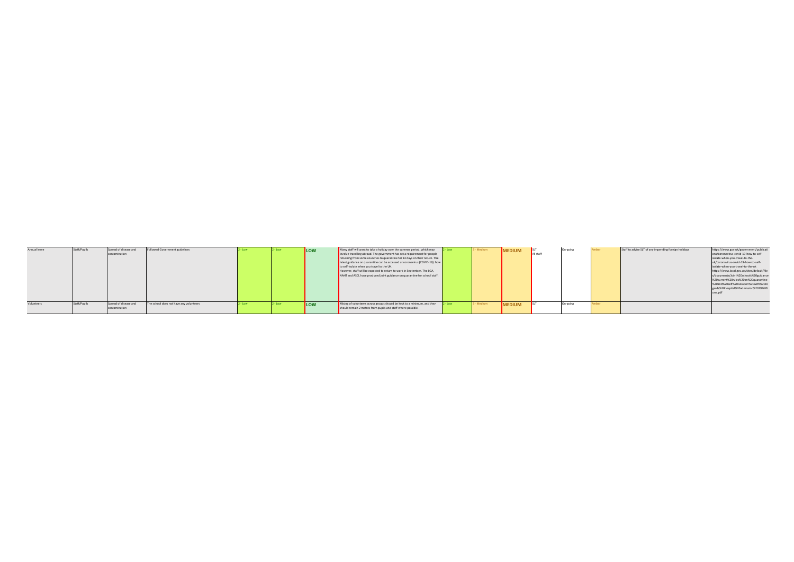| Annual leave | Staff/Pupils | Spread of disease and<br>contamination | Followed Government guidelines          |  | LOW | Many staff will want to take a holiday over the summer period, which may $2 - Low$<br>involve travelling abroad. The government has set a requirement for people<br>returning from some countries to quarantine for 14 days on their return. The<br>latest guidance on quarantine can be accessed at coronavirus (COVID-19): how<br>to self-isolate when you travel to the UK.<br>However, staff will be expected to return to work in September. The LGA,<br>NAHT and ASCL have produced joint guidance on quarantine for school staff. |           | 3 - Medium | <b>MEDIUM</b> | All staff | On-going | Staff to advise SLT of any impending foreign holidays | https://www.gov.uk/government/publicati<br>ons/coronavirus-covid-19-how-to-self-<br>isolate-when-you-travel-to-the-<br>uk/coronavirus-covid-19-how-to-self-<br>isolate-when-you-travel-to-the-uk<br>https://www.local.gov.uk/sites/default/file<br>s/documents/Joint%20schools%20guidance<br>%20current%20rules%20on%20quarantine<br>%20and%20self%20isolation%20with%20re<br>gards%20hospital%20admission%2019%20J |
|--------------|--------------|----------------------------------------|-----------------------------------------|--|-----|------------------------------------------------------------------------------------------------------------------------------------------------------------------------------------------------------------------------------------------------------------------------------------------------------------------------------------------------------------------------------------------------------------------------------------------------------------------------------------------------------------------------------------------|-----------|------------|---------------|-----------|----------|-------------------------------------------------------|---------------------------------------------------------------------------------------------------------------------------------------------------------------------------------------------------------------------------------------------------------------------------------------------------------------------------------------------------------------------------------------------------------------------|
| Volunteers   | Staff/Pupils | Spread of disease and<br>contamination | The school does not have any volunteers |  | LOW | Mixing of volunteers across groups should be kept to a minimum, and they<br>should remain 2 metres from pupils and staff where possible.                                                                                                                                                                                                                                                                                                                                                                                                 | $2 - Low$ | 3 - Medium | <b>MEDIUM</b> |           | On-going |                                                       |                                                                                                                                                                                                                                                                                                                                                                                                                     |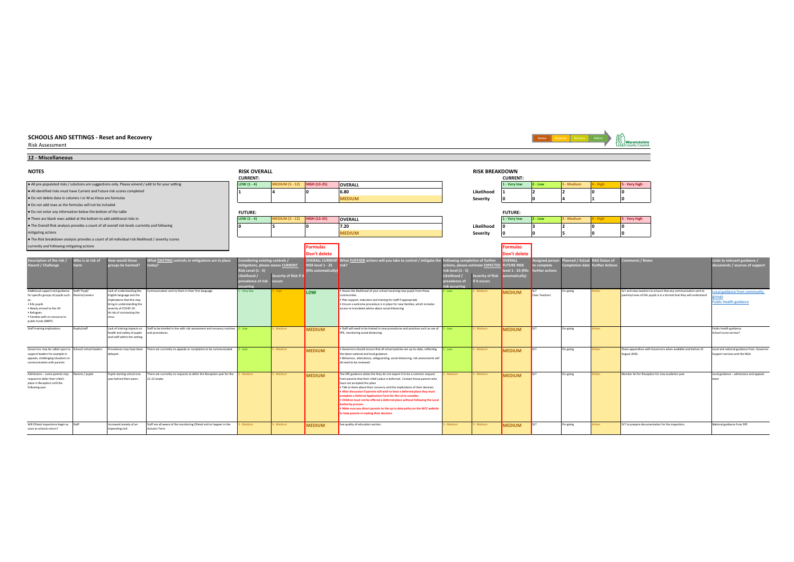| <b>SCHOOLS AND SETTINGS - Reset and Recovery</b><br><b>Risk Assessment</b>                                                                                                                                                     |                           |                                                                                                                                                                                    |                                                                                                   |                                                                                                                                                    |                        |                                               |                                                                                                                                                                                                                                                                                                                                                                                                                                                                                                                                                                                                                                             |                                                              |                                                                                                   |                                                                    |                                            | Response Recovery             |                                       | <b>Warwickshire</b><br><b>LLI County Council</b>                                                                                        |                                                                            |
|--------------------------------------------------------------------------------------------------------------------------------------------------------------------------------------------------------------------------------|---------------------------|------------------------------------------------------------------------------------------------------------------------------------------------------------------------------------|---------------------------------------------------------------------------------------------------|----------------------------------------------------------------------------------------------------------------------------------------------------|------------------------|-----------------------------------------------|---------------------------------------------------------------------------------------------------------------------------------------------------------------------------------------------------------------------------------------------------------------------------------------------------------------------------------------------------------------------------------------------------------------------------------------------------------------------------------------------------------------------------------------------------------------------------------------------------------------------------------------------|--------------------------------------------------------------|---------------------------------------------------------------------------------------------------|--------------------------------------------------------------------|--------------------------------------------|-------------------------------|---------------------------------------|-----------------------------------------------------------------------------------------------------------------------------------------|----------------------------------------------------------------------------|
| 12 - Miscellaneous                                                                                                                                                                                                             |                           |                                                                                                                                                                                    |                                                                                                   |                                                                                                                                                    |                        |                                               |                                                                                                                                                                                                                                                                                                                                                                                                                                                                                                                                                                                                                                             |                                                              |                                                                                                   |                                                                    |                                            |                               |                                       |                                                                                                                                         |                                                                            |
| <b>NOTES</b>                                                                                                                                                                                                                   |                           | <b>RISK OVERALL</b><br><b>CURRENT:</b>                                                                                                                                             |                                                                                                   |                                                                                                                                                    |                        |                                               | <b>RISK BREAKDOWN</b>                                                                                                                                                                                                                                                                                                                                                                                                                                                                                                                                                                                                                       | <b>CURRENT:</b>                                              |                                                                                                   |                                                                    |                                            |                               |                                       |                                                                                                                                         |                                                                            |
| . All pre-populated risks / solutions are suggestions only. Please amend / add to for your setting                                                                                                                             |                           |                                                                                                                                                                                    |                                                                                                   | LOW $(1 - 4)$                                                                                                                                      | <b>MEDIUM (5 - 12)</b> | <b>HIGH (13-25)</b>                           | <b>OVERALL</b>                                                                                                                                                                                                                                                                                                                                                                                                                                                                                                                                                                                                                              |                                                              |                                                                                                   | 1 - Very low                                                       | $2 - Low$                                  | 3 - Medium                    | - High                                | 5 - Very high                                                                                                                           |                                                                            |
| . All identified risks must have Current and Future risk scores completed                                                                                                                                                      |                           |                                                                                                                                                                                    |                                                                                                   |                                                                                                                                                    |                        |                                               | 6.80                                                                                                                                                                                                                                                                                                                                                                                                                                                                                                                                                                                                                                        |                                                              | Likelihood                                                                                        |                                                                    |                                            |                               |                                       |                                                                                                                                         |                                                                            |
| . Do not delete data in columns I or M as these are formulas                                                                                                                                                                   |                           |                                                                                                                                                                                    |                                                                                                   |                                                                                                                                                    |                        |                                               | <b>MEDIUM</b>                                                                                                                                                                                                                                                                                                                                                                                                                                                                                                                                                                                                                               |                                                              | Severity                                                                                          |                                                                    |                                            |                               |                                       |                                                                                                                                         |                                                                            |
| . Do not add rows as the formulas will not be included                                                                                                                                                                         |                           |                                                                                                                                                                                    |                                                                                                   |                                                                                                                                                    |                        |                                               |                                                                                                                                                                                                                                                                                                                                                                                                                                                                                                                                                                                                                                             |                                                              |                                                                                                   |                                                                    |                                            |                               |                                       |                                                                                                                                         |                                                                            |
| . Do not enter any information below the bottom of the table                                                                                                                                                                   |                           |                                                                                                                                                                                    |                                                                                                   | <b>FUTURE:</b><br><b>FUTURE:</b>                                                                                                                   |                        |                                               |                                                                                                                                                                                                                                                                                                                                                                                                                                                                                                                                                                                                                                             |                                                              |                                                                                                   |                                                                    |                                            |                               |                                       |                                                                                                                                         |                                                                            |
| . There are blank rows added at the bottom to add additional risks in                                                                                                                                                          |                           |                                                                                                                                                                                    |                                                                                                   | $LOW (1 - 4)$                                                                                                                                      | <b>MEDIUM (5 - 12)</b> | <b>HIGH (13-25)</b>                           | <b>OVERALL</b>                                                                                                                                                                                                                                                                                                                                                                                                                                                                                                                                                                                                                              |                                                              |                                                                                                   | 1 - Very low                                                       | $2 - Low$                                  | - Medium                      |                                       | 5 - Very high                                                                                                                           |                                                                            |
| . The Overall Risk analysis provides a count of all overall risk levels currently and following                                                                                                                                |                           |                                                                                                                                                                                    |                                                                                                   |                                                                                                                                                    |                        |                                               | 7.20                                                                                                                                                                                                                                                                                                                                                                                                                                                                                                                                                                                                                                        |                                                              | Likelihood                                                                                        |                                                                    |                                            | $\mathbf{r}$                  |                                       |                                                                                                                                         |                                                                            |
| mitigating actions                                                                                                                                                                                                             |                           |                                                                                                                                                                                    |                                                                                                   |                                                                                                                                                    |                        |                                               | <b>MEDIUM</b>                                                                                                                                                                                                                                                                                                                                                                                                                                                                                                                                                                                                                               |                                                              | Severity                                                                                          |                                                                    |                                            |                               |                                       |                                                                                                                                         |                                                                            |
| . The Risk breakdown analysis provides a count of all individual risk likelihood / severity scores                                                                                                                             |                           |                                                                                                                                                                                    |                                                                                                   |                                                                                                                                                    |                        |                                               |                                                                                                                                                                                                                                                                                                                                                                                                                                                                                                                                                                                                                                             |                                                              |                                                                                                   |                                                                    |                                            |                               |                                       |                                                                                                                                         |                                                                            |
| currently and following mitigating actions                                                                                                                                                                                     |                           |                                                                                                                                                                                    |                                                                                                   |                                                                                                                                                    |                        | <b>Formulas</b><br>Don't delete               |                                                                                                                                                                                                                                                                                                                                                                                                                                                                                                                                                                                                                                             |                                                              |                                                                                                   | <b>Formulas</b><br>Don't delet                                     |                                            |                               |                                       |                                                                                                                                         |                                                                            |
| Description of the risk /<br>Hazard / Challenge                                                                                                                                                                                | Who is at risk of<br>harm | ow would these<br>roups be harmed?                                                                                                                                                 | What EXISTING controls or mitigations are in place<br>oday?                                       | Onsidering existing controls /<br>mitigations, please assess CURRENT<br>$tisk Level(1 - 5)$<br>ikelihood /<br>prevalence of risk occurs<br>iccurri | Severity of Risk if i  | <b>RISK level 1 - 25</b><br>ills automaticall | <b>DVERALL CURRENT</b> What FURTHER actions will you take to control / mitigate the F                                                                                                                                                                                                                                                                                                                                                                                                                                                                                                                                                       | risk level (1 - 5<br>Likelihood<br>orevalence of<br>isk occu | owing completion of further<br>ctions, please estimate EXPECTED<br>everity of Risk<br>f it occurs | OVERALL<br><b>FUTURE RISK</b><br>evel 1 - 25 (fil<br>utomatically) | igned per:<br>o complete<br>urther actions | nned / Actu<br>ompletion date | <b>AG Status of</b><br>urther Actions | mments / Notes                                                                                                                          | Links to relevant guidance /<br>locuments / sources of support             |
| Additional support and guidance Staff/ Pupil/<br>for specific groups of pupils such Parents/careers<br>ac-<br>· EAL pupils<br>. Newly arrived to the UK<br>• Refugees<br>· Families with no recourse to<br>public funds (NRPF) |                           | Lack of understanding the<br>English language and the<br>implications that this may<br>bring in understanding the<br>severity of COVID-19.<br>At risk of contracting the<br>virus. | ommunication sent to them in their first language                                                 | - Very low                                                                                                                                         |                        | <b>LOW</b>                                    | Assess the likelihood of your school receiving new pupils from these<br>ommunities<br>. Plan support, induction and training for staff if appropriate<br>. Ensure a welcome procedure is in place for new families, which includes<br>access to translated advice about social distancing                                                                                                                                                                                                                                                                                                                                                   | - Low                                                        | Medium                                                                                            | <b>MEDIUM</b>                                                      | Class Teachers                             | On-going                      |                                       | SLT and class teachers to ensure that any communication sent to<br>parents/cares of EAL pupils is in a format that they will understand | ocal guidance from community<br><b>Public Health guidance</b>              |
| Staff training implications                                                                                                                                                                                                    | Pupils/staff              | Lack of training impacts on<br>health and safety of pupils<br>and staff within the setting.                                                                                        | Staff to be briefed in line with risk assessment and recovery routines 2 - Low<br>and procedures. |                                                                                                                                                    | - Medium               | <b>MEDIUM</b>                                 | • Staff will need to be trained in new procedures and practices such as use of $2 - Low$<br>PPE, monitoring social distancing.                                                                                                                                                                                                                                                                                                                                                                                                                                                                                                              |                                                              | - Medium                                                                                          | <b>MEDIUM</b>                                                      |                                            | On-going                      | nher                                  |                                                                                                                                         | Public health guidance<br>School nurse service?                            |
| Governors may be called upon to School/ school leaders<br>support leaders for example in<br>appeals, challenging situations or<br>communication with parents                                                                   |                           | Procedures may have been<br>delayed.                                                                                                                                               | There are currently no appeals or complaints to be communicated.                                  | - Low                                                                                                                                              | - Medium               | <b>MEDIUM</b>                                 | . Governors should ensure that all school policies are up-to-date, reflecting<br>the latest national and local guidance.<br>. Behaviour, attendance, safeguarding, social distancing, risk assessments will<br>all need to be reviewed.                                                                                                                                                                                                                                                                                                                                                                                                     | - Low                                                        | Medium                                                                                            | <b>MEDIUM</b>                                                      |                                            | On-going                      |                                       | Share appendices with Governors when available and before 31<br>August 2020.                                                            | Local and national guidance from Governor<br>Support services and the NGA. |
| Admissions - some parents may<br>request to defer their child's<br>place in Reception until the<br>following year                                                                                                              | Parents / pupils          | Pupils starting school one<br>year behind their peers.                                                                                                                             | There are currently no requests to defer the Reception year for the<br>21-22 intake.              | - Medium                                                                                                                                           | - Medium               | <b>MEDIUM</b>                                 | The DfE guidance states the they do not expect it to be a common request<br>from parents that their child's place is deferred. Contact those parents who<br>have not accepted the place<br>. Talk to them about their concerns and the implications of their decision<br>After discussion if parents still wish to have a deferred place they must<br>omplete a Deferral Application Form for the LA to consider.<br>Children must not be offered a deferred place without following the Local<br>uthority process<br>Make sure you direct parents to the up to date policy on the WCC website<br>to help parents in making their decision. | <b>Medium</b>                                                | Medium                                                                                            | <b>MEDIUM</b>                                                      | <b>ISIT</b>                                | On-going                      | nber                                  | Monitor list for Reception for new academic year.                                                                                       | Local guidance - admissions and appeals                                    |
| Will Ofsted inspections begin as Staff<br>soon as schools return?                                                                                                                                                              |                           | Increased anxiety of an<br>impending visit                                                                                                                                         | Staff are all aware of the monitoring Ofsted visit to happen in the<br>Autumn Term                | - Medium                                                                                                                                           | - Medium               | <b>MEDIUM</b>                                 | See quality of education section.                                                                                                                                                                                                                                                                                                                                                                                                                                                                                                                                                                                                           | - Medium                                                     | Medium                                                                                            | <b>MEDIUM</b>                                                      |                                            | On-going                      |                                       | SLT to prepare documentation for the inspection.                                                                                        | National guidance from DfE                                                 |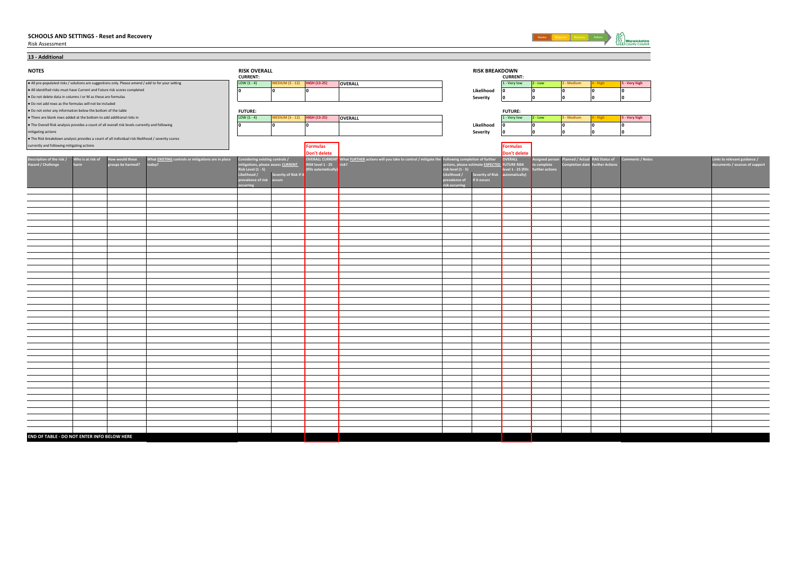Risk Assessment



| 13 - Additional                                              |                                                                       |                                                                                                    |                                                                                                    |                                                  |                                   |                                          |                                                                                                              |                                    |                                                       |                     |                                |            |                                        |                  |
|--------------------------------------------------------------|-----------------------------------------------------------------------|----------------------------------------------------------------------------------------------------|----------------------------------------------------------------------------------------------------|--------------------------------------------------|-----------------------------------|------------------------------------------|--------------------------------------------------------------------------------------------------------------|------------------------------------|-------------------------------------------------------|---------------------|--------------------------------|------------|----------------------------------------|------------------|
| <b>NOTES</b>                                                 |                                                                       |                                                                                                    |                                                                                                    | <b>RISK OVERALL</b><br><b>CURRENT:</b>           |                                   |                                          |                                                                                                              |                                    | <b>RISK BREAKDOWN</b>                                 | <b>CURRENT:</b>     |                                |            |                                        |                  |
|                                                              |                                                                       |                                                                                                    | . All pre-populated risks / solutions are suggestions only. Please amend / add to for your setting | LOW $(1 - 4)$                                    | <b>MEDIUM (5 - 12)</b>            | <b>HIGH (13-25)</b>                      | OVERALL                                                                                                      |                                    |                                                       | 1 - Very low        | $2 - Low$                      | 3 - Medium | 4 - High                               | 5 - Very high    |
|                                                              |                                                                       | . All identified risks must have Current and Future risk scores completed                          |                                                                                                    | ۱n                                               |                                   | ١n                                       |                                                                                                              |                                    | Likelihood                                            | ١o                  | ١o                             | ١o         | 0                                      | ١o               |
| . Do not delete data in columns I or M as these are formulas |                                                                       |                                                                                                    |                                                                                                    |                                                  |                                   |                                          |                                                                                                              |                                    | Severity                                              | 10                  | ١o                             | I٥         | 0                                      | ۱o               |
| . Do not add rows as the formulas will not be included       |                                                                       |                                                                                                    |                                                                                                    |                                                  |                                   |                                          |                                                                                                              |                                    |                                                       |                     |                                |            |                                        |                  |
| . Do not enter any information below the bottom of the table |                                                                       |                                                                                                    |                                                                                                    | <b>FUTURE:</b>                                   |                                   |                                          |                                                                                                              |                                    |                                                       | <b>FUTURE:</b>      |                                |            |                                        |                  |
|                                                              | . There are blank rows added at the bottom to add additional risks in |                                                                                                    |                                                                                                    | LOW $(1 - 4)$                                    | <b>MEDIUM (5 - 12)</b>            | <b>HIGH (13-25)</b>                      | OVERALL                                                                                                      |                                    |                                                       | 1 - Very low        | $2 - Low$                      | 3 - Medium | 4 - High                               | 5 - Very high    |
|                                                              |                                                                       | . The Overall Risk analysis provides a count of all overall risk levels currently and following    |                                                                                                    | ۱n                                               |                                   | ١o                                       |                                                                                                              |                                    | Likelihood                                            | In                  | ١o                             | ١o         | 0                                      | ١o               |
| mitigating actions                                           |                                                                       |                                                                                                    |                                                                                                    |                                                  |                                   |                                          |                                                                                                              |                                    | Severity                                              | 10                  | n                              | l n        |                                        | lo               |
|                                                              |                                                                       | . The Risk breakdown analysis provides a count of all individual risk likelihood / severity scores |                                                                                                    |                                                  |                                   |                                          |                                                                                                              |                                    |                                                       |                     |                                |            |                                        |                  |
| currently and following mitigating actions                   |                                                                       |                                                                                                    |                                                                                                    |                                                  |                                   | <b>Formulas</b>                          |                                                                                                              |                                    |                                                       | Formulas            |                                |            |                                        |                  |
|                                                              |                                                                       |                                                                                                    |                                                                                                    |                                                  |                                   | Don't delete                             |                                                                                                              |                                    |                                                       | Don't delete        |                                |            |                                        |                  |
| Description of the risk /<br>Hazard / Challenge              | Who is at risk of                                                     | low would these                                                                                    | What <u>EXISTING</u> controls or mitigations are in place                                          | onsidering existing controls /                   |                                   |                                          | OVERALL CURRENT What FURTHER actions will you take to control / mitigate the Following completion of further |                                    |                                                       | OVERALL             | <b>Assigned person</b>         |            | lanned / Actual RAG Status of          | Comments / Notes |
|                                                              | harm                                                                  | roups be harmed?                                                                                   | oday?                                                                                              | isk Level (1 - 5)                                | itigations, please assess CURRENT | RISK level 1 - 25<br>(fills automaticall | risk?                                                                                                        |                                    | actions, please estimate <u>EXPECTED.</u> FUTURE RISK | level 1 - 25 (fills | to complete<br>further actions |            | <b>Completion date Further Actions</b> |                  |
|                                                              |                                                                       |                                                                                                    |                                                                                                    | ikelihood / Severity<br>revalence of risk occurs | Severity of Risk if it            |                                          |                                                                                                              | risk level (1 - 5)<br>Likelihood / | <b>Severity of Risk</b>                               | automatically)      |                                |            |                                        |                  |
|                                                              |                                                                       |                                                                                                    |                                                                                                    |                                                  |                                   |                                          |                                                                                                              | prevalence of                      | if it occurs                                          |                     |                                |            |                                        |                  |
|                                                              |                                                                       |                                                                                                    |                                                                                                    | rring                                            |                                   |                                          |                                                                                                              | isk occurring                      |                                                       |                     |                                |            |                                        |                  |
|                                                              |                                                                       |                                                                                                    |                                                                                                    |                                                  |                                   |                                          |                                                                                                              |                                    |                                                       |                     |                                |            |                                        |                  |
|                                                              |                                                                       |                                                                                                    |                                                                                                    |                                                  |                                   |                                          |                                                                                                              |                                    |                                                       |                     |                                |            |                                        |                  |
|                                                              |                                                                       |                                                                                                    |                                                                                                    |                                                  |                                   |                                          |                                                                                                              |                                    |                                                       |                     |                                |            |                                        |                  |
|                                                              |                                                                       |                                                                                                    |                                                                                                    |                                                  |                                   |                                          |                                                                                                              |                                    |                                                       |                     |                                |            |                                        |                  |
|                                                              |                                                                       |                                                                                                    |                                                                                                    |                                                  |                                   |                                          |                                                                                                              |                                    |                                                       |                     |                                |            |                                        |                  |
|                                                              |                                                                       |                                                                                                    |                                                                                                    |                                                  |                                   |                                          |                                                                                                              |                                    |                                                       |                     |                                |            |                                        |                  |
|                                                              |                                                                       |                                                                                                    |                                                                                                    |                                                  |                                   |                                          |                                                                                                              |                                    |                                                       |                     |                                |            |                                        |                  |
|                                                              |                                                                       |                                                                                                    |                                                                                                    |                                                  |                                   |                                          |                                                                                                              |                                    |                                                       |                     |                                |            |                                        |                  |
|                                                              |                                                                       |                                                                                                    |                                                                                                    |                                                  |                                   |                                          |                                                                                                              |                                    |                                                       |                     |                                |            |                                        |                  |
|                                                              |                                                                       |                                                                                                    |                                                                                                    |                                                  |                                   |                                          |                                                                                                              |                                    |                                                       |                     |                                |            |                                        |                  |
|                                                              |                                                                       |                                                                                                    |                                                                                                    |                                                  |                                   |                                          |                                                                                                              |                                    |                                                       |                     |                                |            |                                        |                  |
|                                                              |                                                                       |                                                                                                    |                                                                                                    |                                                  |                                   |                                          |                                                                                                              |                                    |                                                       |                     |                                |            |                                        |                  |
|                                                              |                                                                       |                                                                                                    |                                                                                                    |                                                  |                                   |                                          |                                                                                                              |                                    |                                                       |                     |                                |            |                                        |                  |
|                                                              |                                                                       |                                                                                                    |                                                                                                    |                                                  |                                   |                                          |                                                                                                              |                                    |                                                       |                     |                                |            |                                        |                  |
|                                                              |                                                                       |                                                                                                    |                                                                                                    |                                                  |                                   |                                          |                                                                                                              |                                    |                                                       |                     |                                |            |                                        |                  |
|                                                              |                                                                       |                                                                                                    |                                                                                                    |                                                  |                                   |                                          |                                                                                                              |                                    |                                                       |                     |                                |            |                                        |                  |
|                                                              |                                                                       |                                                                                                    |                                                                                                    |                                                  |                                   |                                          |                                                                                                              |                                    |                                                       |                     |                                |            |                                        |                  |
|                                                              |                                                                       |                                                                                                    |                                                                                                    |                                                  |                                   |                                          |                                                                                                              |                                    |                                                       |                     |                                |            |                                        |                  |
|                                                              |                                                                       |                                                                                                    |                                                                                                    |                                                  |                                   |                                          |                                                                                                              |                                    |                                                       |                     |                                |            |                                        |                  |
|                                                              |                                                                       |                                                                                                    |                                                                                                    |                                                  |                                   |                                          |                                                                                                              |                                    |                                                       |                     |                                |            |                                        |                  |
|                                                              |                                                                       |                                                                                                    |                                                                                                    |                                                  |                                   |                                          |                                                                                                              |                                    |                                                       |                     |                                |            |                                        |                  |
|                                                              |                                                                       |                                                                                                    |                                                                                                    |                                                  |                                   |                                          |                                                                                                              |                                    |                                                       |                     |                                |            |                                        |                  |
|                                                              |                                                                       |                                                                                                    |                                                                                                    |                                                  |                                   |                                          |                                                                                                              |                                    |                                                       |                     |                                |            |                                        |                  |
|                                                              |                                                                       |                                                                                                    |                                                                                                    |                                                  |                                   |                                          |                                                                                                              |                                    |                                                       |                     |                                |            |                                        |                  |
|                                                              |                                                                       |                                                                                                    |                                                                                                    |                                                  |                                   |                                          |                                                                                                              |                                    |                                                       |                     |                                |            |                                        |                  |
|                                                              |                                                                       |                                                                                                    |                                                                                                    |                                                  |                                   |                                          |                                                                                                              |                                    |                                                       |                     |                                |            |                                        |                  |
|                                                              |                                                                       |                                                                                                    |                                                                                                    |                                                  |                                   |                                          |                                                                                                              |                                    |                                                       |                     |                                |            |                                        |                  |
|                                                              |                                                                       |                                                                                                    |                                                                                                    |                                                  |                                   |                                          |                                                                                                              |                                    |                                                       |                     |                                |            |                                        |                  |
|                                                              |                                                                       |                                                                                                    |                                                                                                    |                                                  |                                   |                                          |                                                                                                              |                                    |                                                       |                     |                                |            |                                        |                  |
|                                                              |                                                                       |                                                                                                    |                                                                                                    |                                                  |                                   |                                          |                                                                                                              |                                    |                                                       |                     |                                |            |                                        |                  |
|                                                              |                                                                       |                                                                                                    |                                                                                                    |                                                  |                                   |                                          |                                                                                                              |                                    |                                                       |                     |                                |            |                                        |                  |
|                                                              |                                                                       |                                                                                                    |                                                                                                    |                                                  |                                   |                                          |                                                                                                              |                                    |                                                       |                     |                                |            |                                        |                  |
|                                                              |                                                                       |                                                                                                    |                                                                                                    |                                                  |                                   |                                          |                                                                                                              |                                    |                                                       |                     |                                |            |                                        |                  |
|                                                              |                                                                       |                                                                                                    |                                                                                                    |                                                  |                                   |                                          |                                                                                                              |                                    |                                                       |                     |                                |            |                                        |                  |
| END OF TABLE - DO NOT ENTER INFO BELOW HERE                  |                                                                       |                                                                                                    |                                                                                                    |                                                  |                                   |                                          |                                                                                                              |                                    |                                                       |                     |                                |            |                                        |                  |